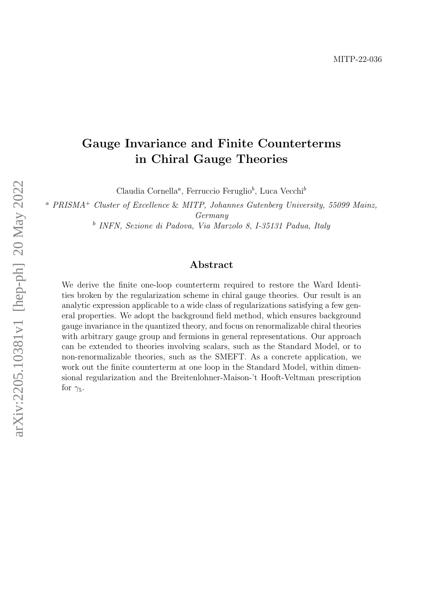# Gauge Invariance and Finite Counterterms in Chiral Gauge Theories

Claudia Cornella<sup>a</sup>, Ferruccio Feruglio<sup>b</sup>, Luca Vecchi<sup>b</sup>

<sup>a</sup> PRISMA<sup>+</sup> Cluster of Excellence & MITP, Johannes Gutenberg University, 55099 Mainz, Germany

b INFN, Sezione di Padova, Via Marzolo 8, I-35131 Padua, Italy

## Abstract

We derive the finite one-loop counterterm required to restore the Ward Identities broken by the regularization scheme in chiral gauge theories. Our result is an analytic expression applicable to a wide class of regularizations satisfying a few general properties. We adopt the background field method, which ensures background gauge invariance in the quantized theory, and focus on renormalizable chiral theories with arbitrary gauge group and fermions in general representations. Our approach can be extended to theories involving scalars, such as the Standard Model, or to non-renormalizable theories, such as the SMEFT. As a concrete application, we work out the finite counterterm at one loop in the Standard Model, within dimensional regularization and the Breitenlohner-Maison-'t Hooft-Veltman prescription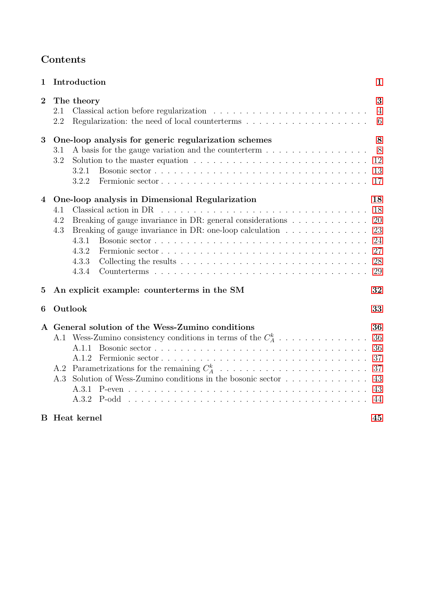| Contents |
|----------|
|----------|

| $\mathbf{1}$   | Introduction                                                                                                                                                                                                                                                     | $\mathbf 1$                                  |
|----------------|------------------------------------------------------------------------------------------------------------------------------------------------------------------------------------------------------------------------------------------------------------------|----------------------------------------------|
| $\overline{2}$ | The theory<br>2.1<br>Regularization: the need of local counterterms $\ldots \ldots \ldots \ldots \ldots \ldots$<br>2.2                                                                                                                                           | 3<br>$\overline{4}$<br>6                     |
| 3              | One-loop analysis for generic regularization schemes<br>A basis for the gauge variation and the counterterm<br>3.1<br>3.2<br>Solution to the master equation $\ldots \ldots \ldots \ldots \ldots \ldots \ldots \ldots \ldots$<br>3.2.1<br>3.2.2                  | 8<br>8<br>12<br>13<br>17                     |
| 4              | One-loop analysis in Dimensional Regularization<br>4.1<br>4.2<br>Breaking of gauge invariance in DR: general considerations<br>Breaking of gauge invariance in DR: one-loop calculation $\ldots \ldots \ldots \ldots$<br>4.3<br>4.3.1<br>4.3.2<br>4.3.3<br>4.3.4 | 18<br>18<br>20<br>23<br>24<br>27<br>28<br>29 |
| $\bf{5}$       | An explicit example: counterterms in the SM                                                                                                                                                                                                                      | 32                                           |
| 6              | Outlook                                                                                                                                                                                                                                                          | 33                                           |
|                | A General solution of the Wess-Zumino conditions<br>A.1 Wess-Zumino consistency conditions in terms of the $C_A^k$<br>A.1.1<br>A.1.2<br>A.2<br>Solution of Wess-Zumino conditions in the bosonic sector<br>A 3<br>A.3.2                                          | 36<br>36<br>36<br>37<br>37<br>43<br>43<br>44 |
|                | <b>B</b> Heat kernel                                                                                                                                                                                                                                             | 45                                           |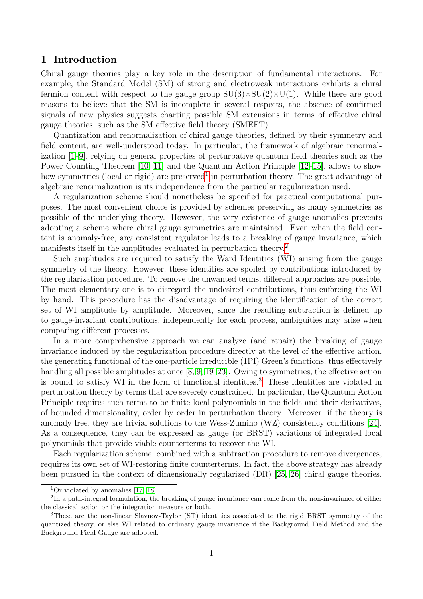## <span id="page-2-0"></span>1 Introduction

Chiral gauge theories play a key role in the description of fundamental interactions. For example, the Standard Model (SM) of strong and electroweak interactions exhibits a chiral fermion content with respect to the gauge group  $SU(3)\times SU(2)\times U(1)$ . While there are good reasons to believe that the SM is incomplete in several respects, the absence of confirmed signals of new physics suggests charting possible SM extensions in terms of effective chiral gauge theories, such as the SM effective field theory (SMEFT).

Quantization and renormalization of chiral gauge theories, defined by their symmetry and field content, are well-understood today. In particular, the framework of algebraic renormalization [\[1](#page-48-0)[–9\]](#page-48-1), relying on general properties of perturbative quantum field theories such as the Power Counting Theorem [\[10,](#page-48-2) [11\]](#page-48-3) and the Quantum Action Principle [\[12–](#page-48-4)[15\]](#page-48-5), allows to show how symmetries (local or rigid) are preserved<sup>[1](#page-2-1)</sup> in perturbation theory. The great advantage of algebraic renormalization is its independence from the particular regularization used.

A regularization scheme should nonetheless be specified for practical computational purposes. The most convenient choice is provided by schemes preserving as many symmetries as possible of the underlying theory. However, the very existence of gauge anomalies prevents adopting a scheme where chiral gauge symmetries are maintained. Even when the field content is anomaly-free, any consistent regulator leads to a breaking of gauge invariance, which manifests itself in the amplitudes evaluated in perturbation theory.<sup>[2](#page-2-2)</sup>

Such amplitudes are required to satisfy the Ward Identities (WI) arising from the gauge symmetry of the theory. However, these identities are spoiled by contributions introduced by the regularization procedure. To remove the unwanted terms, different approaches are possible. The most elementary one is to disregard the undesired contributions, thus enforcing the WI by hand. This procedure has the disadvantage of requiring the identification of the correct set of WI amplitude by amplitude. Moreover, since the resulting subtraction is defined up to gauge-invariant contributions, independently for each process, ambiguities may arise when comparing different processes.

In a more comprehensive approach we can analyze (and repair) the breaking of gauge invariance induced by the regularization procedure directly at the level of the effective action, the generating functional of the one-particle irreducible (1PI) Green's functions, thus effectively handling all possible amplitudes at once [\[8,](#page-48-6) [9,](#page-48-1) [19](#page-49-0)[–23\]](#page-49-1). Owing to symmetries, the effective action is bound to satisfy WI in the form of functional identities.<sup>[3](#page-2-3)</sup> These identities are violated in perturbation theory by terms that are severely constrained. In particular, the Quantum Action Principle requires such terms to be finite local polynomials in the fields and their derivatives, of bounded dimensionality, order by order in perturbation theory. Moreover, if the theory is anomaly free, they are trivial solutions to the Wess-Zumino (WZ) consistency conditions [\[24\]](#page-49-2). As a consequence, they can be expressed as gauge (or BRST) variations of integrated local polynomials that provide viable counterterms to recover the WI.

Each regularization scheme, combined with a subtraction procedure to remove divergences, requires its own set of WI-restoring finite counterterms. In fact, the above strategy has already been pursued in the context of dimensionally regularized (DR) [\[25,](#page-49-3) [26\]](#page-49-4) chiral gauge theories.

<span id="page-2-2"></span><span id="page-2-1"></span><sup>&</sup>lt;sup>1</sup>Or violated by anomalies [\[17,](#page-48-7) [18\]](#page-48-8).

<sup>&</sup>lt;sup>2</sup>In a path-integral formulation, the breaking of gauge invariance can come from the non-invariance of either the classical action or the integration measure or both.

<span id="page-2-3"></span><sup>3</sup>These are the non-linear Slavnov-Taylor (ST) identities associated to the rigid BRST symmetry of the quantized theory, or else WI related to ordinary gauge invariance if the Background Field Method and the Background Field Gauge are adopted.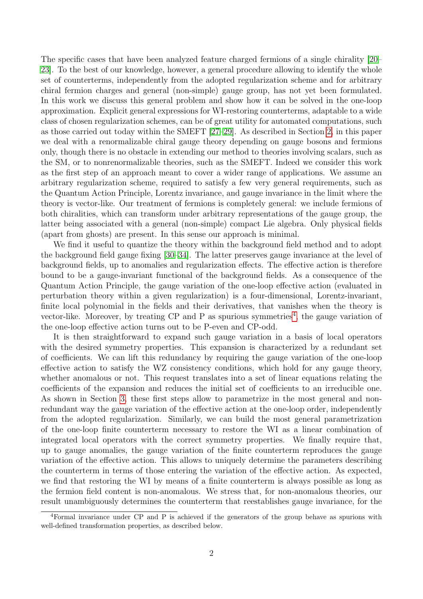The specific cases that have been analyzed feature charged fermions of a single chirality [\[20–](#page-49-5) [23\]](#page-49-1). To the best of our knowledge, however, a general procedure allowing to identify the whole set of counterterms, independently from the adopted regularization scheme and for arbitrary chiral fermion charges and general (non-simple) gauge group, has not yet been formulated. In this work we discuss this general problem and show how it can be solved in the one-loop approximation. Explicit general expressions for WI-restoring counterterms, adaptable to a wide class of chosen regularization schemes, can be of great utility for automated computations, such as those carried out today within the SMEFT [\[27–](#page-49-6)[29\]](#page-49-7). As described in Section [2,](#page-4-0) in this paper we deal with a renormalizable chiral gauge theory depending on gauge bosons and fermions only, though there is no obstacle in extending our method to theories involving scalars, such as the SM, or to nonrenormalizable theories, such as the SMEFT. Indeed we consider this work as the first step of an approach meant to cover a wider range of applications. We assume an arbitrary regularization scheme, required to satisfy a few very general requirements, such as the Quantum Action Principle, Lorentz invariance, and gauge invariance in the limit where the theory is vector-like. Our treatment of fermions is completely general: we include fermions of both chiralities, which can transform under arbitrary representations of the gauge group, the latter being associated with a general (non-simple) compact Lie algebra. Only physical fields (apart from ghosts) are present. In this sense our approach is minimal.

We find it useful to quantize the theory within the background field method and to adopt the background field gauge fixing [\[30](#page-49-8)[–34\]](#page-49-9). The latter preserves gauge invariance at the level of background fields, up to anomalies and regularization effects. The effective action is therefore bound to be a gauge-invariant functional of the background fields. As a consequence of the Quantum Action Principle, the gauge variation of the one-loop effective action (evaluated in perturbation theory within a given regularization) is a four-dimensional, Lorentz-invariant, finite local polynomial in the fields and their derivatives, that vanishes when the theory is vector-like. Moreover, by treating  $\rm CP$  and  $\rm P$  as spurious symmetries<sup>[4](#page-3-0)</sup>, the gauge variation of the one-loop effective action turns out to be P-even and CP-odd.

It is then straightforward to expand such gauge variation in a basis of local operators with the desired symmetry properties. This expansion is characterized by a redundant set of coefficients. We can lift this redundancy by requiring the gauge variation of the one-loop effective action to satisfy the WZ consistency conditions, which hold for any gauge theory, whether anomalous or not. This request translates into a set of linear equations relating the coefficients of the expansion and reduces the initial set of coefficients to an irreducible one. As shown in Section [3,](#page-9-0) these first steps allow to parametrize in the most general and nonredundant way the gauge variation of the effective action at the one-loop order, independently from the adopted regularization. Similarly, we can build the most general parametrization of the one-loop finite counterterm necessary to restore the WI as a linear combination of integrated local operators with the correct symmetry properties. We finally require that, up to gauge anomalies, the gauge variation of the finite counterterm reproduces the gauge variation of the effective action. This allows to uniquely determine the parameters describing the counterterm in terms of those entering the variation of the effective action. As expected, we find that restoring the WI by means of a finite counterterm is always possible as long as the fermion field content is non-anomalous. We stress that, for non-anomalous theories, our result unambiguously determines the counterterm that reestablishes gauge invariance, for the

<span id="page-3-0"></span><sup>&</sup>lt;sup>4</sup>Formal invariance under CP and P is achieved if the generators of the group behave as spurions with well-defined transformation properties, as described below.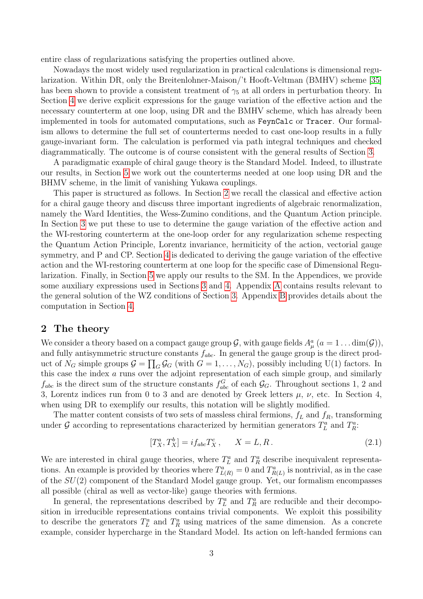entire class of regularizations satisfying the properties outlined above.

Nowadays the most widely used regularization in practical calculations is dimensional regularization. Within DR, only the Breitenlohner-Maison/'t Hooft-Veltman (BMHV) scheme [\[35\]](#page-49-10) has been shown to provide a consistent treatment of  $\gamma_5$  at all orders in perturbation theory. In Section [4](#page-19-0) we derive explicit expressions for the gauge variation of the effective action and the necessary counterterm at one loop, using DR and the BMHV scheme, which has already been implemented in tools for automated computations, such as FeynCalc or Tracer. Our formalism allows to determine the full set of counterterms needed to cast one-loop results in a fully gauge-invariant form. The calculation is performed via path integral techniques and checked diagrammatically. The outcome is of course consistent with the general results of Section [3.](#page-9-0)

A paradigmatic example of chiral gauge theory is the Standard Model. Indeed, to illustrate our results, in Section [5](#page-32-0) we work out the counterterms needed at one loop using DR and the BHMV scheme, in the limit of vanishing Yukawa couplings.

This paper is structured as follows. In Section [2](#page-4-0) we recall the classical and effective action for a chiral gauge theory and discuss three important ingredients of algebraic renormalization, namely the Ward Identities, the Wess-Zumino conditions, and the Quantum Action principle. In Section [3](#page-9-0) we put these to use to determine the gauge variation of the effective action and the WI-restoring counterterm at the one-loop order for any regularization scheme respecting the Quantum Action Principle, Lorentz invariance, hermiticity of the action, vectorial gauge symmetry, and P and CP. Section [4](#page-19-0) is dedicated to deriving the gauge variation of the effective action and the WI-restoring counterterm at one loop for the specific case of Dimensional Regularization. Finally, in Section [5](#page-32-0) we apply our results to the SM. In the Appendices, we provide some auxiliary expressions used in Sections [3](#page-9-0) and [4.](#page-19-0) Appendix [A](#page-37-0) contains results relevant to the general solution of the WZ conditions of Section [3.](#page-9-0) Appendix [B](#page-46-0) provides details about the computation in Section [4.](#page-19-0)

## <span id="page-4-0"></span>2 The theory

We consider a theory based on a compact gauge group  $G$ , with gauge fields  $A^a_\mu$   $(a = 1 \dots \text{dim}(\mathcal{G}))$ , and fully antisymmetric structure constants  $f_{abc}$ . In general the gauge group is the direct product of  $N_G$  simple groups  $\mathcal{G} = \prod_G \mathcal{G}_G$  (with  $G = 1, \ldots, N_G$ ), possibly including U(1) factors. In this case the index a runs over the adjoint representation of each simple group, and similarly  $f_{abc}$  is the direct sum of the structure constants  $f_{abc}^G$  of each  $\mathcal{G}_G$ . Throughout sections 1, 2 and 3, Lorentz indices run from 0 to 3 and are denoted by Greek letters  $\mu$ ,  $\nu$ , etc. In Section 4, when using DR to exemplify our results, this notation will be slightly modified.

The matter content consists of two sets of massless chiral fermions,  $f<sub>L</sub>$  and  $f<sub>R</sub>$ , transforming under G according to representations characterized by hermitian generators  $T_L^a$  and  $T_R^a$ .

<span id="page-4-1"></span>
$$
[T_X^a, T_X^b] = i f_{abc} T_X^c, \t X = L, R. \t (2.1)
$$

We are interested in chiral gauge theories, where  $T_L^a$  and  $T_R^a$  describe inequivalent representations. An example is provided by theories where  $T_{L(R)}^a = 0$  and  $T_{R(L)}^a$  is nontrivial, as in the case of the  $SU(2)$  component of the Standard Model gauge group. Yet, our formalism encompasses all possible (chiral as well as vector-like) gauge theories with fermions.

In general, the representations described by  $T_L^a$  and  $T_R^a$  are reducible and their decomposition in irreducible representations contains trivial components. We exploit this possibility to describe the generators  $T_L^a$  and  $T_R^a$  using matrices of the same dimension. As a concrete example, consider hypercharge in the Standard Model. Its action on left-handed fermions can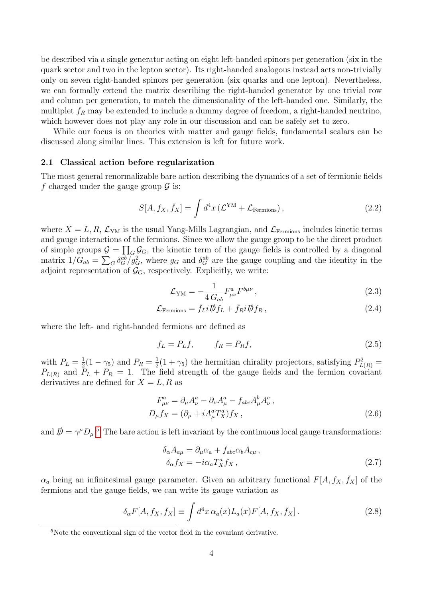be described via a single generator acting on eight left-handed spinors per generation (six in the quark sector and two in the lepton sector). Its right-handed analogous instead acts non-trivially only on seven right-handed spinors per generation (six quarks and one lepton). Nevertheless, we can formally extend the matrix describing the right-handed generator by one trivial row and column per generation, to match the dimensionality of the left-handed one. Similarly, the multiplet  $f_R$  may be extended to include a dummy degree of freedom, a right-handed neutrino, which however does not play any role in our discussion and can be safely set to zero.

While our focus is on theories with matter and gauge fields, fundamental scalars can be discussed along similar lines. This extension is left for future work.

#### <span id="page-5-0"></span>2.1 Classical action before regularization

The most general renormalizable bare action describing the dynamics of a set of fermionic fields f charged under the gauge group  $\mathcal G$  is:

<span id="page-5-2"></span>
$$
S[A, f_X, \bar{f}_X] = \int d^4x \left( \mathcal{L}^{\text{YM}} + \mathcal{L}_{\text{Fermions}} \right), \qquad (2.2)
$$

where  $X = L, R, \mathcal{L}_{YM}$  is the usual Yang-Mills Lagrangian, and  $\mathcal{L}_{\text{Fermions}}$  includes kinetic terms and gauge interactions of the fermions. Since we allow the gauge group to be the direct product of simple groups  $\mathcal{G} = \prod_G \mathcal{G}_G$ , the kinetic term of the gauge fields is controlled by a diagonal matrix  $1/G_{ab} = \sum_G \delta_G^{ab}/g_G^2$ , where  $g_G$  and  $\delta_G^{ab}$  are the gauge coupling and the identity in the adjoint representation of  $\mathcal{G}_G$ , respectively. Explicitly, we write:

<span id="page-5-6"></span>
$$
\mathcal{L}_{\text{YM}} = -\frac{1}{4 \, G_{ab}} F^a_{\mu\nu} F^{b\mu\nu} \,, \tag{2.3}
$$

$$
\mathcal{L}_{\text{Fermions}} = \bar{f}_{L} i \mathcal{D} f_{L} + \bar{f}_{R} i \mathcal{D} f_{R} , \qquad (2.4)
$$

where the left- and right-handed fermions are defined as

<span id="page-5-5"></span>
$$
f_L = P_L f, \qquad f_R = P_R f, \tag{2.5}
$$

with  $P_L = \frac{1}{2}$  $\frac{1}{2}(1 - \gamma_5)$  and  $P_R = \frac{1}{2}$  $\frac{1}{2}(1+\gamma_5)$  the hermitian chirality projectors, satisfying  $P_{L(R)}^2 =$  $P_{L(R)}$  and  $P_L + P_R = 1$ . The field strength of the gauge fields and the fermion covariant derivatives are defined for  $X = L, R$  as

$$
F_{\mu\nu}^a = \partial_\mu A_\nu^a - \partial_\nu A_\mu^a - f_{abc} A_\mu^b A_\nu^c,
$$
  
\n
$$
D_\mu f_X = (\partial_\mu + i A_\mu^a T_X^a) f_X ,
$$
\n(2.6)

and  $\oint = \gamma^{\mu} D_{\mu}$ .<sup>[5](#page-5-1)</sup> The bare action is left invariant by the continuous local gauge transformations:

<span id="page-5-3"></span>
$$
\delta_{\alpha} A_{a\mu} = \partial_{\mu} \alpha_{a} + f_{abc} \alpha_{b} A_{c\mu} ,
$$
  
\n
$$
\delta_{\alpha} f_{X} = -i \alpha_{a} T_{X}^{a} f_{X} ,
$$
\n(2.7)

 $\alpha_a$  being an infinitesimal gauge parameter. Given an arbitrary functional  $F[A, f_X, \bar{f}_X]$  of the fermions and the gauge fields, we can write its gauge variation as

<span id="page-5-4"></span>
$$
\delta_{\alpha} F[A, f_X, \bar{f}_X] \equiv \int d^4 x \,\alpha_a(x) L_a(x) F[A, f_X, \bar{f}_X]. \tag{2.8}
$$

<span id="page-5-1"></span><sup>5</sup>Note the conventional sign of the vector field in the covariant derivative.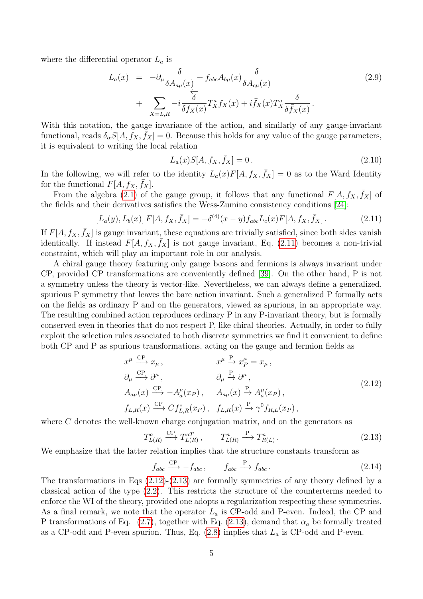where the differential operator  $L_a$  is

<span id="page-6-5"></span>
$$
L_a(x) = -\partial_\mu \frac{\delta}{\delta A_{a\mu}(x)} + f_{abc} A_{b\mu}(x) \frac{\delta}{\delta A_{c\mu}(x)}
$$
  
+ 
$$
\sum_{X=L,R} -i \frac{\delta}{\delta f_X(x)} T_X^a f_X(x) + i \bar{f}_X(x) T_X^a \frac{\delta}{\delta \bar{f}_X(x)}.
$$
 (2.9)

With this notation, the gauge invariance of the action, and similarly of any gauge-invariant functional, reads  $\delta_{\alpha} S[A, \tilde{f}_X, \tilde{f}_X] = 0$ . Because this holds for any value of the gauge parameters, it is equivalent to writing the local relation

<span id="page-6-4"></span><span id="page-6-1"></span>
$$
L_a(x)S[A, f_X, \bar{f}_X] = 0.
$$
\n(2.10)

In the following, we will refer to the identity  $L_a(x)F[A, f_X, \bar{f}_X] = 0$  as to the Ward Identity for the functional  $F[A, f_X, \bar{f}_X]$ .

From the algebra [\(2.1\)](#page-4-1) of the gauge group, it follows that any functional  $F[A, f_X, \bar{f}_X]$  of the fields and their derivatives satisfies the Wess-Zumino consistency conditions [\[24\]](#page-49-2):

$$
[L_a(y), L_b(x)] F[A, f_X, \bar{f}_X] = -\delta^{(4)}(x - y) f_{abc} L_c(x) F[A, f_X, \bar{f}_X].
$$
 (2.11)

If  $F[A, f_X, \bar{f}_X]$  is gauge invariant, these equations are trivially satisfied, since both sides vanish identically. If instead  $F[A, f_X, \overline{f}_X]$  is not gauge invariant, Eq. [\(2.11\)](#page-6-1) becomes a non-trivial constraint, which will play an important role in our analysis.

A chiral gauge theory featuring only gauge bosons and fermions is always invariant under CP, provided CP transformations are conveniently defined [\[39\]](#page-50-0). On the other hand, P is not a symmetry unless the theory is vector-like. Nevertheless, we can always define a generalized, spurious P symmetry that leaves the bare action invariant. Such a generalized P formally acts on the fields as ordinary P and on the generators, viewed as spurions, in an appropriate way. The resulting combined action reproduces ordinary P in any P-invariant theory, but is formally conserved even in theories that do not respect P, like chiral theories. Actually, in order to fully exploit the selection rules associated to both discrete symmetries we find it convenient to define both CP and P as spurious transformations, acting on the gauge and fermion fields as

$$
x^{\mu} \xrightarrow{\text{CP}} x_{\mu}, \qquad x^{\mu} \xrightarrow{\text{P}} x_{P}^{\mu} = x_{\mu},
$$
  
\n
$$
\partial_{\mu} \xrightarrow{\text{CP}} \partial^{\mu}, \qquad \partial_{\mu} \xrightarrow{\text{P}} \partial^{\mu},
$$
  
\n
$$
A_{a\mu}(x) \xrightarrow{\text{CP}} -A_{a}^{\mu}(x_{P}), \qquad A_{a\mu}(x) \xrightarrow{\text{P}} A_{a}^{\mu}(x_{P}),
$$
  
\n
$$
f_{L,R}(x) \xrightarrow{\text{CP}} C f_{L,R}^{*}(x_{P}), \qquad f_{L,R}(x) \xrightarrow{\text{P}} \gamma^{0} f_{R,L}(x_{P}),
$$
  
\n(2.12)

where C denotes the well-known charge conjugation matrix, and on the generators as

<span id="page-6-3"></span><span id="page-6-2"></span>
$$
T_{L(R)}^{a} \xrightarrow{\text{CP}} T_{L(R)}^{aT}, \qquad T_{L(R)}^{a} \xrightarrow{\text{P}} T_{R(L)}^{a}.
$$
 (2.13)

We emphasize that the latter relation implies that the structure constants transform as

$$
f_{abc} \xrightarrow{\rm CP} - f_{abc} , \qquad f_{abc} \xrightarrow{\rm P} f_{abc} . \tag{2.14}
$$

<span id="page-6-0"></span>The transformations in Eqs  $(2.12)-(2.13)$  $(2.12)-(2.13)$  are formally symmetries of any theory defined by a classical action of the type [\(2.2\)](#page-5-2). This restricts the structure of the counterterms needed to enforce the WI of the theory, provided one adopts a regularization respecting these symmetries. As a final remark, we note that the operator  $L_a$  is CP-odd and P-even. Indeed, the CP and P transformations of Eq. [\(2.7\)](#page-5-3), together with Eq. [\(2.13\)](#page-6-3), demand that  $\alpha_a$  be formally treated as a CP-odd and P-even spurion. Thus, Eq.  $(2.8)$  implies that  $L_a$  is CP-odd and P-even.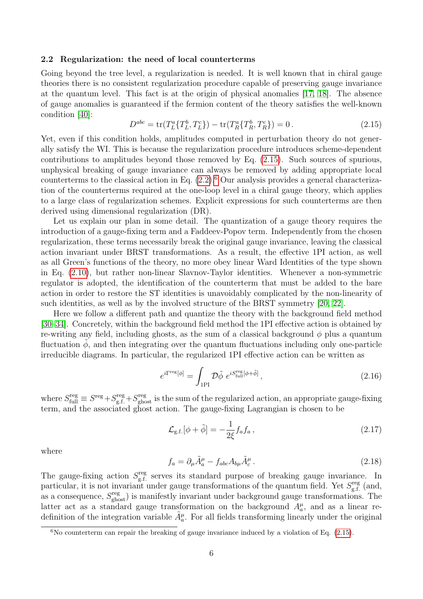#### 2.2 Regularization: the need of local counterterms

Going beyond the tree level, a regularization is needed. It is well known that in chiral gauge theories there is no consistent regularization procedure capable of preserving gauge invariance at the quantum level. This fact is at the origin of physical anomalies [\[17,](#page-48-7) [18\]](#page-48-8). The absence of gauge anomalies is guaranteed if the fermion content of the theory satisfies the well-known condition [\[40\]](#page-50-1):

<span id="page-7-0"></span>
$$
D^{abc} = \text{tr}(T_L^a \{T_L^b, T_L^c\}) - \text{tr}(T_R^a \{T_R^b, T_R^c\}) = 0. \tag{2.15}
$$

Yet, even if this condition holds, amplitudes computed in perturbation theory do not generally satisfy the WI. This is because the regularization procedure introduces scheme-dependent contributions to amplitudes beyond those removed by Eq. [\(2.15\)](#page-7-0). Such sources of spurious, unphysical breaking of gauge invariance can always be removed by adding appropriate local counterterms to the classical action in Eq.  $(2.2)$ .<sup>[6](#page-7-1)</sup> Our analysis provides a general characterization of the counterterms required at the one-loop level in a chiral gauge theory, which applies to a large class of regularization schemes. Explicit expressions for such counterterms are then derived using dimensional regularization (DR).

Let us explain our plan in some detail. The quantization of a gauge theory requires the introduction of a gauge-fixing term and a Faddeev-Popov term. Independently from the chosen regularization, these terms necessarily break the original gauge invariance, leaving the classical action invariant under BRST transformations. As a result, the effective 1PI action, as well as all Green's functions of the theory, no more obey linear Ward Identities of the type shown in Eq. [\(2.10\)](#page-6-4), but rather non-linear Slavnov-Taylor identities. Whenever a non-symmetric regulator is adopted, the identification of the counterterm that must be added to the bare action in order to restore the ST identities is unavoidably complicated by the non-linearity of such identities, as well as by the involved structure of the BRST symmetry [\[20,](#page-49-5) [22\]](#page-49-11).

Here we follow a different path and quantize the theory with the background field method [\[30–](#page-49-8)[34\]](#page-49-9). Concretely, within the background field method the 1PI effective action is obtained by re-writing any field, including ghosts, as the sum of a classical background  $\phi$  plus a quantum fluctuation  $\phi$ , and then integrating over the quantum fluctuations including only one-particle irreducible diagrams. In particular, the regularized 1PI effective action can be written as

<span id="page-7-2"></span>
$$
e^{i\Gamma^{\text{reg}}[\phi]} = \int_{1\text{PI}} \mathcal{D}\tilde{\phi} \ e^{iS_{\text{full}}^{\text{reg}}[\phi + \tilde{\phi}]}, \tag{2.16}
$$

where  $S_{\text{full}}^{\text{reg}} \equiv S^{\text{reg}} + S_{\text{g.f.}}^{\text{reg}} + S_{\text{ghost}}^{\text{reg}}$  is the sum of the regularized action, an appropriate gauge-fixing term, and the associated ghost action. The gauge-fixing Lagrangian is chosen to be

$$
\mathcal{L}_{\text{g.f.}}[\phi + \tilde{\phi}] = -\frac{1}{2\xi} f_a f_a , \qquad (2.17)
$$

where

<span id="page-7-3"></span>
$$
f_a = \partial_\mu \tilde{A}_a^\mu - f_{abc} A_{b\mu} \tilde{A}_c^\mu. \tag{2.18}
$$

The gauge-fixing action  $S_{eff}^{\text{reg}}$ <sup>reg</sup> serves its standard purpose of breaking gauge invariance. In particular, it is not invariant under gauge transformations of the quantum field. Yet  $S_{\rm cf}^{\rm reg}$  $\int_{\text{g.f.}}^{\text{reg}}$  (and, as a consequence,  $S_{\text{ghost}}^{\text{reg}}$  is manifestly invariant under background gauge transformations. The latter act as a standard gauge transformation on the background  $A_a^{\mu}$ , and as a linear redefinition of the integration variable  $\tilde{A}_{a}^{\mu}$ . For all fields transforming linearly under the original

<span id="page-7-1"></span> $6N$ o counterterm can repair the breaking of gauge invariance induced by a violation of Eq.  $(2.15)$ .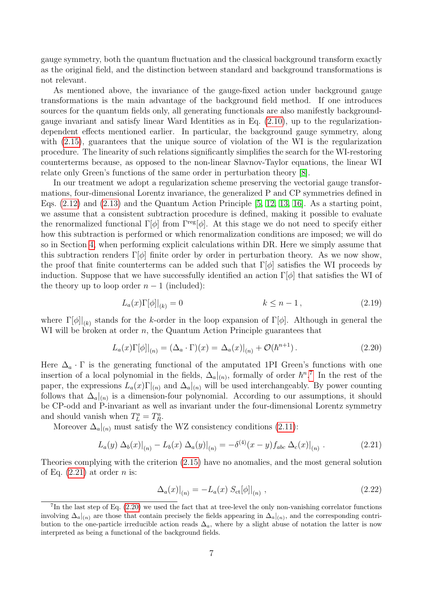gauge symmetry, both the quantum fluctuation and the classical background transform exactly as the original field, and the distinction between standard and background transformations is not relevant.

As mentioned above, the invariance of the gauge-fixed action under background gauge transformations is the main advantage of the background field method. If one introduces sources for the quantum fields only, all generating functionals are also manifestly backgroundgauge invariant and satisfy linear Ward Identities as in Eq. [\(2.10\)](#page-6-4), up to the regularizationdependent effects mentioned earlier. In particular, the background gauge symmetry, along with  $(2.15)$ , guarantees that the unique source of violation of the WI is the regularization procedure. The linearity of such relations significantly simplifies the search for the WI-restoring counterterms because, as opposed to the non-linear Slavnov-Taylor equations, the linear WI relate only Green's functions of the same order in perturbation theory [\[8\]](#page-48-6).

In our treatment we adopt a regularization scheme preserving the vectorial gauge transformations, four-dimensional Lorentz invariance, the generalized P and CP symmetries defined in Eqs.  $(2.12)$  and  $(2.13)$  and the Quantum Action Principle  $[5, 12, 13, 16]$  $[5, 12, 13, 16]$  $[5, 12, 13, 16]$  $[5, 12, 13, 16]$ . As a starting point, we assume that a consistent subtraction procedure is defined, making it possible to evaluate the renormalized functional  $\Gamma[\phi]$  from  $\Gamma^{\text{reg}}[\phi]$ . At this stage we do not need to specify either how this subtraction is performed or which renormalization conditions are imposed; we will do so in Section [4,](#page-19-0) when performing explicit calculations within DR. Here we simply assume that this subtraction renders  $\Gamma[\phi]$  finite order by order in perturbation theory. As we now show, the proof that finite counterterms can be added such that  $\Gamma[\phi]$  satisfies the WI proceeds by induction. Suppose that we have successfully identified an action  $\Gamma[\phi]$  that satisfies the WI of the theory up to loop order  $n-1$  (included):

$$
L_a(x)\Gamma[\phi]|_{(k)} = 0 \qquad k \le n - 1, \tag{2.19}
$$

where  $\Gamma[\phi]|_{(k)}$  stands for the k-order in the loop expansion of  $\Gamma[\phi]$ . Although in general the WI will be broken at order  $n$ , the Quantum Action Principle guarantees that

<span id="page-8-2"></span>
$$
L_a(x)\Gamma[\phi]|_{(n)} = (\Delta_a \cdot \Gamma)(x) = \Delta_a(x)|_{(n)} + \mathcal{O}(\hbar^{n+1}). \tag{2.20}
$$

Here  $\Delta_a \cdot \Gamma$  is the generating functional of the amputated 1PI Green's functions with one insertion of a local polynomial in the fields,  $\Delta_a|_{(n)}$ , formally of order  $\hbar^{n}$ .<sup>[7](#page-8-0)</sup> In the rest of the paper, the expressions  $L_a(x)\Gamma_{(n)}$  and  $\Delta_a|_{(n)}$  will be used interchangeably. By power counting follows that  $\Delta_a|_{(n)}$  is a dimension-four polynomial. According to our assumptions, it should be CP-odd and P-invariant as well as invariant under the four-dimensional Lorentz symmetry and should vanish when  $T_L^a = T_R^a$ .

Moreover  $\Delta_a|_{(n)}$  must satisfy the WZ consistency conditions [\(2.11\)](#page-6-1):

$$
L_a(y) \Delta_b(x)|_{(n)} - L_b(x) \Delta_a(y)|_{(n)} = -\delta^{(4)}(x-y)f_{abc} \Delta_c(x)|_{(n)}.
$$
 (2.21)

Theories complying with the criterion [\(2.15\)](#page-7-0) have no anomalies, and the most general solution of Eq.  $(2.21)$  at order *n* is:

<span id="page-8-3"></span><span id="page-8-1"></span>
$$
\Delta_a(x)|_{(n)} = -L_a(x) S_{\text{ct}}[\phi]|_{(n)},
$$
\n(2.22)

<span id="page-8-0"></span><sup>&</sup>lt;sup>7</sup>In the last step of Eq. [\(2.20\)](#page-8-2) we used the fact that at tree-level the only non-vanishing correlator functions involving  $\Delta_a|_{(n)}$  are those that contain precisely the fields appearing in  $\Delta_a|_{(n)}$ , and the corresponding contribution to the one-particle irreducible action reads  $\Delta_a$ , where by a slight abuse of notation the latter is now interpreted as being a functional of the background fields.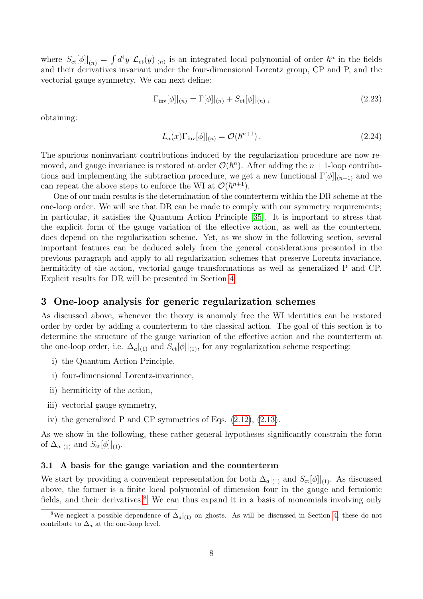where  $S_{ct}[\phi]|_{(n)} = \int d^4y \mathcal{L}_{ct}(y)|_{(n)}$  is an integrated local polynomial of order  $\hbar^n$  in the fields and their derivatives invariant under the four-dimensional Lorentz group, CP and P, and the vectorial gauge symmetry. We can next define:

$$
\Gamma_{\text{inv}}[\phi]|_{(n)} = \Gamma[\phi]|_{(n)} + S_{\text{ct}}[\phi]|_{(n)},
$$
\n(2.23)

obtaining:

$$
L_a(x)\Gamma_{\text{inv}}[\phi]|_{(n)} = \mathcal{O}(\hbar^{n+1}).\tag{2.24}
$$

The spurious noninvariant contributions induced by the regularization procedure are now removed, and gauge invariance is restored at order  $\mathcal{O}(\hbar^n)$ . After adding the  $n+1$ -loop contributions and implementing the subtraction procedure, we get a new functional  $\Gamma[\phi]|_{(n+1)}$  and we can repeat the above steps to enforce the WI at  $\mathcal{O}(\hbar^{n+1})$ .

One of our main results is the determination of the counterterm within the DR scheme at the one-loop order. We will see that DR can be made to comply with our symmetry requirements; in particular, it satisfies the Quantum Action Principle [\[35\]](#page-49-10). It is important to stress that the explicit form of the gauge variation of the effective action, as well as the countertem, does depend on the regularization scheme. Yet, as we show in the following section, several important features can be deduced solely from the general considerations presented in the previous paragraph and apply to all regularization schemes that preserve Lorentz invariance, hermiticity of the action, vectorial gauge transformations as well as generalized P and CP. Explicit results for DR will be presented in Section [4.](#page-19-0)

### <span id="page-9-0"></span>3 One-loop analysis for generic regularization schemes

As discussed above, whenever the theory is anomaly free the WI identities can be restored order by order by adding a counterterm to the classical action. The goal of this section is to determine the structure of the gauge variation of the effective action and the counterterm at the one-loop order, i.e.  $\Delta_a|_{(1)}$  and  $S_{ct}[\phi]|_{(1)}$ , for any regularization scheme respecting:

- i) the Quantum Action Principle,
- i) four-dimensional Lorentz-invariance,
- ii) hermiticity of the action,
- iii) vectorial gauge symmetry,
- iv) the generalized P and CP symmetries of Eqs. [\(2.12\)](#page-6-2), [\(2.13\)](#page-6-3).

As we show in the following, these rather general hypotheses significantly constrain the form of  $\Delta_a|_{(1)}$  and  $S_{\rm ct}[\phi]|_{(1)}$ .

#### <span id="page-9-1"></span>3.1 A basis for the gauge variation and the counterterm

We start by providing a convenient representation for both  $\Delta_a|_{(1)}$  and  $S_{\rm ct}[\phi]|_{(1)}$ . As discussed above, the former is a finite local polynomial of dimension four in the gauge and fermionic fields, and their derivatives.<sup>[8](#page-9-2)</sup> We can thus expand it in a basis of monomials involving only

<span id="page-9-2"></span><sup>&</sup>lt;sup>8</sup>We neglect a possible dependence of  $\Delta_a|_{(1)}$  on ghosts. As will be discussed in Section [4,](#page-19-0) these do not contribute to  $\Delta_a$  at the one-loop level.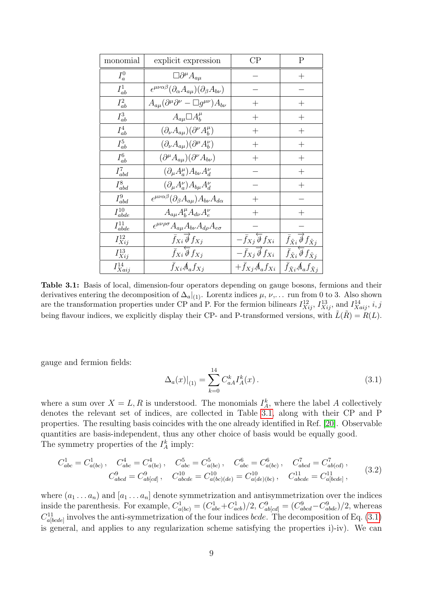<span id="page-10-0"></span>

| monomial        | explicit expression                                                                 | $\rm CP$                                        | Ρ                                                                   |
|-----------------|-------------------------------------------------------------------------------------|-------------------------------------------------|---------------------------------------------------------------------|
| $I_a^0$         | $\square \partial^{\mu} A_{a\mu}$                                                   |                                                 | $\hspace{0.1mm} +$                                                  |
| $I^1_{ab}$      | $\epsilon^{\mu\nu\alpha\beta}(\partial_{\alpha}A_{a\mu})(\partial_{\beta}A_{b\nu})$ |                                                 |                                                                     |
| $I_{ab}^2$      | $A_{a\mu}(\partial^{\mu}\partial^{\nu} - \Box g^{\mu\nu})A_{b\nu}$                  | $^{+}$                                          | $\hspace{0.1mm} +$                                                  |
| $I^3_{ab}$      | $A_{a\mu} \Box A_b^{\mu}$                                                           | $^{+}$                                          | $^{+}$                                                              |
| $I^4_{ab}$      | $(\partial_{\nu}A_{a\mu})(\partial^{\nu}A^{\mu}_{b})$                               | $\hspace{0.1mm} +$                              | $\hspace{.1cm} + \hspace{.1cm}$                                     |
| $I^5_{ab}$      | $(\partial_{\nu}A_{a\mu})(\partial^{\mu}A_{b}^{\nu})$                               | $^{+}$                                          | $^{+}$                                                              |
| $I^6_{ab}$      | $(\partial^{\mu}A_{a\mu})(\partial^{\nu}A_{b\nu})$                                  |                                                 | $^{+}$                                                              |
| $I_{abd}^7$     | $(\partial_{\mu}A^{\mu}_{a})A_{b\nu}A^{\nu}_{d}$                                    |                                                 | $^{+}$                                                              |
| $I_{abd}^8$     | $(\partial_{\mu}A^{\nu}_{a})A_{b\mu}A^{\nu}_{d}$                                    |                                                 | $^{+}$                                                              |
| $I_{abd}^9$     | $\epsilon^{\mu\nu\alpha\beta}(\partial_{\beta}A_{a\mu})A_{b\nu}A_{d\alpha}$         | $\overline{+}$                                  |                                                                     |
| $I^{10}_{abde}$ | $A_{a\mu}A_b^{\mu}A_{d\nu}A_e^{\nu}$                                                |                                                 |                                                                     |
| $I^{11}_{abde}$ | $\epsilon^{\mu\nu\rho\sigma} A_{a\mu} A_{b\nu} A_{d\rho} A_{e\sigma}$               |                                                 |                                                                     |
| $I^{12}_{Xij}$  | $\bar{f}_{Xi}$ $\overline{\phi}$ $f_{Xj}$                                           | $-\bar{f}_{Xj}\overleftarrow{\partial} f_{Xi}$  | $\bar{f}_{\tilde{X}i} \hat{\phi} f_{\tilde{X}i}$                    |
| $I^{13}_{Xij}$  | $\overline{f_{Xi}} \overleftarrow{\overline{\phi}} f_{Xj}$                          | $-\bar{f}_{Xj}\overrightarrow{\partial} f_{Xi}$ | $\overline{\bar{f}_{\tilde{X}i}\overline{\vartheta}f_{\tilde{X}j}}$ |
| $I^{14}_{Xaij}$ | $\bar{f}_{Xi}A_a f_{Xj}$                                                            | $+\bar{f}_{Xj}A_{a}f_{Xi}$                      | $\bar{f}_{\tilde{X}i}A_{a}f_{\tilde{X}i}$                           |

Table 3.1: Basis of local, dimension-four operators depending on gauge bosons, fermions and their derivatives entering the decomposition of  $\Delta_a|_{(1)}$ . Lorentz indices  $\mu$ ,  $\nu$ ,... run from 0 to 3. Also shown are the transformation properties under CP and P. For the fermion bilinears  $I_{Xij}^{12}$ ,  $I_{Xij}^{13}$ , and  $I_{Xaij}^{14}$ , i, j being flavour indices, we explicitly display their CP- and P-transformed versions, with  $\tilde{L}(\tilde{R}) = R(L)$ .

gauge and fermion fields:

<span id="page-10-2"></span><span id="page-10-1"></span>
$$
\Delta_a(x)|_{(1)} = \sum_{k=0}^{14} C_{aA}^k I_A^k(x).
$$
\n(3.1)

where a sum over  $X = L, R$  is understood. The monomials  $I_A^k$ , where the label A collectively denotes the relevant set of indices, are collected in Table [3.1,](#page-10-0) along with their CP and P properties. The resulting basis coincides with the one already identified in Ref. [\[20\]](#page-49-5). Observable quantities are basis-independent, thus any other choice of basis would be equally good. The symmetry properties of the  $I_A^k$  imply:

$$
C_{abc}^1 = C_{a(bc)}^1, \quad C_{abc}^4 = C_{a(bc)}^4, \quad C_{abc}^5 = C_{a(bc)}^5, \quad C_{abc}^6 = C_{a(bc)}^6, \quad C_{abcd}^7 = C_{ab(cd}^7, C_{abcd}^9 = C_{ab[cd]}^9, \quad C_{abcde}^{10} = C_{a(bc)(de)}^{10} = C_{a(de)(bc)}^{10}, \quad C_{abcde}^{11} = C_{a[bcde]}^{11}, \tag{3.2}
$$

where  $(a_1 \ldots a_n)$  and  $[a_1 \ldots a_n]$  denote symmetrization and antisymmetrization over the indices inside the parenthesis. For example,  $C_{a(bc)}^1 = (C_{abc}^1 + C_{acb}^1)/2$ ,  $C_{ab[cd]}^9 = (C_{abcd}^9 - C_{abcd}^9)/2$ , whereas  $C_{a[bcde]}^{11}$  involves the anti-symmetrization of the four indices *bcde*. The decomposition of Eq. [\(3.1\)](#page-10-1) is general, and applies to any regularization scheme satisfying the properties i)-iv). We can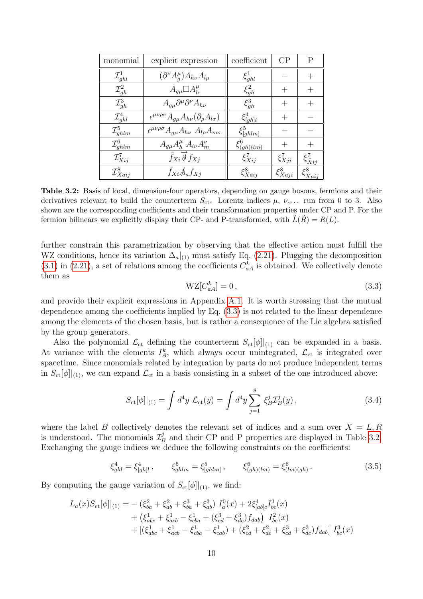<span id="page-11-1"></span>

| monomial               | explicit expression                                                           | coefficient        | CP                 | Ρ                      |
|------------------------|-------------------------------------------------------------------------------|--------------------|--------------------|------------------------|
| $\mathcal{I}_{ghl}^1$  | $\left(\partial^{\nu}A^{\mu}_{q}\right)A_{h\nu}A_{l\mu}$                      | $\xi_{qhl}^1$      |                    |                        |
| $\mathcal{I}_{gh}^2$   | $A_{qu} \Box A_h^{\mu}$                                                       | $\xi_{qh}^2$       | $^+$               |                        |
| $\mathcal{I}_{qh}^3$   | $A_{q\mu}\partial^{\mu}\partial^{\nu}A_{h\nu}$                                | $\xi_{qh}^3$       | $^+$               |                        |
| $\mathcal{I}_{ghl}^4$  | $\epsilon^{\mu\nu\rho\sigma} A_{q\mu} A_{h\nu} (\partial_{\rho} A_{l\sigma})$ | $\xi_{[gh]l}^4$    | $\hspace{0.1mm} +$ |                        |
| $\mathcal{I}_{ghlm}^5$ | $\epsilon^{\mu\nu\rho\sigma} A_{q\mu} A_{h\nu} A_{l\rho} A_{m\sigma}$         | $\xi_{[ghlm]}^5$   |                    |                        |
| $\mathcal{I}_{ghlm}^6$ | $A_{q\mu}A_{h}^{\mu}A_{l\nu}A_{m}^{\nu}$                                      | $\xi^6_{(gh)(lm)}$ |                    |                        |
| $\mathcal{I}_{Xij}^7$  | $\bar{f}_{Xi} \overrightarrow{\partial} f_{Xj}$                               | $\xi_{Xij}^7$      | $\xi_{Xji}^7$      | $\xi^7_{\tilde{X}ij}$  |
| $\mathcal{I}_{Xaij}^8$ | $\bar{f}_{Xi}A_a f_{Xj}$                                                      | $\xi_{Xaij}^8$     | $\xi_{Xaji}^8$     | $\xi^8_{\tilde{X}aij}$ |

Table 3.2: Basis of local, dimension-four operators, depending on gauge bosons, fermions and their derivatives relevant to build the counterterm  $S_{\text{ct}}$ . Lorentz indices  $\mu$ ,  $\nu$ ,... run from 0 to 3. Also shown are the corresponding coefficients and their transformation properties under CP and P. For the fermion bilinears we explicitly display their CP- and P-transformed, with  $L(R) = R(L)$ .

further constrain this parametrization by observing that the effective action must fulfill the WZ conditions, hence its variation  $\Delta_a|_{(1)}$  must satisfy Eq. [\(2.21\)](#page-8-1). Plugging the decomposition  $(3.1)$  in  $(2.21)$ , a set of relations among the coefficients  $C_{aA}^k$  is obtained. We collectively denote them as

<span id="page-11-0"></span>
$$
WZ[C_{aA}^k] = 0, \t\t(3.3)
$$

and provide their explicit expressions in Appendix [A.1.](#page-37-1) It is worth stressing that the mutual dependence among the coefficients implied by Eq. [\(3.3\)](#page-11-0) is not related to the linear dependence among the elements of the chosen basis, but is rather a consequence of the Lie algebra satisfied by the group generators.

Also the polynomial  $\mathcal{L}_{ct}$  defining the counterterm  $S_{ct}[\phi]|_{(1)}$  can be expanded in a basis. At variance with the elements  $I_A^k$ , which always occur unintegrated,  $\mathcal{L}_{ct}$  is integrated over spacetime. Since monomials related by integration by parts do not produce independent terms in  $S_{\text{ct}}[\phi]|_{(1)}$ , we can expand  $\mathcal{L}_{\text{ct}}$  in a basis consisting in a subset of the one introduced above:

<span id="page-11-2"></span>
$$
S_{\rm ct}[\phi]|_{(1)} = \int d^4y \mathcal{L}_{\rm ct}(y) = \int d^4y \sum_{j=1}^8 \xi_B^j \mathcal{I}_B^j(y) , \qquad (3.4)
$$

where the label B collectively denotes the relevant set of indices and a sum over  $X = L, R$ is understood. The monomials  $\mathcal{I}_P^j$  $\mathcal{B}_B^j$  and their CP and P properties are displayed in Table [3.2.](#page-11-1) Exchanging the gauge indices we deduce the following constraints on the coefficients:

$$
\xi_{ghl}^4 = \xi_{[gh]l}^4, \qquad \xi_{ghlm}^5 = \xi_{[ghlm]}^5, \qquad \xi_{(gh)(lm)}^6 = \xi_{(lm)(gh)}^6. \qquad (3.5)
$$

By computing the gauge variation of  $S_{\text{ct}}[\phi]|_{(1)}$ , we find:

$$
L_a(x)S_{ct}[\phi]|_{(1)} = -(\xi_{ba}^2 + \xi_{ab}^2 + \xi_{ba}^3 + \xi_{ab}^3) I_a^0(x) + 2\xi_{[ab]c}^4 I_{bc}^1(x) + (\xi_{abc}^1 + \xi_{acb}^1 - \xi_{cba}^1 + (\xi_{cd}^3 + \xi_{dc}^3) f_{dab}) I_{bc}^2(x) + [(\xi_{abc}^1 + \xi_{acb}^1 - \xi_{cba}^1 - \xi_{cab}^1) + (\xi_{cd}^2 + \xi_{dc}^2 + \xi_{cd}^3 + \xi_{dc}^3) f_{dab}] I_{bc}^3(x)
$$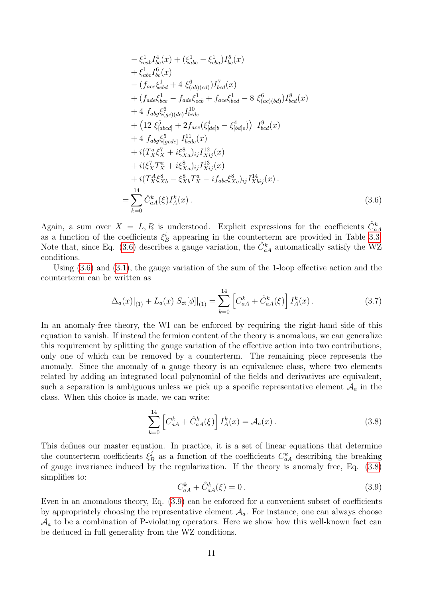$$
-\xi_{cab}^{1}I_{bc}^{4}(x) + (\xi_{abc}^{1} - \xi_{cba}^{1})I_{bc}^{5}(x)
$$
  
+  $\xi_{abc}^{1}I_{bc}^{6}(x)$   
-  $(f_{ace}\xi_{ebd}^{1} + 4 \xi_{(ab)(cd)}^{6})I_{bcd}^{7}(x)$   
+  $(f_{ade}\xi_{bce}^{1} - f_{ade}\xi_{ccb}^{1} + f_{ace}\xi_{bed}^{1} - 8 \xi_{(ac)(bd)}^{6})I_{bcd}^{8}(x)$   
+  $4 f_{abg}\xi_{(gc)(de)}^{6}I_{bcde}^{10}$   
+  $(12 \xi_{[abcd]}^{5} + 2f_{ace}(\xi_{[de]b}^{4} - \xi_{[bd]e}^{4})) I_{bcd}^{9}(x)$   
+  $4 f_{abg}\xi_{[gcde]}^{5} I_{bcde}^{11}(x)$   
+  $i(T_{X}^{a}\xi_{X}^{7} + i\xi_{Xa}^{8})_{ij}I_{Xij}^{12}(x)$   
+  $i(\xi_{X}^{7}T_{X}^{a} + i\xi_{Xa}^{8})_{ij}I_{Xij}^{13}(x)$   
+  $i(T_{X}^{A}\xi_{Xb}^{8} - \xi_{Xb}^{8}T_{X}^{a} - i f_{abc}\xi_{Xc}^{8})_{ij}I_{Xbj}^{14}(x)$ .  

$$
I_{bc0}^{14}
$$

Again, a sum over  $X = L, R$  is understood. Explicit expressions for the coefficients  $\hat{C}_{aA}^k$ as a function of the coefficients  $\xi_B^i$  appearing in the counterterm are provided in Table [3.3.](#page-13-1) Note that, since Eq. [\(3.6\)](#page-12-1) describes a gauge variation, the  $\hat{C}^k_{aA}$  automatically satisfy the WZ conditions.

<span id="page-12-1"></span>=

Using [\(3.6\)](#page-12-1) and [\(3.1\)](#page-10-1), the gauge variation of the sum of the 1-loop effective action and the counterterm can be written as

$$
\Delta_a(x)|_{(1)} + L_a(x) S_{\rm ct}[\phi]|_{(1)} = \sum_{k=0}^{14} \left[ C_{aA}^k + \hat{C}_{aA}^k(\xi) \right] I_A^k(x). \tag{3.7}
$$

In an anomaly-free theory, the WI can be enforced by requiring the right-hand side of this equation to vanish. If instead the fermion content of the theory is anomalous, we can generalize this requirement by splitting the gauge variation of the effective action into two contributions, only one of which can be removed by a counterterm. The remaining piece represents the anomaly. Since the anomaly of a gauge theory is an equivalence class, where two elements related by adding an integrated local polynomial of the fields and derivatives are equivalent, such a separation is ambiguous unless we pick up a specific representative element  $\mathcal{A}_a$  in the class. When this choice is made, we can write:

<span id="page-12-2"></span>
$$
\sum_{k=0}^{14} \left[ C_{aA}^k + \hat{C}_{aA}^k(\xi) \right] I_A^k(x) = \mathcal{A}_a(x) \,. \tag{3.8}
$$

This defines our master equation. In practice, it is a set of linear equations that determine the counterterm coefficients  $\xi_l^j$  $\mathcal{L}_{B}^{j}$  as a function of the coefficients  $C_{aA}^{k}$  describing the breaking of gauge invariance induced by the regularization. If the theory is anomaly free, Eq. [\(3.8\)](#page-12-2) simplifies to:

<span id="page-12-3"></span>
$$
C_{aA}^k + \hat{C}_{aA}^k(\xi) = 0.
$$
\n(3.9)

<span id="page-12-0"></span>Even in an anomalous theory, Eq. [\(3.9\)](#page-12-3) can be enforced for a convenient subset of coefficients by appropriately choosing the representative element  $\mathcal{A}_a$ . For instance, one can always choose  $\mathcal{A}_a$  to be a combination of P-violating operators. Here we show how this well-known fact can be deduced in full generality from the WZ conditions.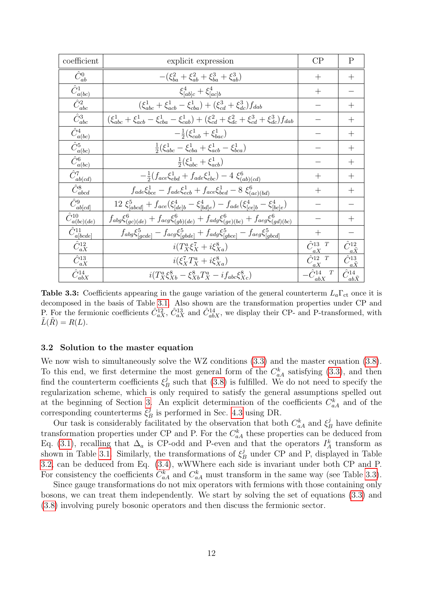<span id="page-13-1"></span>

| coefficient                             | explicit expression                                                                                                     |                          | $\mathbf{P}$                    |
|-----------------------------------------|-------------------------------------------------------------------------------------------------------------------------|--------------------------|---------------------------------|
| $\hat{C}^0_{ab}$                        | $-(\xi_{ba}^2 + \xi_{ab}^2 + \xi_{ba}^3 + \xi_{ab}^3)$                                                                  | $^{+}$                   | $^{+}$                          |
| $\hat{C}^1_{a(bc)}$                     | $\xi_{[ab]c}^4 + \xi_{[ac]b}^4$                                                                                         | $^{+}$                   |                                 |
| $\overline{\hat{C}_{abc}^2}$            | $(\xi_{abc}^1 + \xi_{acb}^1 - \xi_{cba}^1) + (\xi_{cd}^3 + \xi_{dc}^3) f_{dab}$                                         |                          | $+$                             |
| $\hat{C}^3_{abc}$                       | $(\xi_{abc}^1 + \xi_{acb}^1 - \xi_{cba}^1 - \xi_{cab}^1) + (\xi_{cd}^2 + \xi_{dc}^2 + \xi_{cd}^3 + \xi_{dc}^3) f_{dab}$ |                          | $+$                             |
| $\bar{\hat{C}}_{\underline{a}(bc)}^{4}$ | $-\frac{1}{2}(\xi_{cab}^1 + \xi_{bac}^1)$                                                                               |                          | $^{+}$                          |
| $\hat{C}^5_{a(bc)}$                     | $\frac{1}{2}(\xi_{abc}^1 - \xi_{cba}^1 + \xi_{acb}^1 - \xi_{bca}^1)$                                                    |                          | $^{+}$                          |
| $\overline{\hat{C}^6_{a(bc)}}$          | $\frac{1}{2}(\xi_{abc}^1 + \xi_{acb}^1)$                                                                                |                          | $+$                             |
| $\hat{C}^7_{ab(cd)}$                    | $-\frac{1}{2}(f_{ace}\xi_{ebd}^1 + f_{ade}\xi_{ebc}^1) - 4 \xi_{(ab)(cd)}^6$                                            | $^{+}$                   | $^{+}$                          |
| $\bar{\hat{C}}^8_{abcd}$                | $f_{ade} \xi_{bce}^1 - f_{ade} \xi_{ecb}^1 + f_{ace} \xi_{bed}^1 - 8 \xi_{(ac)(bd)}^6$                                  | $^{+}$                   | $^{+}$                          |
| $\hat{C}^9_{ab[cd]}$                    | $12~\xi^{5}_{[abcd]}+f_{ace}(\xi^{4}_{[de]b}-\xi^{4}_{[bd]e})-f_{ade}(\xi^{4}_{[ce]b}-\xi^{4}_{[bc]e})$                 |                          |                                 |
| $\hat{C}^{10}_{a(\underline{bc})(de)}$  | $f_{abg}\xi_{(gc)(de)}^6 + f_{acg}\xi_{(gb)(de)}^6 + f_{adg}\xi_{(ge)(bc)}^6 + f_{aeg}\xi_{(gd)(bc)}^6$                 |                          | $^{+}$                          |
| $\hat{C}_{a[bcde]}^{11}$                | $f_{abg}\xi_{[gcde]}^5 - f_{acg}\xi_{[gbde]}^5 + f_{adg}\xi_{[gbce]}^5 - f_{aeg}\xi_{[gbcd]}^5$                         | $+$                      |                                 |
| $\hat{C}_{aX}^{12}$                     | $i(T_X^a \xi_X^7 + i \xi_{Xa}^8)$                                                                                       | $\hat{C}^{13}_{aX}$ T    | $\hat{C}^{12}_{a\tilde{X}}$     |
| $\hat{C}_{aX}^{13}$                     | $i(\xi_X^7 T_X^a + i \xi_{Xa}^8)$                                                                                       | $\hat{C}^{12}_{aX}$ T    | $\hat{C}^{13}_{a\tilde{X}}$     |
| $\hat{C}^{14}_{abX}$                    | $i(T_X^a \xi_{Xb}^8 - \xi_{Xb}^8 T_X^a - i f_{abc} \xi_{Xc}^8)$                                                         | $\hat{C}$ 14<br>T<br>abX | $\hat{C}^{14}$<br>$ab\tilde{X}$ |

**Table 3.3:** Coefficients appearing in the gauge variation of the general counterterm  $L_a\Gamma_{ct}$  once it is decomposed in the basis of Table [3.1.](#page-10-0) Also shown are the transformation properties under CP and P. For the fermionic coefficients  $\hat{C}_{aX}^{12}$ ,  $\hat{C}_{aX}^{13}$  and  $\hat{C}_{abX}^{14}$ , we display their CP- and P-transformed, with  $L(R) = R(L).$ 

#### 3.2 Solution to the master equation

We now wish to simultaneously solve the WZ conditions  $(3.3)$  and the master equation  $(3.8)$ . To this end, we first determine the most general form of the  $C_{aA}^k$  satisfying [\(3.3\)](#page-11-0), and then find the counterterm coefficients  $\xi_I^j$  $B_B^j$  such that [\(3.8\)](#page-12-2) is fulfilled. We do not need to specify the regularization scheme, which is only required to satisfy the general assumptions spelled out at the beginning of Section [3.](#page-9-0) An explicit determination of the coefficients  $C_{aA}^k$  and of the corresponding counterterms  $\xi_{l}^{j}$  $B_B^j$  is performed in Sec. [4.3](#page-24-0) using DR.

Our task is considerably facilitated by the observation that both  $C_{aA}^k$  and  $\xi_B^j$  have definite transformation properties under CP and P. For the  $C_{aA}^k$  these properties can be deduced from Eq. [\(3.1\)](#page-10-1), recalling that  $\Delta_a$  is CP-odd and P-even and that the operators  $I_A^k$  transform as shown in Table [3.1.](#page-10-0) Similarly, the transformations of  $\xi_B^j$  under CP and P, displayed in Table [3.2,](#page-11-1) can be deduced from Eq. [\(3.4\)](#page-11-2), wWWhere each side is invariant under both CP and P. For consistency the coefficients  $\hat{C}_{aA}^k$  and  $C_{aA}^k$  must transform in the same way (see Table [3.3\)](#page-13-1).

<span id="page-13-0"></span>Since gauge transformations do not mix operators with fermions with those containing only bosons, we can treat them independently. We start by solving the set of equations [\(3.3\)](#page-11-0) and [\(3.8\)](#page-12-2) involving purely bosonic operators and then discuss the fermionic sector.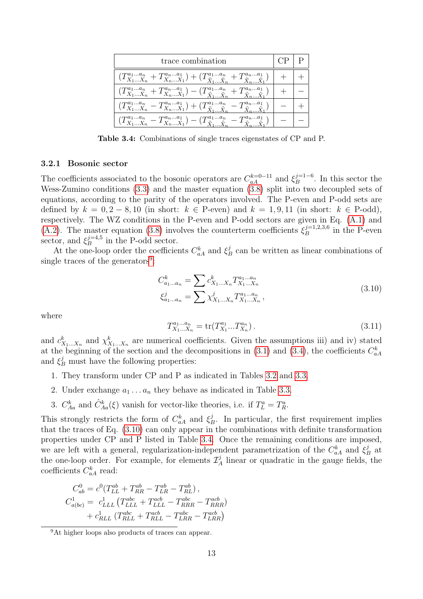<span id="page-14-2"></span>

| trace combination                                                                                                                         |  |
|-------------------------------------------------------------------------------------------------------------------------------------------|--|
| $(T^{a_1a_n}_{X_1X_n}+T^{a_na_1}_{X_nX_1})+(T^{a_1a_n}_{\tilde{X}_1\tilde{X}_n}+T^{a_na_1}_{\tilde{X}_2\tilde{X}_1})$                     |  |
| $(T^{a_1a_n}_{X_1X_n}+T^{a_na_1}_{X_nX_1})-(T^{a_1a_n}_{\tilde{X}_1 \dots \tilde{X}_n}+T^{a_na_1}_{\tilde{X}_n \dots \tilde{X}_1})$       |  |
| $(T^{a_1a_n}_{X_1X_n}-T^{a_na_1}_{X_nX_1})+(T^{a_1a_n}_{\tilde{X}_1\tilde{X}_n}-T^{a_na_1}_{\tilde{X}_n\tilde{X}_1})$                     |  |
| $(T^{a_1a_n}_{X_1X_n} - T^{a_na_1}_{X_nX_1}) - (T^{a_1a_n}_{\tilde{X}_1 \dots \tilde{X}_n} - T^{a_na_1}_{\tilde{X}_1 \dots \tilde{X}_n})$ |  |

Table 3.4: Combinations of single traces eigenstates of CP and P.

#### 3.2.1 Bosonic sector

The coefficients associated to the bosonic operators are  $C_{aA}^{k=0-11}$  and  $\xi_B^{j=1-6}$  $B^{\frac{j-1}{D}-b}$ . In this sector the Wess-Zumino conditions [\(3.3\)](#page-11-0) and the master equation [\(3.8\)](#page-12-2) split into two decoupled sets of equations, according to the parity of the operators involved. The P-even and P-odd sets are defined by  $k = 0, 2 - 8, 10$  (in short:  $k \in$  P-even) and  $k = 1, 9, 11$  (in short:  $k \in$  P-odd), respectively. The WZ conditions in the P-even and P-odd sectors are given in Eq. [\(A.1\)](#page-37-3) and [\(A.2\)](#page-38-2). The master equation [\(3.8\)](#page-12-2) involves the counterterm coefficients  $\xi_B^{j=1,2,3,6}$  $B^{j=1,2,3,6}$  in the P-even sector, and  $\xi_B^{j=4,5}$  $B^{j=4,5}$  in the P-odd sector.

At the one-loop order the coefficients  $C_{aA}^k$  and  $\xi_I^j$  $B_B^j$  can be written as linear combinations of single traces of the generators<sup>[9](#page-14-0)</sup>:

$$
C_{a_1...a_n}^k = \sum c_{X_1...X_n}^k T_{X_1...X_n}^{a_1...a_n}
$$
  
\n
$$
\xi_{a_1...a_n}^j = \sum \chi_{X_1...X_n}^j T_{X_1...X_n}^{a_1...a_n},
$$
\n(3.10)

where

<span id="page-14-1"></span>
$$
T_{X_1...X_n}^{a_1...a_n} = \text{tr}(T_{X_1}^{a_1}...T_{X_n}^{a_n}).
$$
\n(3.11)

and  $c_{X_1...X_n}^k$  and  $\chi_{X_1...X_n}^k$  are numerical coefficients. Given the assumptions iii) and iv) stated at the beginning of the section and the decompositions in [\(3.1\)](#page-10-1) and [\(3.4\)](#page-11-2), the coefficients  $C_{aA}^k$ and  $\xi_B^j$  must have the following properties:

- 1. They transform under CP and P as indicated in Tables [3.2](#page-11-1) and [3.3.](#page-13-1)
- 2. Under exchange  $a_1 \ldots a_n$  they behave as indicated in Table [3.3.](#page-13-1)
- 3.  $C_{Aa}^k$  and  $\hat{C}_{Aa}^k(\xi)$  vanish for vector-like theories, i.e. if  $T_L^a = T_R^a$ .

This strongly restricts the form of  $C_{aA}^k$  and  $\xi_I^j$  $B<sub>B</sub>$ . In particular, the first requirement implies that the traces of Eq. [\(3.10\)](#page-14-1) can only appear in the combinations with definite transformation properties under CP and P listed in Table [3.4.](#page-14-2) Once the remaining conditions are imposed, we are left with a general, regularization-independent parametrization of the  $C_{aA}^k$  and  $\xi_I^j$  $B^j$  at the one-loop order. For example, for elements  $\mathcal{I}_A^j$  $\frac{J}{A}$  linear or quadratic in the gauge fields, the coefficients  $C_{aA}^k$  read:

$$
C_{ab}^{0} = c^{0} (T_{LL}^{ab} + T_{RR}^{ab} - T_{LR}^{ab} - T_{RL}^{ab}),
$$
  
\n
$$
C_{a(bc)}^{1} = c_{LLL}^{1} (T_{LLL}^{abc} + T_{LLL}^{acb} - T_{RRR}^{abc} - T_{RRR}^{acb})
$$
  
\n
$$
+ c_{RLL}^{1} (T_{RLL}^{abc} + T_{RLL}^{acb} - T_{LRR}^{abc} - T_{LRR}^{acb})
$$

<span id="page-14-0"></span><sup>9</sup>At higher loops also products of traces can appear.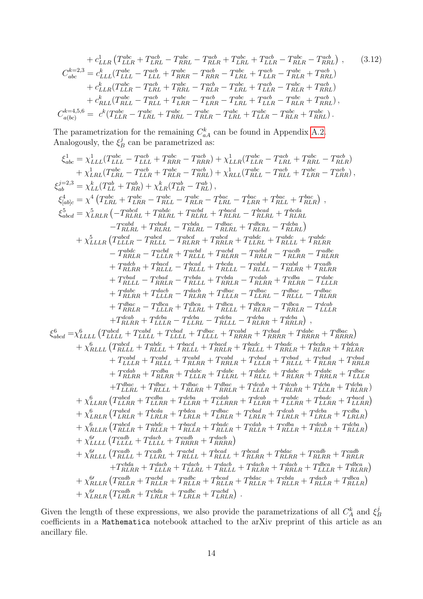$$
+ c_{LLR}^{1} \left( T_{LLR}^{abc} + T_{LRL}^{acb} - T_{RRL}^{abc} - T_{RLR}^{acb} + T_{LRL}^{abc} + T_{LLR}^{acb} - T_{RLR}^{abc} - T_{RRL}^{acb} \right), \qquad (3.12)
$$
\n
$$
C_{abc}^{k=2,3} = c_{LLL}^{k} (T_{LLL}^{abc} - T_{LLL}^{acb} + T_{RRR}^{abc} - T_{RRR}^{acb} - T_{LRL}^{abc} + T_{LLR}^{acb} - T_{RLR}^{abc} + T_{RRL}^{acb})
$$
\n
$$
+ c_{LLR}^{k} (T_{LLR}^{abc} - T_{LRL}^{acb} + T_{RRL}^{abc} - T_{LRL}^{abc} - T_{LRL}^{abc} + T_{LLR}^{acb} - T_{RLR}^{abc} + T_{RRL}^{acb})
$$
\n
$$
+ c_{RLL}^{k} (T_{RLL}^{abc} - T_{RLL}^{acb} + T_{LRR}^{abc} - T_{LR}^{abc} - T_{LRL}^{abc} + T_{LLR}^{acb} - T_{RLR}^{abc} + T_{RRL}^{acb}),
$$
\n
$$
C_{a(bc)}^{k=4,5,6} = c^{k} (T_{LLR}^{abc} - T_{LRL}^{abc} + T_{RRL}^{abc} - T_{RLR}^{abc} - T_{LRL}^{abc} - T_{RLR}^{abc} + T_{RRL}^{abc}).
$$
\n(3.12)

The parametrization for the remaining  $C_{aA}^k$  can be found in Appendix [A.2.](#page-38-1) Analogously, the  $\xi_I^j$  $B_B^j$  can be parametrized as:

$$
\xi_{abc}^{1} = \chi_{LLLL}^{1}(\mathbf{T}_{LLL}^{abc} - \mathbf{T}_{RRL}^{abc} - \mathbf{T}_{RRR}^{abc}) + \chi_{LLR}^{1}(\mathbf{T}_{LRL}^{abc} - \mathbf{T}_{RRL}^{abc}) + \chi_{LRL}^{1}(\mathbf{T}_{LRL}^{abc} - \mathbf{T}_{RRL}^{abc})
$$
\n
$$
+ \chi_{LRL}^{1}(\mathbf{T}_{LLL}^{abc} - \mathbf{T}_{LLR}^{abc}) + \chi_{RLL}^{1}(\mathbf{T}_{LLL}^{abc} - \mathbf{T}_{RRL}^{abc})
$$
\n
$$
\xi_{abc}^{4} = \chi_{LL}^{4}(\mathbf{T}_{LLL}^{abc} + \mathbf{T}_{RR}^{abc}) + \chi_{RL}^{5}(\mathbf{T}_{LRL}^{abc} - \mathbf{T}_{RL}^{abc})
$$
\n
$$
\xi_{abc}^{5} = \chi_{LRLR}^{5}(\mathbf{T}_{LRL}^{abc} + \mathbf{T}_{RRL}^{abc} - \mathbf{T}_{RRL}^{abc}) + \chi_{LRLR}^{5}(\mathbf{T}_{LRL}^{abc} - \mathbf{T}_{RRR}^{abc})
$$
\n
$$
\xi_{abcd}^{5} = \chi_{LRLR}^{5}(\mathbf{T}_{RLL}^{abc} + \mathbf{T}_{RLL}^{abc} - \mathbf{T}_{RLL}^{abc} - \mathbf{T}_{RRR}^{abc} + \mathbf{T}_{RRL}^{abc}) + \chi_{LLR}^{5}(\mathbf{T}_{LRL}^{abc} + \mathbf{T}_{RRR}^{abc}) + \chi_{LLR}^{5}(\mathbf{T}_{LRL}^{abc} - \mathbf{T}_{RRR}^{abc}) + \mathbf{T}_{RRLR}^{5}(\mathbf{T}_{LRL}^{abc} - \mathbf{T}_{RRR}^{abc}) + \mathbf{T}_{RRLR}^{5}(\mathbf{T}_{LLR}^{abc} - \mathbf{T}_{RRR}^{abc}) + \mathbf{T}_{RRLR}^{5}(\mathbf{T}_{LLR}^{abc} - \mathbf{T}_{RRR}^{abc}) + \mathbf{T}_{RRLR}^{5}(\mathbf{T}_{LLR}^{abc} - \mathbf{T}_{RRR}^{abc}) + \mathbf{T}_{RRLR}^{5}(\mathbf{T}_{LLR}^{abc} - \mathbf{T}_{RRR}^{abc}) + \mathbf{T}_{RRLR}^{5}(\mathbf{T}_{LLR}^{abc} - \mathbf{T}_{RRR}^{abc}) + \mathbf{T}_{RRLR}^{5}(\mathbf{T}_{L
$$

Given the length of these expressions, we also provide the parametrizations of all  $C_A^k$  and  $\xi_I^j$ B coefficients in a Mathematica notebook attached to the arXiv preprint of this article as an ancillary file.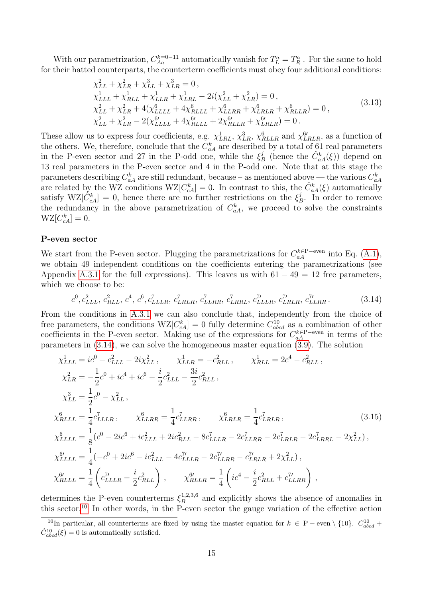With our parametrization,  $C_{Aa}^{k=0-11}$  automatically vanish for  $T_L^a = T_R^a$ . For the same to hold for their hatted counterparts, the counterterm coefficients must obey four additional conditions:

$$
\chi_{LL}^{2} + \chi_{LR}^{2} + \chi_{LL}^{3} + \chi_{LR}^{3} = 0, \n\chi_{LLL}^{1} + \chi_{RLL}^{1} + \chi_{LLR}^{1} + \chi_{LRL}^{1} - 2i(\chi_{LL}^{2} + \chi_{LR}^{2}) = 0, \n\chi_{LL}^{2} + \chi_{LR}^{2} + 4(\chi_{LLLL}^{6} + 4\chi_{RLLL}^{6} + \chi_{LRR}^{6} + \chi_{RLLR}^{6} + \chi_{RLLR}^{6}) = 0, \n\chi_{LL}^{2} + \chi_{LR}^{2} - 2(\chi_{LLLL}^{6'} + 4\chi_{RLLL}^{6'} + 2\chi_{RLLR}^{6'} + \chi_{LRLR}^{6'}) = 0.
$$
\n(3.13)

These allow us to express four coefficients, e.g.  $\chi^1_{LRL}$ ,  $\chi^3_{LRL}$ ,  $\chi^6_{RLLR}$  and  $\chi^{6\prime}_{LRLR}$ , as a function of the others. We, therefore, conclude that the  $C_{aA}^k$  are described by a total of 61 real parameters in the P-even sector and 27 in the P-odd one, while the  $\xi_l^j$  $B_B^j$  (hence the  $\hat{C}_{aA}^k(\xi)$ ) depend on 13 real parameters in the P-even sector and 4 in the P-odd one. Note that at this stage the parameters describing  $C_{aA}^k$  are still redundant, because – as mentioned above — the various  $C_{aA}^k$ are related by the WZ conditions  $WZ[C_{cA}^k] = 0$ . In contrast to this, the  $\hat{C}_{aA}^k(\xi)$  automatically satisfy  $WZ[\tilde{C}_{cA}^k] = 0$ , hence there are no further restrictions on the  $\xi_I^j$  $B^j$ . In order to remove the redundancy in the above parametrization of  $C_{a}^{k}$ , we proceed to solve the constraints  $WZ[C_{cA}^k] = 0.$ 

#### P-even sector

We start from the P-even sector. Plugging the parametrizations for  $C_{aA}^{k\in P-even}$  into Eq. [\(A.1\)](#page-37-3), we obtain 49 independent conditions on the coefficients entering the parametrizations (see Appendix [A.3.1](#page-44-0) for the full expressions). This leaves us with  $61 - 49 = 12$  free parameters, which we choose to be:

<span id="page-16-0"></span>
$$
c^0, c^2_{LLL}, c^2_{RLL}, c^4, c^6, c^7_{LLLR}, c^7_{LRLR}, c^7_{LLRR}, c^7_{LRRL}, c^7_{LLLR}, c^7_{LLRR}, c^7_{LLRR}.\tag{3.14}
$$

From the conditions in [A.3.1](#page-44-0) we can also conclude that, independently from the choice of free parameters, the conditions  $WZ[C_{cA}^k] = 0$  fully determine  $C_{abcd}^{10}$  as a combination of other coefficients in the P-even sector. Making use of the expressions for  $C_{aA}^{k∈P-even}$  in terms of the parameters in [\(3.14\)](#page-16-0), we can solve the homogeneous master equation [\(3.9\)](#page-12-3). The solution

<span id="page-16-2"></span>
$$
\chi_{LLL}^1 = ic^0 - c_{LLL}^2 - 2i\chi_{LL}^2, \qquad \chi_{LLR}^1 = -c_{RLL}^2, \qquad \chi_{RLL}^1 = 2c^4 - c_{RLL}^2,
$$
\n
$$
\chi_{LR}^2 = -\frac{1}{2}c^0 + ic^4 + ic^6 - \frac{i}{2}c_{LLL}^2 - \frac{3i}{2}c_{RLL}^2,
$$
\n
$$
\chi_{LL}^3 = \frac{1}{2}c^0 - \chi_{LL}^2,
$$
\n
$$
\chi_{RLLL}^6 = \frac{1}{4}c_{LLLR}^7, \qquad \chi_{LLRR}^6 = \frac{1}{4}c_{LLRR}^7, \qquad \chi_{LRR}^6 = \frac{1}{4}c_{LRRR}^7,
$$
\n
$$
\chi_{LLLL}^6 = \frac{1}{8}(c^0 - 2ic^6 + ic_{LLL}^2 + 2ic_{RLL}^2 - 8c_{LLLR}^7 - 2c_{LLRR}^7 - 2c_{LRLR}^7 - 2c_{LRRL}^7 - 2\chi_{LL}^2),
$$
\n
$$
\chi_{LLLL}^6 = \frac{1}{4}(-c^0 + 2ic^6 - ic_{LLL}^2 - 4c_{LLLR}^7 - 2c_{LLRR}^7 - c_{LRLR}^7 + 2\chi_{LL}^2),
$$
\n
$$
\chi_{RLLL}^6 = \frac{1}{4}\left(c_{LLLR}^7 - \frac{i}{2}c_{RLL}^2\right), \qquad \chi_{RLLR}^6 = \frac{1}{4}\left(ic^4 - \frac{i}{2}c_{RLL}^2 + c_{LLRR}^7\right),
$$
\n(3.15)

determines the P-even counterterms  $\xi_R^{1,2,3,6}$  $B<sub>B</sub><sup>1,2,3,6</sup>$  and explicitly shows the absence of anomalies in this sector.<sup>[10](#page-16-1)</sup> In other words, in the P-even sector the gauge variation of the effective action

<span id="page-16-1"></span><sup>&</sup>lt;sup>10</sup>In particular, all counterterms are fixed by using the master equation for  $k \in P -$  even  $\setminus \{10\}$ .  $C_{abcd}^{10}$  $\hat{C}_{abcd}^{10}(\xi) = 0$  is automatically satisfied.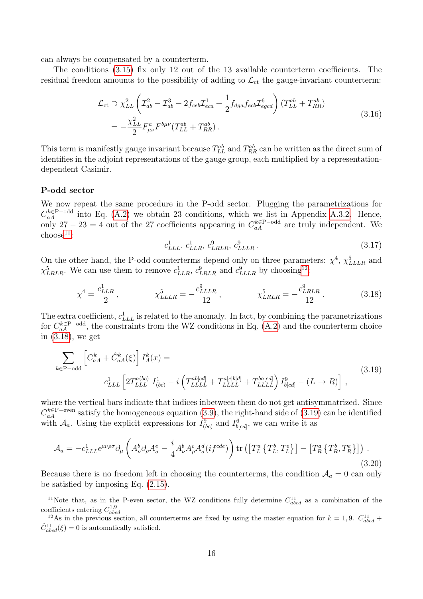can always be compensated by a counterterm.

The conditions [\(3.15\)](#page-16-2) fix only 12 out of the 13 available counterterm coefficients. The residual freedom amounts to the possibility of adding to  $\mathcal{L}_{ct}$  the gauge-invariant counterterm:

$$
\mathcal{L}_{ct} \supset \chi_{LL}^{2} \left( \mathcal{I}_{ab}^{2} - \mathcal{I}_{ab}^{3} - 2f_{ceb} \mathcal{I}_{eca}^{1} + \frac{1}{2} f_{dga} f_{ecb} \mathcal{I}_{egcd}^{6} \right) (T_{LL}^{ab} + T_{RR}^{ab})
$$
\n
$$
= -\frac{\chi_{LL}^{2}}{2} F_{\mu\nu}^{a} F_{\mu\nu} (T_{LL}^{ab} + T_{RR}^{ab}). \tag{3.16}
$$

This term is manifestly gauge invariant because  $T_{LL}^{ab}$  and  $T_{RR}^{ab}$  can be written as the direct sum of identifies in the adjoint representations of the gauge group, each multiplied by a representationdependent Casimir.

#### P-odd sector

We now repeat the same procedure in the P-odd sector. Plugging the parametrizations for  $C_{aA}^{k\in P-odd}$  into Eq. [\(A.2\)](#page-38-2) we obtain 23 conditions, which we list in Appendix [A.3.2.](#page-45-0) Hence, only 27 − 23 = 4 out of the 27 coefficients appearing in  $C_{aA}^{k \in P-odd}$  are truly independent. We  $choose<sup>11</sup>$  $choose<sup>11</sup>$  $choose<sup>11</sup>$ :

<span id="page-17-5"></span><span id="page-17-4"></span><span id="page-17-3"></span>
$$
c_{LLL}^1, c_{LLR}^1, c_{LRLR}^9, c_{LLLLR}^9. \tag{3.17}
$$

On the other hand, the P-odd counterterms depend only on three parameters:  $\chi^4$ ,  $\chi^5_{LLLR}$  and  $\chi_{LRLR}^{5}$ . We can use them to remove  $c_{LLR}^{1}$ ,  $c_{LRLR}^{9}$  and  $c_{LLLR}^{9}$  by choosing<sup>[12](#page-17-2)</sup>:

$$
\chi^4 = \frac{c_{LLR}^1}{2}, \qquad \chi_{LLLR}^5 = -\frac{c_{LLLR}^9}{12}, \qquad \chi_{LRLR}^5 = -\frac{c_{LRLR}^9}{12}.
$$
 (3.18)

The extra coefficient,  $c_{LLL}^1$  is related to the anomaly. In fact, by combining the parametrizations for  $C_{aA}^{k\in P-odd}$ , the constraints from the WZ conditions in Eq. [\(A.2\)](#page-38-2) and the counterterm choice in [\(3.18\)](#page-17-3), we get

$$
\sum_{k \in \text{P-odd}} \left[ C_{aA}^k + \hat{C}_{aA}^k(\xi) \right] I_A^k(x) =
$$
\n
$$
c_{LLL}^1 \left[ 2T_{LLL}^{a(bc)} I_{(bc)}^1 - i \left( T_{LLL}^{ab[cd]} + T_{LLL}^{a[c[b]d]} + T_{LLL}^{ba[cd]} \right) I_{b[cd]}^9 - (L \to R) \right],
$$
\n(3.19)

where the vertical bars indicate that indices inbetween them do not get antisymmatrized. Since  $C_{aA}^{k \in \mathcal{P}-even}$  satisfy the homogeneous equation [\(3.9\)](#page-12-3), the right-hand side of [\(3.19\)](#page-17-4) can be identified with  $\mathcal{A}_a$ . Using the explicit expressions for  $I^9_{(bc)}$  and  $I^6_{b[cd]}$ , we can write it as

$$
\mathcal{A}_{a} = -c_{LLL}^{1} \epsilon^{\mu\nu\rho\sigma} \partial_{\mu} \left( A_{\nu}^{b} \partial_{\rho} A_{\sigma}^{e} - \frac{i}{4} A_{\nu}^{b} A_{\rho}^{c} A_{\sigma}^{d}(i f^{cde}) \right) \text{tr} \left( \left[ T_{L}^{a} \left\{ T_{L}^{b}, T_{L}^{e} \right\} \right] - \left[ T_{R}^{a} \left\{ T_{R}^{b}, T_{R}^{e} \right\} \right] \right) \tag{3.20}
$$

Because there is no freedom left in choosing the counterterms, the condition  $A_a = 0$  can only be satisfied by imposing Eq. [\(2.15\)](#page-7-0).

<span id="page-17-1"></span><span id="page-17-0"></span><sup>&</sup>lt;sup>11</sup>Note that, as in the P-even sector, the WZ conditions fully determine  $C_{abcd}^{11}$  as a combination of the coefficients entering  $C_{abcd}^{1,9}$ 

<span id="page-17-2"></span><sup>&</sup>lt;sup>12</sup>As in the previous section, all counterterms are fixed by using the master equation for  $k = 1, 9$ .  $C_{abcd}^{11}$  $\hat{C}_{abcd}^{11}(\xi) = 0$  is automatically satisfied.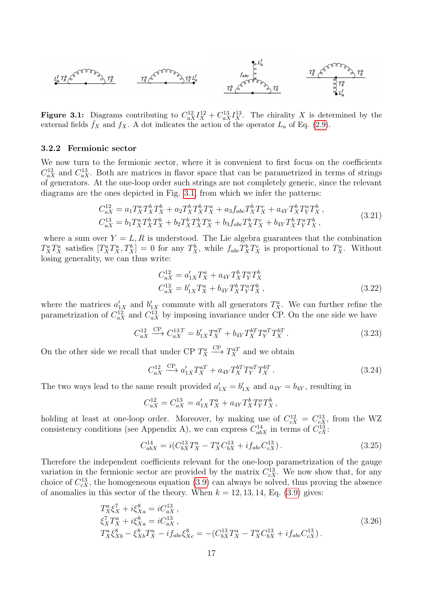<span id="page-18-0"></span>
$$
L_a^f T_x^b \xleftarrow{\mathcal{E}}^{\mathcal{E}^{\mathcal{E}^{\mathcal{E}^{\mathcal{E}^{\mathcal{E}^{\mathcal{E}^{\mathcal{E}^{\mathcal{E}^{\mathcal{E}^{\mathcal{E}^{\mathcal{E}^{\mathcal{E}^{\mathcal{E}^{\mathcal{E}^{\mathcal{E}^{\mathcal{E}^{\mathcal{E}^{\mathcal{E}^{\mathcal{E}^{\mathcal{E}^{\mathcal{E}^{\mathcal{E}^{\mathcal{E}^{\mathcal{E}^{\mathcal{E}^{\mathcal{E}^{\mathcal{E}^{\mathcal{E}^{\mathcal{E}^{\mathcal{E}^{\mathcal{E}^{\mathcal{E}^{\mathcal{E}^{\mathcal{E}^{\mathcal{E}^{\mathcal{E}^{\mathcal{E}^{\mathcal{E}^{\mathcal{E}^{\mathcal{E}^{\mathcal{E}^{\mathcal{E}^{\mathcal{E}^{\mathcal{E}^{\mathcal{E}^{\mathcal{E}^{\mathcal{E}^{\mathcal{E}^{\mathcal{E}^{\mathcal{E}^{\mathcal{E}^{\mathcal{E}^{\mathcal{E}^{\mathcal{E}^{\mathcal{E}^{\mathcal{E}^{\mathcal{E}^{\mathcal{E}^{\mathcal{E}^{\mathcal{E}^{\mathcal{E}^{\mathcal{E}^{\mathcal{E}^{\mathcal{E}^{\mathcal{E}^{\mathcal{E}^{\mathcal{E}^{\mathcal{E}^{\mathcal{E}^{\mathcal{E}^{\mathcal{E}^{\mathcal{E}^{\mathcal{E}^{\mathcal{E}^{\mathcal{E}^{\mathcal{E}^{\mathcal{E}^{\mathcal{E}^{\mathcal{E}^{\mathcal{E}^{\mathcal{E}^{\mathcal{E}^{\mathcal{E}^{\mathcal{E}^{\mathcal{E}^{\mathcal{E}^{\mathcal{E}^{\mathcal{E}^{\mathcal{E}^{\mathcal{E}^{\mathcal{E}^{\mathcal{E}^{\mathcal{E}^{\mathcal{E}^{\mathcal{E}^{\mathcal{E}^{\mathcal{E}^{\mathcal{E}^{\mathcal{E}^{\mathcal{E}^{\mathcal{E}^{\mathcal{E}^{\mathcal{E}^{\mathcal{E}^{\mathcal{E}^{\mathcal{E
$$

**Figure 3.1:** Diagrams contributing to  $C_{aX}^{12}I_X^{12}+C_{aX}^{13}I_X^{13}$ . The chirality X is determined by the external fields  $\bar{f}_X$  and  $f_X$ . A dot indicates the action of the operator  $L_a$  of Eq. [\(2.9\)](#page-6-5).

#### 3.2.2 Fermionic sector

We now turn to the fermionic sector, where it is convenient to first focus on the coefficients  $C_{aX}^{12}$  and  $C_{aX}^{13}$ . Both are matrices in flavor space that can be parametrized in terms of strings of generators. At the one-loop order such strings are not completely generic, since the relevant diagrams are the ones depicted in Fig. [3.1,](#page-18-0) from which we infer the patterns:

$$
C_{aX}^{12} = a_1 T_X^a T_X^b T_X^b + a_2 T_X^b T_X^b T_X^a + a_3 f_{abc} T_X^b T_X^c + a_{4Y} T_X^b T_Y^a T_X^b,
$$
  
\n
$$
C_{aX}^{13} = b_1 T_X^a T_X^b T_X^b + b_2 T_X^b T_X^b T_X^a + b_3 f_{abc} T_X^b T_X^c + b_{4Y} T_X^b T_Y^a T_X^b,
$$
\n(3.21)

where a sum over  $Y = L, R$  is understood. The Lie algebra guarantees that the combination  $T_X^a T_X^a$  satisfies  $[T_X^a T_X^a, T_X^b] = 0$  for any  $T_X^b$ , while  $f_{abc} T_X^b T_X^c$  is proportional to  $T_X^a$ . Without losing generality, we can thus write:

$$
C_{aX}^{12} = a'_{1X} T_X^a + a_{4Y} T_X^b T_Y^a T_X^b
$$
  
\n
$$
C_{aX}^{13} = b'_{1X} T_X^a + b_{4Y} T_X^b T_Y^a T_X^b,
$$
\n(3.22)

where the matrices  $a'_{1X}$  and  $b'_{1X}$  commute with all generators  $T_X^a$ . We can further refine the parametrization of  $C_{aX}^{12}$  and  $C_{aX}^{13}$  by imposing invariance under CP. On the one side we have

$$
C_{aX}^{12} \xrightarrow{\text{CP}} C_{aX}^{13T} = b_{1X}' T_X^{aT} + b_{4Y} T_X^{bT} T_Y^{aT} T_X^{bT} . \tag{3.23}
$$

On the other side we recall that under CP  $T_X^a$  $\xrightarrow{\text{CP}} T_X^{aT}$  and we obtain

$$
C_{aX}^{12} \xrightarrow{\text{CP}} a'_{1X} T_X^{aT} + a_{4Y} T_X^{bT} T_Y^{aT} T_X^{bT}.
$$
\n(3.24)

The two ways lead to the same result provided  $a'_{1X} = b'_{1X}$  and  $a_{4Y} = b_{4Y}$ , resulting in

$$
C^{12}_{aX} = C^{13}_{aX} = a'_{1X}T^a_X + a_{4Y}T^b_XT^a_YT^b_X \,,
$$

holding at least at one-loop order. Moreover, by making use of  $C_{cX}^{12} = C_{cX}^{13}$ , from the WZ consistency conditions (see Appendix A), we can express  $C_{abX}^{14}$  in terms of  $C_{cX}^{13}$ .

<span id="page-18-1"></span>
$$
C_{abX}^{14} = i(C_{bX}^{13}T_X^a - T_X^a C_{bX}^{13} + i f_{abc} C_{cX}^{13}).
$$
\n(3.25)

Therefore the independent coefficients relevant for the one-loop parametrization of the gauge variation in the fermionic sector are provided by the matrix  $C_{cX}^{13}$ . We now show that, for any choice of  $C_{cX}^{13}$ , the homogeneous equation [\(3.9\)](#page-12-3) can always be solved, thus proving the absence of anomalies in this sector of the theory. When  $k = 12, 13, 14,$  Eq. [\(3.9\)](#page-12-3) gives:

$$
T_X^a \xi_X^7 + i \xi_{Xa}^8 = i C_{aX}^{13},
$$
  
\n
$$
\xi_X^7 T_X^a + i \xi_{Xa}^8 = i C_{aX}^{13},
$$
  
\n
$$
T_X^a \xi_{Xb}^8 - \xi_{Xb}^8 T_X^a - i f_{abc} \xi_{Xc}^8 = -(C_{bX}^{13} T_X^a - T_X^a C_{bX}^{13} + i f_{abc} C_{cX}^{13}).
$$
\n(3.26)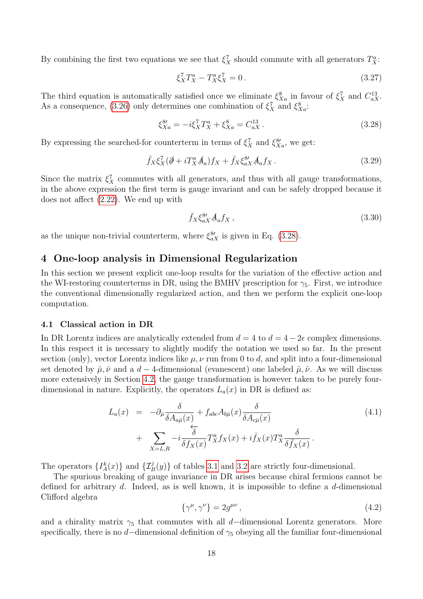By combining the first two equations we see that  $\xi_X^7$  should commute with all generators  $T_X^a$ :

$$
\xi_X^7 T_X^a - T_X^a \xi_X^7 = 0. \tag{3.27}
$$

The third equation is automatically satisfied once we eliminate  $\xi_{Xa}^8$  in favour of  $\xi_X^7$  and  $C_{aX}^{13}$ . As a consequence, [\(3.26\)](#page-18-1) only determines one combination of  $\xi_X^7$  and  $\xi_{Xa}^8$ :

<span id="page-19-2"></span>
$$
\xi_{Xa}^{8\prime} = -i\xi_X^7 T_X^a + \xi_{Xa}^8 = C_{aX}^{13} \,. \tag{3.28}
$$

By expressing the searched-for counterterm in terms of  $\xi_X^7$  and  $\xi_{Xa}^{8}$ , we get:

$$
\bar{f}_X \xi_X^7 (\partial \!\!\!/ + i T_X^a A_a) f_X + \bar{f}_X \xi_{aX}^{8\prime} A_a f_X \,. \tag{3.29}
$$

Since the matrix  $\xi_X^7$  commutes with all generators, and thus with all gauge transformations, in the above expression the first term is gauge invariant and can be safely dropped because it does not affect [\(2.22\)](#page-8-3). We end up with

<span id="page-19-3"></span>
$$
\bar{f}_X \xi_{aX}^{8\prime} A_a f_X , \qquad (3.30)
$$

<span id="page-19-0"></span>as the unique non-trivial counterterm, where  $\xi_{aX}^{8\prime}$  is given in Eq. [\(3.28\)](#page-19-2).

### 4 One-loop analysis in Dimensional Regularization

In this section we present explicit one-loop results for the variation of the effective action and the WI-restoring counterterms in DR, using the BMHV prescription for  $\gamma_5$ . First, we introduce the conventional dimensionally regularized action, and then we perform the explicit one-loop computation.

#### <span id="page-19-1"></span>4.1 Classical action in DR

In DR Lorentz indices are analytically extended from  $d = 4$  to  $d = 4 - 2\epsilon$  complex dimensions. In this respect it is necessary to slightly modify the notation we used so far. In the present section (only), vector Lorentz indices like  $\mu, \nu$  run from 0 to d, and split into a four-dimensional set denoted by  $\bar{\mu}, \bar{\nu}$  and a d – 4-dimensional (evanescent) one labeled  $\hat{\mu}, \hat{\nu}$ . As we will discuss more extensively in Section [4.2,](#page-21-0) the gauge transformation is however taken to be purely fourdimensional in nature. Explicitly, the operators  $L_a(x)$  in DR is defined as:

$$
L_a(x) = -\partial_{\bar{\mu}} \frac{\delta}{\delta A_{a\bar{\mu}}(x)} + f_{abc} A_{b\bar{\mu}}(x) \frac{\delta}{\delta A_{c\bar{\mu}}(x)}
$$
  
+ 
$$
\sum_{X=L,R} -i \frac{\delta}{\delta f_X(x)} T_X^a f_X(x) + i \bar{f}_X(x) T_X^a \frac{\delta}{\delta \bar{f}_X(x)}.
$$
 (4.1)

The operators  $\{I_A^k(x)\}\$  and  $\{\mathcal{I}_B^j(y)\}\$  of tables [3.1](#page-10-0) and [3.2](#page-11-1) are strictly four-dimensional.

The spurious breaking of gauge invariance in DR arises because chiral fermions cannot be defined for arbitrary d. Indeed, as is well known, it is impossible to define a d-dimensional Clifford algebra

$$
\{\gamma^{\mu}, \gamma^{\nu}\} = 2g^{\mu\nu},\tag{4.2}
$$

and a chirality matrix  $\gamma_5$  that commutes with all d–dimensional Lorentz generators. More specifically, there is no d–dimensional definition of  $\gamma_5$  obeying all the familiar four-dimensional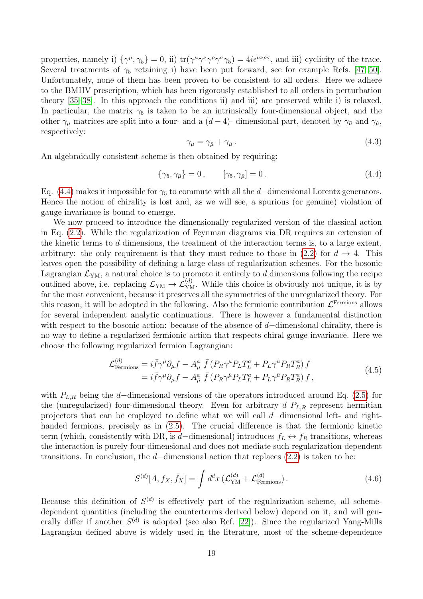properties, namely i)  $\{\gamma^{\mu}, \gamma_5\} = 0$ , ii)  $\text{tr}(\gamma^{\mu} \gamma^{\nu} \gamma^{\rho} \gamma^{\sigma} \gamma_5) = 4i \epsilon^{\mu \nu \rho \sigma}$ , and iii) cyclicity of the trace. Several treatments of  $\gamma_5$  retaining i) have been put forward, see for example Refs. [\[47–](#page-50-2)[50\]](#page-50-3). Unfortunately, none of them has been proven to be consistent to all orders. Here we adhere to the BMHV prescription, which has been rigorously established to all orders in perturbation theory [\[35–](#page-49-10)[38\]](#page-50-4). In this approach the conditions ii) and iii) are preserved while i) is relaxed. In particular, the matrix  $\gamma_5$  is taken to be an intrinsically four-dimensional object, and the other  $\gamma_\mu$  matrices are split into a four- and a  $(d-4)$ - dimensional part, denoted by  $\gamma_{\bar{\mu}}$  and  $\gamma_{\hat{\mu}}$ , respectively:

$$
\gamma_{\mu} = \gamma_{\bar{\mu}} + \gamma_{\hat{\mu}}.
$$
\n
$$
(4.3)
$$

An algebraically consistent scheme is then obtained by requiring:

<span id="page-20-0"></span>
$$
\{\gamma_5, \gamma_{\bar{\mu}}\} = 0, \qquad [\gamma_5, \gamma_{\hat{\mu}}] = 0. \tag{4.4}
$$

Eq. [\(4.4\)](#page-20-0) makes it impossible for  $\gamma_5$  to commute with all the d–dimensional Lorentz generators. Hence the notion of chirality is lost and, as we will see, a spurious (or genuine) violation of gauge invariance is bound to emerge.

We now proceed to introduce the dimensionally regularized version of the classical action in Eq. [\(2.2\)](#page-5-2). While the regularization of Feynman diagrams via DR requires an extension of the kinetic terms to d dimensions, the treatment of the interaction terms is, to a large extent, arbitrary: the only requirement is that they must reduce to those in  $(2.2)$  for  $d \rightarrow 4$ . This leaves open the possibility of defining a large class of regularization schemes. For the bosonic Lagrangian  $\mathcal{L}_{\text{YM}}$ , a natural choice is to promote it entirely to d dimensions following the recipe outlined above, i.e. replacing  $\mathcal{L}_{YM} \to \mathcal{L}_{YM}^{(d)}$ . While this choice is obviously not unique, it is by far the most convenient, because it preserves all the symmetries of the unregularized theory. For this reason, it will be adopted in the following. Also the fermionic contribution  $\mathcal{L}^{\text{Fermions}}$  allows for several independent analytic continuations. There is however a fundamental distinction with respect to the bosonic action: because of the absence of  $d$ -dimensional chirality, there is no way to define a regularized fermionic action that respects chiral gauge invariance. Here we choose the following regularized fermion Lagrangian:

$$
\mathcal{L}_{\text{Fermions}}^{(d)} = i\bar{f}\gamma^{\mu}\partial_{\mu}f - A_{\mu}^{a}\bar{f}(P_{R}\gamma^{\mu}P_{L}T_{L}^{a} + P_{L}\gamma^{\mu}P_{R}T_{R}^{a})f
$$
\n
$$
= i\bar{f}\gamma^{\mu}\partial_{\mu}f - A_{\bar{\mu}}^{a}\bar{f}(P_{R}\gamma^{\bar{\mu}}P_{L}T_{L}^{a} + P_{L}\gamma^{\bar{\mu}}P_{R}T_{R}^{a})f,
$$
\n(4.5)

with  $P_{L,R}$  being the d–dimensional versions of the operators introduced around Eq. [\(2.5\)](#page-5-5) for the (unregularized) four-dimensional theory. Even for arbitrary  $d P_{L,R}$  represent hermitian projectors that can be employed to define what we will call d−dimensional left- and righthanded fermions, precisely as in  $(2.5)$ . The crucial difference is that the fermionic kinetic term (which, consistently with DR, is d–dimensional) introduces  $f_L \leftrightarrow f_R$  transitions, whereas the interaction is purely four-dimensional and does not mediate such regularization-dependent transitions. In conclusion, the d–dimensional action that replaces  $(2.2)$  is taken to be:

<span id="page-20-2"></span><span id="page-20-1"></span>
$$
S^{(d)}[A, f_X, \bar{f}_X] = \int d^d x \left( \mathcal{L}_{\text{YM}}^{(d)} + \mathcal{L}_{\text{Fermions}}^{(d)} \right). \tag{4.6}
$$

Because this definition of  $S^{(d)}$  is effectively part of the regularization scheme, all schemedependent quantities (including the counterterms derived below) depend on it, and will generally differ if another  $S^{(d)}$  is adopted (see also Ref. [\[22\]](#page-49-11)). Since the regularized Yang-Mills Lagrangian defined above is widely used in the literature, most of the scheme-dependence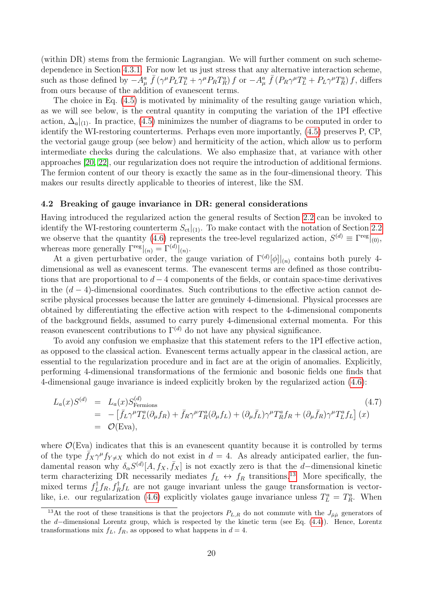(within DR) stems from the fermionic Lagrangian. We will further comment on such schemedependence in Section [4.3.1.](#page-25-0) For now let us just stress that any alternative interaction scheme, such as those defined by  $-A_\mu^a \bar{f} (\gamma^\mu P_L T_L^a + \gamma^\mu P_R T_R^a) f$  or  $-A_\mu^a \bar{f} (P_R \gamma^\mu T_L^a + P_L \gamma^\mu T_R^a) f$ , differs from ours because of the addition of evanescent terms.

The choice in Eq. [\(4.5\)](#page-20-1) is motivated by minimality of the resulting gauge variation which, as we will see below, is the central quantity in computing the variation of the 1PI effective action,  $\Delta_a|_{(1)}$ . In practice, [\(4.5\)](#page-20-1) minimizes the number of diagrams to be computed in order to identify the WI-restoring counterterms. Perhaps even more importantly, [\(4.5\)](#page-20-1) preserves P, CP, the vectorial gauge group (see below) and hermiticity of the action, which allow us to perform intermediate checks during the calculations. We also emphasize that, at variance with other approaches [\[20,](#page-49-5) [22\]](#page-49-11), our regularization does not require the introduction of additional fermions. The fermion content of our theory is exactly the same as in the four-dimensional theory. This makes our results directly applicable to theories of interest, like the SM.

#### <span id="page-21-0"></span>4.2 Breaking of gauge invariance in DR: general considerations

Having introduced the regularized action the general results of Section [2.2](#page-6-0) can be invoked to identify the WI-restoring counterterm  $S_{\text{ct}}|_{(1)}$ . To make contact with the notation of Section [2.2](#page-6-0) we observe that the quantity [\(4.6\)](#page-20-2) represents the tree-level regularized action,  $S^{(d)} \equiv \Gamma^{\text{reg}}|_{(0)}$ , whereas more generally  $\Gamma^{\text{reg}}|_{(n)} = \Gamma^{(d)}|_{(n)}$ .

At a given perturbative order, the gauge variation of  $\Gamma^{(d)}[\phi]|_{(n)}$  contains both purely 4dimensional as well as evanescent terms. The evanescent terms are defined as those contributions that are proportional to  $d-4$  components of the fields, or contain space-time derivatives in the  $(d-4)$ -dimensional coordinates. Such contributions to the effective action cannot describe physical processes because the latter are genuinely 4-dimensional. Physical processes are obtained by differentiating the effective action with respect to the 4-dimensional components of the background fields, assumed to carry purely 4-dimensional external momenta. For this reason evanescent contributions to  $\Gamma^{(d)}$  do not have any physical significance.

To avoid any confusion we emphasize that this statement refers to the 1PI effective action, as opposed to the classical action. Evanescent terms actually appear in the classical action, are essential to the regularization procedure and in fact are at the origin of anomalies. Explicitly, performing 4-dimensional transformations of the fermionic and bosonic fields one finds that 4-dimensional gauge invariance is indeed explicitly broken by the regularized action [\(4.6\)](#page-20-2):

<span id="page-21-2"></span>
$$
L_a(x)S^{(d)} = L_a(x)S_{\text{Fermions}}^{(d)}
$$
\n
$$
= -\left[\bar{f}_L\gamma^\mu T_L^a(\partial_\mu f_R) + \bar{f}_R\gamma^\mu T_R^a(\partial_\mu f_L) + (\partial_\mu \bar{f}_L)\gamma^\mu T_R^af_R + (\partial_\mu \bar{f}_R)\gamma^\mu T_L^af_L\right](x)
$$
\n
$$
= \mathcal{O}(\text{Eva}), \qquad (4.7)
$$

where  $\mathcal{O}(Eva)$  indicates that this is an evanescent quantity because it is controlled by terms of the type  $\bar{f}_X \gamma^\mu f_{Y \neq X}$  which do not exist in  $d = 4$ . As already anticipated earlier, the fundamental reason why  $\delta_{\alpha}S^{(d)}[A, f_X, \bar{f}_X]$  is not exactly zero is that the d–dimensional kinetic term characterizing DR necessarily mediates  $f_L \leftrightarrow f_R$  transitions.<sup>[13](#page-21-1)</sup> More specifically, the mixed terms  $f_L^{\dagger}$  $L f_R$ ,  $f_R^{\dagger} f_L$  are not gauge invariant unless the gauge transformation is vector-like, i.e. our regularization [\(4.6\)](#page-20-2) explicitly violates gauge invariance unless  $T_L^a = T_R^a$ . When

<span id="page-21-1"></span><sup>&</sup>lt;sup>13</sup>At the root of these transitions is that the projectors  $P_{L,R}$  do not commute with the  $J_{\bar{\mu}\hat{\mu}}$  generators of the d−dimensional Lorentz group, which is respected by the kinetic term (see Eq. [\(4.4\)](#page-20-0)). Hence, Lorentz transformations mix  $f_L$ ,  $f_R$ , as opposed to what happens in  $d = 4$ .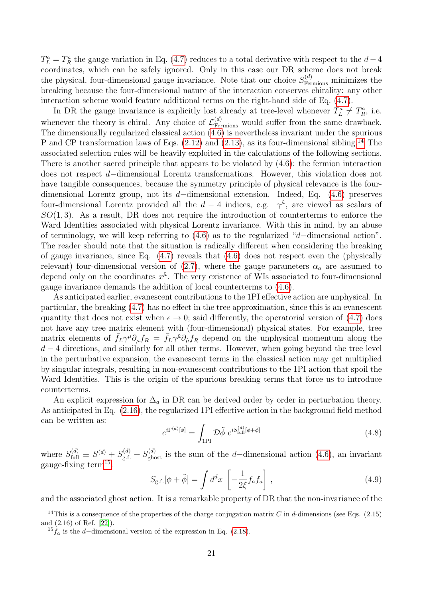$T_L^a = T_R^a$  the gauge variation in Eq. [\(4.7\)](#page-21-2) reduces to a total derivative with respect to the  $d-4$ coordinates, which can be safely ignored. Only in this case our DR scheme does not break the physical, four-dimensional gauge invariance. Note that our choice  $S_{\text{Fermions}}^{(d)}$  minimizes the breaking because the four-dimensional nature of the interaction conserves chirality: any other interaction scheme would feature additional terms on the right-hand side of Eq. [\(4.7\)](#page-21-2).

In DR the gauge invariance is explicitly lost already at tree-level whenever  $T_L^a \neq T_R^a$ , i.e. whenever the theory is chiral. Any choice of  $\mathcal{L}_{\text{Fermions}}^{(d)}$  would suffer from the same drawback. The dimensionally regularized classical action [\(4.6\)](#page-20-2) is nevertheless invariant under the spurious P and CP transformation laws of Eqs.  $(2.12)$  and  $(2.13)$ , as its four-dimensional sibling.<sup>[14](#page-22-0)</sup> The associated selection rules will be heavily exploited in the calculations of the following sections. There is another sacred principle that appears to be violated by [\(4.6\)](#page-20-2): the fermion interaction does not respect d−dimensional Lorentz transformations. However, this violation does not have tangible consequences, because the symmetry principle of physical relevance is the fourdimensional Lorentz group, not its d−dimensional extension. Indeed, Eq. [\(4.6\)](#page-20-2) preserves four-dimensional Lorentz provided all the  $d-4$  indices, e.g.  $\gamma^{\hat{\mu}}$ , are viewed as scalars of  $SO(1,3)$ . As a result, DR does not require the introduction of counterterms to enforce the Ward Identities associated with physical Lorentz invariance. With this in mind, by an abuse of terminology, we will keep referring to [\(4.6\)](#page-20-2) as to the regularized "d−dimensional action". The reader should note that the situation is radically different when considering the breaking of gauge invariance, since Eq. [\(4.7\)](#page-21-2) reveals that [\(4.6\)](#page-20-2) does not respect even the (physically relevant) four-dimensional version of [\(2.7\)](#page-5-3), where the gauge parameters  $\alpha_a$  are assumed to depend only on the coordinates  $x^{\bar{\mu}}$ . The very existence of WIs associated to four-dimensional gauge invariance demands the addition of local counterterms to [\(4.6\)](#page-20-2).

As anticipated earlier, evanescent contributions to the 1PI effective action are unphysical. In particular, the breaking [\(4.7\)](#page-21-2) has no effect in the tree approximation, since this is an evanescent quantity that does not exist when  $\epsilon \to 0$ ; said differently, the operatorial version of [\(4.7\)](#page-21-2) does not have any tree matrix element with (four-dimensional) physical states. For example, tree matrix elements of  $\bar{f}_L \gamma^\mu \partial_\mu f_R = \bar{f}_L \gamma^{\hat{\mu}} \partial_{\hat{\mu}} f_R$  depend on the unphysical momentum along the  $d-4$  directions, and similarly for all other terms. However, when going beyond the tree level in the perturbative expansion, the evanescent terms in the classical action may get multiplied by singular integrals, resulting in non-evanescent contributions to the 1PI action that spoil the Ward Identities. This is the origin of the spurious breaking terms that force us to introduce counterterms.

An explicit expression for  $\Delta_a$  in DR can be derived order by order in perturbation theory. As anticipated in Eq. [\(2.16\)](#page-7-2), the regularized 1PI effective action in the background field method can be written as:

$$
e^{i\Gamma^{(d)}[\phi]} = \int_{1\text{PI}} \mathcal{D}\tilde{\phi} \ e^{iS_{\text{full}}^{(d)}[\phi + \tilde{\phi}]}\n\tag{4.8}
$$

where  $S_{\text{full}}^{(d)} \equiv S^{(d)} + S_{\text{g.f.}}^{(d)} + S_{\text{ghost}}^{(d)}$  is the sum of the d–dimensional action [\(4.6\)](#page-20-2), an invariant gauge-fixing term<sup>[15](#page-22-1)</sup>:

$$
S_{\rm g.f.}[\phi + \tilde{\phi}] = \int d^d x \left[ -\frac{1}{2\xi} f_a f_a \right], \qquad (4.9)
$$

and the associated ghost action. It is a remarkable property of DR that the non-invariance of the

<span id="page-22-0"></span><sup>&</sup>lt;sup>14</sup>This is a consequence of the properties of the charge conjugation matrix C in d-dimensions (see Eqs.  $(2.15)$ ) and (2.16) of Ref. [\[22\]](#page-49-11)).

<span id="page-22-1"></span> $15f_a$  is the d–dimensional version of the expression in Eq. [\(2.18\)](#page-7-3).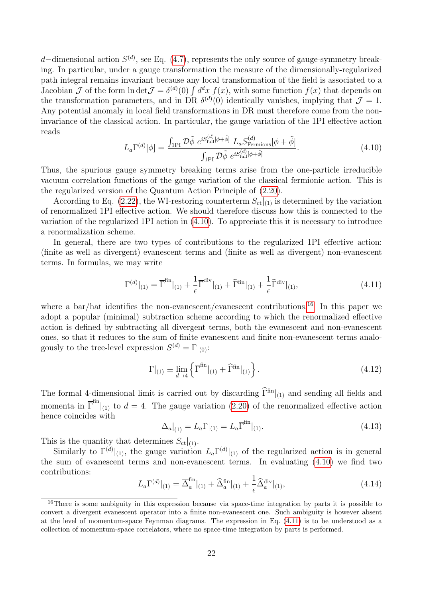d–dimensional action  $S^{(d)}$ , see Eq. [\(4.7\)](#page-21-2), represents the only source of gauge-symmetry breaking. In particular, under a gauge transformation the measure of the dimensionally-regularized path integral remains invariant because any local transformation of the field is associated to a Jacobian  $\mathcal J$  of the form  $\ln \det \mathcal J = \delta^{(d)}(0) \int d^dx f(x)$ , with some function  $f(x)$  that depends on the transformation parameters, and in DR  $\delta^{(d)}(0)$  identically vanishes, implying that  $\mathcal{J} = 1$ . Any potential anomaly in local field transformations in DR must therefore come from the noninvariance of the classical action. In particular, the gauge variation of the 1PI effective action reads

<span id="page-23-0"></span>
$$
L_a \Gamma^{(d)}[\phi] = \frac{\int_{1\text{PI}} \mathcal{D}\tilde{\phi} \ e^{iS_{\text{full}}^{(d)}[\phi + \tilde{\phi}]} \ L_a S_{\text{Fermions}}^{(d)}[\phi + \tilde{\phi}]}{\int_{1\text{PI}} \mathcal{D}\tilde{\phi} \ e^{iS_{\text{full}}^{(d)}[\phi + \tilde{\phi}]}}.
$$
(4.10)

Thus, the spurious gauge symmetry breaking terms arise from the one-particle irreducible vacuum correlation functions of the gauge variation of the classical fermionic action. This is the regularized version of the Quantum Action Principle of [\(2.20\)](#page-8-2).

According to Eq. [\(2.22\)](#page-8-3), the WI-restoring counterterm  $S_{ct}|_{(1)}$  is determined by the variation of renormalized 1PI effective action. We should therefore discuss how this is connected to the variation of the regularized 1PI action in [\(4.10\)](#page-23-0). To appreciate this it is necessary to introduce a renormalization scheme.

In general, there are two types of contributions to the regularized 1PI effective action: (finite as well as divergent) evanescent terms and (finite as well as divergent) non-evanescent terms. In formulas, we may write

<span id="page-23-2"></span>
$$
\Gamma^{(d)}|_{(1)} = \overline{\Gamma}^{\text{fin}}|_{(1)} + \frac{1}{\epsilon} \overline{\Gamma}^{\text{div}}|_{(1)} + \widehat{\Gamma}^{\text{fin}}|_{(1)} + \frac{1}{\epsilon} \widehat{\Gamma}^{\text{div}}|_{(1)},\tag{4.11}
$$

where a bar/hat identifies the non-evanescent/evanescent contributions.<sup>[16](#page-23-1)</sup> In this paper we adopt a popular (minimal) subtraction scheme according to which the renormalized effective action is defined by subtracting all divergent terms, both the evanescent and non-evanescent ones, so that it reduces to the sum of finite evanescent and finite non-evanescent terms analogously to the tree-level expression  $S^{(d)} = \Gamma|_{(0)}$ :

$$
\Gamma|_{(1)} \equiv \lim_{d \to 4} \left\{ \overline{\Gamma}^{\text{fin}}|_{(1)} + \widehat{\Gamma}^{\text{fin}}|_{(1)} \right\}.
$$
\n(4.12)

The formal 4-dimensional limit is carried out by discarding  $\hat{\Gamma}^{fin}|_{(1)}$  and sending all fields and momenta in  $\overline{\Gamma}^{\text{fin}}|_{(1)}$  to  $d=4$ . The gauge variation [\(2.20\)](#page-8-2) of the renormalized effective action hence coincides with

$$
\Delta_a|_{(1)} = L_a \Gamma|_{(1)} = L_a \overline{\Gamma}^{\text{fin}}|_{(1)}.
$$
\n(4.13)

This is the quantity that determines  $S_{\text{ct}}|_{(1)}$ .

Similarly to  $\Gamma^{(d)}|_{(1)}$ , the gauge variation  $L_a \Gamma^{(d)}|_{(1)}$  of the regularized action is in general the sum of evanescent terms and non-evanescent terms. In evaluating [\(4.10\)](#page-23-0) we find two contributions:

<span id="page-23-3"></span>
$$
L_a \Gamma^{(d)}|_{(1)} = \overline{\Delta}_a^{\text{fin}}|_{(1)} + \hat{\Delta}_a^{\text{fin}}|_{(1)} + \frac{1}{\epsilon} \hat{\Delta}_a^{\text{div}}|_{(1)},
$$
\n(4.14)

<span id="page-23-1"></span><sup>&</sup>lt;sup>16</sup>There is some ambiguity in this expression because via space-time integration by parts it is possible to convert a divergent evanescent operator into a finite non-evanescent one. Such ambiguity is however absent at the level of momentum-space Feynman diagrams. The expression in Eq. [\(4.11\)](#page-23-2) is to be understood as a collection of momentum-space correlators, where no space-time integration by parts is performed.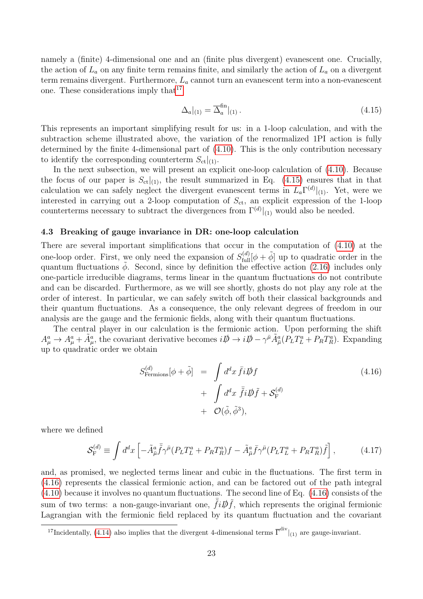namely a (finite) 4-dimensional one and an (finite plus divergent) evanescent one. Crucially, the action of  $L_a$  on any finite term remains finite, and similarly the action of  $L_a$  on a divergent term remains divergent. Furthermore,  $L_a$  cannot turn an evanescent term into a non-evanescent one. These considerations imply that  $17$ 

<span id="page-24-2"></span>
$$
\Delta_a|_{(1)} = \overline{\Delta}_a^{\text{fin}}|_{(1)}.
$$
\n(4.15)

This represents an important simplifying result for us: in a 1-loop calculation, and with the subtraction scheme illustrated above, the variation of the renormalized 1PI action is fully determined by the finite 4-dimensional part of [\(4.10\)](#page-23-0). This is the only contribution necessary to identify the corresponding counterterm  $S_{\text{ct}}|_{(1)}$ .

In the next subsection, we will present an explicit one-loop calculation of [\(4.10\)](#page-23-0). Because the focus of our paper is  $S_{ct}|_{(1)}$ , the result summarized in Eq. [\(4.15\)](#page-24-2) ensures that in that calculation we can safely neglect the divergent evanescent terms in  $L_a\Gamma^{(d)}|_{(1)}$ . Yet, were we interested in carrying out a 2-loop computation of  $S_{\text{ct}}$ , an explicit expression of the 1-loop counterterms necessary to subtract the divergences from  $\Gamma^{(d)}|_{(1)}$  would also be needed.

#### <span id="page-24-0"></span>4.3 Breaking of gauge invariance in DR: one-loop calculation

There are several important simplifications that occur in the computation of [\(4.10\)](#page-23-0) at the one-loop order. First, we only need the expansion of  $S_{\text{full}}^{(d)}[\phi + \tilde{\phi}]$  up to quadratic order in the quantum fluctuations  $\tilde{\phi}$ . Second, since by definition the effective action [\(2.16\)](#page-7-2) includes only one-particle irreducible diagrams, terms linear in the quantum fluctuations do not contribute and can be discarded. Furthermore, as we will see shortly, ghosts do not play any role at the order of interest. In particular, we can safely switch off both their classical backgrounds and their quantum fluctuations. As a consequence, the only relevant degrees of freedom in our analysis are the gauge and the fermionic fields, along with their quantum fluctuations.

The central player in our calculation is the fermionic action. Upon performing the shift  $A^a_\mu \to A^a_\mu + \tilde{A}^a_\mu$ , the covariant derivative becomes  $i\rlap{\,/}D \to i\rlap{\,/}D - \gamma^{\bar{\mu}}\tilde{A}^a_{\bar{\mu}}(P_LT^a_L + P_RT^a_R)$ . Expanding up to quadratic order we obtain

<span id="page-24-3"></span>
$$
S_{\text{Fermions}}^{(d)}[\phi + \tilde{\phi}] = \int d^d x \,\bar{f}i \not{D}f + \int d^d x \,\, \bar{\tilde{f}}i \not{D} \tilde{f} + S_{\text{F}}^{(d)} + \mathcal{O}(\tilde{\phi}, \tilde{\phi}^3),
$$
 (4.16)

where we defined

<span id="page-24-4"></span>
$$
\mathcal{S}_{\mathcal{F}}^{(d)} \equiv \int d^d x \left[ -\tilde{A}_{\bar{\mu}}^a \bar{\tilde{f}} \gamma^{\bar{\mu}} (P_L T_L^a + P_R T_R^a) f - \tilde{A}_{\bar{\mu}}^a \bar{f} \gamma^{\bar{\mu}} (P_L T_L^a + P_R T_R^a) \tilde{f} \right],\tag{4.17}
$$

and, as promised, we neglected terms linear and cubic in the fluctuations. The first term in [\(4.16\)](#page-24-3) represents the classical fermionic action, and can be factored out of the path integral [\(4.10\)](#page-23-0) because it involves no quantum fluctuations. The second line of Eq. [\(4.16\)](#page-24-3) consists of the sum of two terms: a non-gauge-invariant one,  $\tilde{f}i\rlap{\,/}D\tilde{f}$ , which represents the original fermionic Lagrangian with the fermionic field replaced by its quantum fluctuation and the covariant

<span id="page-24-1"></span><sup>&</sup>lt;sup>17</sup>Incidentally, [\(4.14\)](#page-23-3) also implies that the divergent 4-dimensional terms  $\overline{\Gamma}^{div}|_{(1)}$  are gauge-invariant.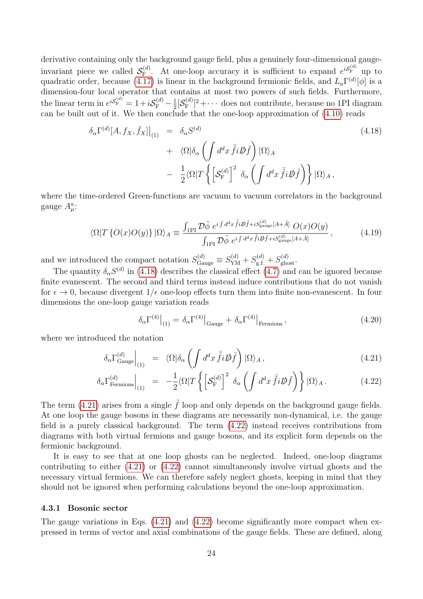derivative containing only the background gauge field, plus a genuinely four-dimensional gaugeinvariant piece we called  $\mathcal{S}_{\mathrm{F}}^{(d)}$  $\mathcal{E}_{\text{F}}^{(d)}$ . At one-loop accuracy it is sufficient to expand  $e^{iS_{\text{F}}^{(d)}}$  up to quadratic order, because [\(4.17\)](#page-24-4) is linear in the background fermionic fields, and  $L_a\Gamma^{(d)}[\phi]$  is a dimension-four local operator that contains at most two powers of such fields. Furthermore, the linear term in  $e^{iS_{\text{F}}^{(d)}} = 1 + iS_{\text{F}}^{(d)} - \frac{1}{2}$  $\frac{1}{2}[\mathcal{S}_{\mathrm{F}}^{(d)}% (\theta,\cdot) ]_{\mathrm{F}}^{(d)}(\theta,\cdot)$  $[\mathbf{E}_{\mathbf{F}}^{(d)}]^2 + \cdots$  does not contribute, because no 1PI diagram can be built out of it. We then conclude that the one-loop approximation of [\(4.10\)](#page-23-0) reads

<span id="page-25-1"></span>
$$
\delta_{\alpha} \Gamma^{(d)}[A, f_X, \bar{f}_X]|_{(1)} = \delta_{\alpha} S^{(d)} \n+ \langle \Omega | \delta_{\alpha} \left( \int d^d x \, \bar{\tilde{f}} i \not{D} \tilde{f} \right) | \Omega \rangle_A \n- \frac{1}{2} \langle \Omega | T \left\{ \left[ \mathcal{S}_{\mathrm{F}}^{(d)} \right]^2 \, \delta_{\alpha} \left( \int d^d x \, \bar{\tilde{f}} i \not{D} \tilde{f} \right) \right\} | \Omega \rangle_A,
$$
\n(4.18)

where the time-ordered Green-functions are vacuum to vacuum correlators in the background gauge  $A^a_\mu$ :

$$
\langle \Omega | T \{ O(x) O(y) \} | \Omega \rangle_A \equiv \frac{\int_{\text{1PI}} \mathcal{D}\tilde{\phi} \ e^{i \int d^d x \ \bar{\tilde{f}} i \not{D} \tilde{f} + i S_{\text{gauge}}^{(d)} [A + \tilde{A}]} O(x) O(y)}{\int_{\text{1PI}} \mathcal{D}\tilde{\phi} \ e^{i \int d^d x \ \bar{\tilde{f}} i \not{D} \tilde{f} + i S_{\text{gauge}}^{(d)} [A + \tilde{A}]}} , \qquad (4.19)
$$

and we introduced the compact notation  $S_{\text{Gauge}}^{(d)} \equiv S_{\text{YM}}^{(d)} + S_{\text{g.f.}}^{(d)} + S_{\text{ghost}}^{(d)}$ .

The quantity  $\delta_{\alpha}S^{(d)}$  in [\(4.18\)](#page-25-1) describes the classical effect [\(4.7\)](#page-21-2) and can be ignored because finite evanescent. The second and third terms instead induce contributions that do not vanish for  $\epsilon \to 0$ , because divergent  $1/\epsilon$  one-loop effects turn them into finite non-evanescent. In four dimensions the one-loop gauge variation reads

<span id="page-25-3"></span>
$$
\delta_{\alpha} \Gamma^{(4)}\big|_{(1)} = \delta_{\alpha} \Gamma^{(4)}\big|_{\text{Gauge}} + \delta_{\alpha} \Gamma^{(4)}\big|_{\text{Fermions}},\tag{4.20}
$$

where we introduced the notation

<span id="page-25-2"></span>
$$
\delta_{\alpha} \Gamma_{\text{Gauge}}^{(d)} \Big|_{(1)} = \langle \Omega | \delta_{\alpha} \left( \int d^d x \, \bar{\tilde{f}} i \not\!\! D \tilde{f} \right) | \Omega \rangle_A , \tag{4.21}
$$

$$
\delta_{\alpha} \Gamma^{(d)}_{\text{Fermions}}\Big|_{(1)} = -\frac{1}{2} \langle \Omega | T \left\{ \left[ \mathcal{S}_{\text{F}}^{(d)} \right]^2 \delta_{\alpha} \left( \int d^d x \, \bar{\tilde{f}} i \not{D} \tilde{f} \right) \right\} | \Omega \rangle_A. \tag{4.22}
$$

The term [\(4.21\)](#page-25-2) arises from a single  $\tilde{f}$  loop and only depends on the background gauge fields. At one loop the gauge bosons in these diagrams are necessarily non-dynamical, i.e. the gauge field is a purely classical background. The term [\(4.22\)](#page-25-2) instead receives contributions from diagrams with both virtual fermions and gauge bosons, and its explicit form depends on the fermionic background.

It is easy to see that at one loop ghosts can be neglected. Indeed, one-loop diagrams contributing to either [\(4.21\)](#page-25-2) or [\(4.22\)](#page-25-2) cannot simultaneously involve virtual ghosts and the necessary virtual fermions. We can therefore safely neglect ghosts, keeping in mind that they should not be ignored when performing calculations beyond the one-loop approximation.

#### <span id="page-25-0"></span>4.3.1 Bosonic sector

The gauge variations in Eqs. [\(4.21\)](#page-25-2) and [\(4.22\)](#page-25-2) become significantly more compact when expressed in terms of vector and axial combinations of the gauge fields. These are defined, along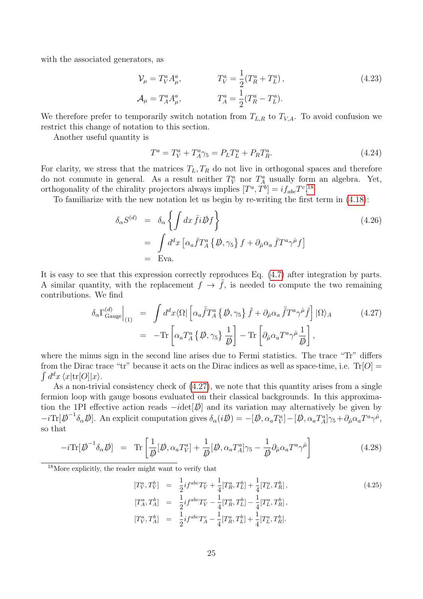with the associated generators, as

<span id="page-26-4"></span>
$$
\mathcal{V}_{\mu} = T_V^a A_{\mu}^a, \qquad T_V^a = \frac{1}{2} (T_R^a + T_L^a), \n\mathcal{A}_{\mu} = T_A^a A_{\mu}^a, \qquad T_A^a = \frac{1}{2} (T_R^a - T_L^a).
$$
\n(4.23)

We therefore prefer to temporarily switch notation from  $T_{L,R}$  to  $T_{V,A}$ . To avoid confusion we restrict this change of notation to this section.

Another useful quantity is

<span id="page-26-3"></span>
$$
T^{a} = T_{V}^{a} + T_{A}^{a} \gamma_{5} = P_{L} T_{L}^{a} + P_{R} T_{R}^{a}.
$$
\n(4.24)

For clarity, we stress that the matrices  $T_L, T_R$  do not live in orthogonal spaces and therefore do not commute in general. As a result neither  $T_V^a$  nor  $T_A^a$  usually form an algebra. Yet, orthogonality of the chirality projectors always implies  $[T^a, T^b] = i f_{abc} T^{c.18}$  $[T^a, T^b] = i f_{abc} T^{c.18}$  $[T^a, T^b] = i f_{abc} T^{c.18}$ 

To familiarize with the new notation let us begin by re-writing the first term in [\(4.18\)](#page-25-1):

<span id="page-26-2"></span>
$$
\delta_{\alpha}S^{(d)} = \delta_{\alpha} \left\{ \int dx \,\bar{f}i\rlap{\,/}Df \right\}
$$
\n
$$
= \int d^d x \left[ \alpha_a \bar{f} T_A^a \left\{ \rlap{\,/}D, \gamma_5 \right\} f + \partial_{\hat{\mu}} \alpha_a \,\bar{f} T^a \gamma^{\hat{\mu}} f \right]
$$
\n
$$
= \text{Eva.}
$$
\n(4.26)

It is easy to see that this expression correctly reproduces Eq. [\(4.7\)](#page-21-2) after integration by parts. A similar quantity, with the replacement  $f \to f$ , is needed to compute the two remaining contributions. We find

<span id="page-26-1"></span>
$$
\delta_{\alpha} \Gamma_{\text{Gauge}}^{(d)} \Big|_{(1)} = \int d^d x \langle \Omega | \left[ \alpha_a \overline{\tilde{f}} T_A^a \{ \not\!\!D, \gamma_5 \} \overline{f} + \partial_{\hat{\mu}} \alpha_a \overline{\tilde{f}} T^a \gamma^{\hat{\mu}} \overline{f} \right] | \Omega \rangle_A \qquad (4.27)
$$
  

$$
= - \text{Tr} \left[ \alpha_a T_A^a \{ \not\!\!D, \gamma_5 \} \frac{1}{\not\!\!D} \right] - \text{Tr} \left[ \partial_{\hat{\mu}} \alpha_a T^a \gamma^{\hat{\mu}} \frac{1}{\not\!\!D} \right],
$$

where the minus sign in the second line arises due to Fermi statistics. The trace "Tr" differs from the Dirac trace "tr" because it acts on the Dirac indices as well as space-time, i.e.  $Tr[O] =$  $\int d^dx \langle x | \text{tr}[O] | x \rangle.$ 

As a non-trivial consistency check of  $(4.27)$ , we note that this quantity arises from a single fermion loop with gauge bosons evaluated on their classical backgrounds. In this approximation the 1PI effective action reads  $-i\text{det}[\phi]$  and its variation may alternatively be given by  $-i\text{Tr}[\vec{\psi}^{-1}\delta_{\alpha}\vec{\psi}]$ . An explicit computation gives  $\delta_{\alpha}(i\vec{\psi}) = -[\vec{\psi}, \alpha_a T^a_V] - [\vec{\psi}, \alpha_a T^a_A]\gamma_5 + \partial_{\hat{\mu}}\alpha_a T^a \gamma^{\hat{\mu}},$ so that

$$
-i\text{Tr}[\vec{D}^{-1}\delta_{\alpha}\vec{D}] = \text{Tr}\left[\frac{1}{\vec{D}}[\vec{D},\alpha_a T_V^a] + \frac{1}{\vec{D}}[\vec{D},\alpha_a T_A^a]\gamma_5 - \frac{1}{\vec{D}}\partial_{\hat{\mu}}\alpha_a T^a \gamma^{\hat{\mu}}\right]
$$
(4.28)

<span id="page-26-0"></span><sup>18</sup>More explicitly, the reader might want to verify that

$$
[T_V^a, T_V^b] = \frac{1}{2} i f^{abc} T_V^c + \frac{1}{4} [T_R^a, T_L^b] + \frac{1}{4} [T_L^a, T_R^b],
$$
  
\n
$$
[T_A^a, T_A^b] = \frac{1}{2} i f^{abc} T_V^c - \frac{1}{4} [T_R^a, T_L^b] - \frac{1}{4} [T_L^a, T_R^b],
$$
  
\n
$$
[T_V^a, T_A^b] = \frac{1}{2} i f^{abc} T_A^c - \frac{1}{4} [T_R^a, T_L^b] + \frac{1}{4} [T_L^a, T_R^b].
$$
\n(4.25)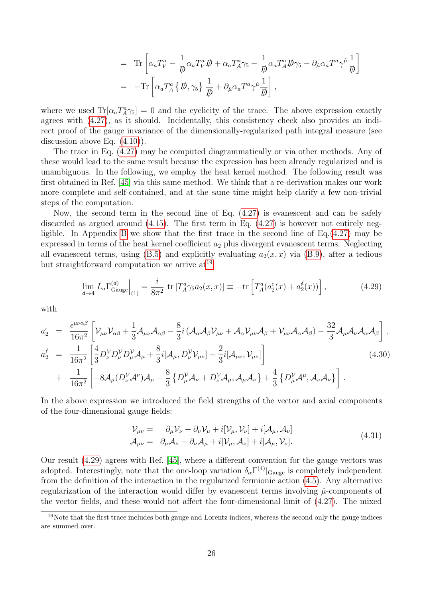$$
= \text{Tr}\left[\alpha_a T_V^a - \frac{1}{\not p} \alpha_a T_V^a \not p + \alpha_a T_A^a \gamma_5 - \frac{1}{\not p} \alpha_a T_A^a \not p \gamma_5 - \partial_{\hat{\mu}} \alpha_a T^a \gamma^{\hat{\mu}} \frac{1}{\not p}\right] = -\text{Tr}\left[\alpha_a T_A^a \{ \not p, \gamma_5 \} \frac{1}{\not p} + \partial_{\hat{\mu}} \alpha_a T^a \gamma^{\hat{\mu}} \frac{1}{\not p}\right],
$$

where we used  $\text{Tr}[\alpha_a T_A^a \gamma_5] = 0$  and the cyclicity of the trace. The above expression exactly agrees with [\(4.27\)](#page-26-1), as it should. Incidentally, this consistency check also provides an indirect proof of the gauge invariance of the dimensionally-regularized path integral measure (see discussion above Eq. [\(4.10\)](#page-23-0)).

The trace in Eq. [\(4.27\)](#page-26-1) may be computed diagrammatically or via other methods. Any of these would lead to the same result because the expression has been already regularized and is unambiguous. In the following, we employ the heat kernel method. The following result was first obtained in Ref. [\[45\]](#page-50-5) via this same method. We think that a re-derivation makes our work more complete and self-contained, and at the same time might help clarify a few non-trivial steps of the computation.

Now, the second term in the second line of Eq. [\(4.27\)](#page-26-1) is evanescent and can be safely discarded as argued around [\(4.15\)](#page-24-2). The first term in Eq. [\(4.27\)](#page-26-1) is however not entirely negligible. In Appendix [B](#page-46-0) we show that the first trace in the second line of Eq.[\(4.27\)](#page-26-1) may be expressed in terms of the heat kernel coefficient  $a_2$  plus divergent evanescent terms. Neglecting all evanescent terms, using [\(B.5\)](#page-47-0) and explicitly evaluating  $a_2(x, x)$  via [\(B.9\)](#page-47-1), after a tedious but straightforward computation we arrive  $at^{19}$  $at^{19}$  $at^{19}$ 

<span id="page-27-1"></span>
$$
\lim_{d \to 4} L_a \Gamma_{\text{Gauge}}^{(d)} \Big|_{(1)} = \frac{i}{8\pi^2} \text{ tr} \left[ T_A^a \gamma_5 a_2(x, x) \right] \equiv -\text{tr} \left[ T_A^a (a_2^{\epsilon}(x) + a_2^{\epsilon}(x)) \right],\tag{4.29}
$$

with

<span id="page-27-2"></span>
$$
a_2^{\epsilon} = \frac{\epsilon^{\mu\nu\alpha\beta}}{16\pi^2} \left[ \mathcal{V}_{\mu\nu} \mathcal{V}_{\alpha\beta} + \frac{1}{3} \mathcal{A}_{\mu\nu} \mathcal{A}_{\alpha\beta} - \frac{8}{3} i \left( \mathcal{A}_{\alpha} \mathcal{A}_{\beta} \mathcal{V}_{\mu\nu} + \mathcal{A}_{\alpha} \mathcal{V}_{\mu\nu} \mathcal{A}_{\beta} + \mathcal{V}_{\mu\nu} \mathcal{A}_{\alpha} \mathcal{A}_{\beta} \right) - \frac{32}{3} \mathcal{A}_{\mu} \mathcal{A}_{\nu} \mathcal{A}_{\alpha} \mathcal{A}_{\beta} \right],
$$
  
\n
$$
a_2^{\epsilon} = \frac{1}{16\pi^2} \left[ \frac{4}{3} D_{\nu}^{\nu} D_{\nu}^{\nu} D_{\mu}^{\nu} \mathcal{A}_{\mu} + \frac{8}{3} i [\mathcal{A}_{\mu}, D_{\nu}^{\nu} \mathcal{V}_{\mu\nu}] - \frac{2}{3} i [\mathcal{A}_{\mu\nu}, \mathcal{V}_{\mu\nu}] \right]
$$
  
\n
$$
+ \frac{1}{16\pi^2} \left[ -8 \mathcal{A}_{\mu} (D_{\nu}^{\nu} \mathcal{A}^{\nu}) \mathcal{A}_{\mu} - \frac{8}{3} \left\{ D_{\mu}^{\nu} \mathcal{A}_{\nu} + D_{\nu}^{\nu} \mathcal{A}_{\mu}, \mathcal{A}_{\mu} \mathcal{A}_{\nu} \right\} + \frac{4}{3} \left\{ D_{\mu}^{\nu} \mathcal{A}^{\mu}, \mathcal{A}_{\nu} \mathcal{A}_{\nu} \right\} \right].
$$
  
\n(4.30)

In the above expression we introduced the field strengths of the vector and axial components of the four-dimensional gauge fields:

<span id="page-27-3"></span>
$$
\mathcal{V}_{\mu\nu} = \partial_{\mu} \mathcal{V}_{\nu} - \partial_{\nu} \mathcal{V}_{\mu} + i[\mathcal{V}_{\mu}, \mathcal{V}_{\nu}] + i[\mathcal{A}_{\mu}, \mathcal{A}_{\nu}] \n\mathcal{A}_{\mu\nu} = \partial_{\mu} \mathcal{A}_{\nu} - \partial_{\nu} \mathcal{A}_{\mu} + i[\mathcal{V}_{\mu}, \mathcal{A}_{\nu}] + i[\mathcal{A}_{\mu}, \mathcal{V}_{\nu}].
$$
\n(4.31)

Our result [\(4.29\)](#page-27-1) agrees with Ref. [\[45\]](#page-50-5), where a different convention for the gauge vectors was adopted. Interestingly, note that the one-loop variation  $\delta_{\alpha} \Gamma^{(4)}|_{Gauge}$  is completely independent from the definition of the interaction in the regularized fermionic action [\(4.5\)](#page-20-1). Any alternative regularization of the interaction would differ by evanescent terms involving  $\hat{\mu}$ -components of the vector fields, and these would not affect the four-dimensional limit of [\(4.27\)](#page-26-1). The mixed

<span id="page-27-0"></span><sup>&</sup>lt;sup>19</sup>Note that the first trace includes both gauge and Lorentz indices, whereas the second only the gauge indices are summed over.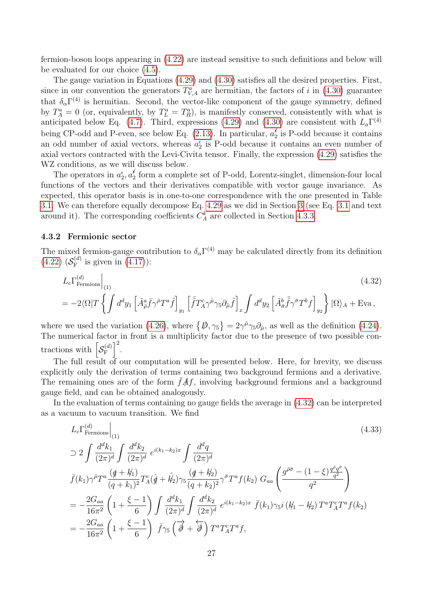fermion-boson loops appearing in [\(4.22\)](#page-25-2) are instead sensitive to such definitions and below will be evaluated for our choice [\(4.5\)](#page-20-1).

The gauge variation in Equations [\(4.29\)](#page-27-1) and [\(4.30\)](#page-27-2) satisfies all the desired properties. First, since in our convention the generators  $T_{V,A}^a$  are hermitian, the factors of i in [\(4.30\)](#page-27-2) guarantee that  $\delta_{\alpha} \Gamma^{(4)}$  is hermitian. Second, the vector-like component of the gauge symmetry, defined by  $T_A^a = 0$  (or, equivalently, by  $T_L^a = T_R^a$ ), is manifestly conserved, consistently with what is anticipated below Eq. [\(4.7\)](#page-21-2). Third, expressions [\(4.29\)](#page-27-1) and [\(4.30\)](#page-27-2) are consistent with  $L_a\Gamma^{(4)}$ being CP-odd and P-even, see below Eq. [\(2.13\)](#page-6-3). In particular,  $a_2^{\ell}$  $i_2$  is P-odd because it contains an odd number of axial vectors, whereas  $a_2^{\epsilon}$  is P-odd because it contains an even number of axial vectors contracted with the Levi-Civita tensor. Finally, the expression [\(4.29\)](#page-27-1) satisfies the WZ conditions, as we will discuss below.

The operators in  $a_2^{\epsilon}, a_2^{\epsilon}$  $\frac{\ell}{2}$  form a complete set of P-odd, Lorentz-singlet, dimension-four local functions of the vectors and their derivatives compatible with vector gauge invariance. As expected, this operator basis is in one-to-one correspondence with the one presented in Table [3.1.](#page-10-0) We can therefore equally decompose Eq. [4.29](#page-27-1) as we did in Section [3](#page-9-0) (see Eq. [3.1](#page-10-1) and text around it). The corresponding coefficients  $C_A^k$  are collected in Section [4.3.3.](#page-29-0)

#### <span id="page-28-0"></span>4.3.2 Fermionic sector

The mixed fermion-gauge contribution to  $\delta_{\alpha} \Gamma^{(4)}$  may be calculated directly from its definition  $(4.22)~(\mathcal{S}_{\mathrm{F}}^{(d)})$  $(4.22)~(\mathcal{S}_{\mathrm{F}}^{(d)})$  $f_F^{(a)}$  is given in  $(4.17)$ :

<span id="page-28-1"></span>
$$
L_c \Gamma_{\text{Fermions}}^{(d)}\Big|_{(1)} \tag{4.32}
$$
  
= 
$$
-2\langle \Omega|T\left\{\int d^dy_1 \left[\tilde{A}_{\bar{\rho}}^a \bar{f}\gamma^{\bar{\rho}}T^a \tilde{f}\right]_{y_1} \left[\tilde{\bar{f}}T_A^c \gamma^{\hat{\mu}} \gamma_5 \partial_{\hat{\mu}} \tilde{f}\right]_x \int d^dy_2 \left[\tilde{A}_{\bar{\sigma}}^b \tilde{\bar{f}}\gamma^{\bar{\sigma}} T^b f\right]_{y_2}\right\}|\Omega\rangle_A + \text{Eva}\,,
$$

where we used the variation [\(4.26\)](#page-26-2), where  $\{\rlap{\,/}D, \gamma_5\} = 2\gamma^{\hat{\mu}}\gamma_5 \partial_{\hat{\mu}}$ , as well as the definition [\(4.24\)](#page-26-3). The numerical factor in front is a multiplicity factor due to the presence of two possible contractions with  $\left[{\cal S}_{\rm F}^{(d)}\right]$  $\left[\begin{matrix} \cdot(d) \ \end{matrix}\right]^2$ .

The full result of our computation will be presented below. Here, for brevity, we discuss explicitly only the derivation of terms containing two background fermions and a derivative. The remaining ones are of the form  $f\mathcal{A}f$ , involving background fermions and a background gauge field, and can be obtained analogously.

In the evaluation of terms containing no gauge fields the average in [\(4.32\)](#page-28-1) can be interpreted as a vacuum to vacuum transition. We find

$$
L_{c}\Gamma_{\text{Fermions}}^{(d)}\Big|_{(1)}
$$
\n
$$
\supset 2 \int \frac{d^{d}k_{1}}{(2\pi)^{d}} \int \frac{d^{d}k_{2}}{(2\pi)^{d}} e^{i(k_{1}-k_{2})x} \int \frac{d^{d}q}{(2\pi)^{d}}
$$
\n
$$
\bar{f}(k_{1})\gamma^{\bar{\rho}}T^{a} \frac{(q+k_{1})}{(q+k_{1})^{2}} T_{A}^{c}(\hat{q}+\hat{k}_{2})\gamma_{5} \frac{(q+k_{2})}{(q+k_{2})^{2}} \gamma^{\bar{\sigma}}T^{a} f(k_{2}) G_{aa} \left(\frac{g^{\bar{\rho}\bar{\sigma}} - (1-\xi)\frac{q^{\bar{\rho}}q^{\bar{\sigma}}}{q^{2}}}{q^{2}}\right)
$$
\n
$$
= -\frac{2G_{aa}}{16\pi^{2}} \left(1 + \frac{\xi - 1}{6}\right) \int \frac{d^{d}k_{1}}{(2\pi)^{d}} \int \frac{d^{d}k_{2}}{(2\pi)^{d}} e^{i(k_{1}-k_{2})x} \bar{f}(k_{1})\gamma_{5}i(k_{1}-k_{2}) T^{a}T_{A}^{c}T^{a} f(k_{2})
$$
\n
$$
= -\frac{2G_{aa}}{16\pi^{2}} \left(1 + \frac{\xi - 1}{6}\right) \bar{f}\gamma_{5} \left(\overrightarrow{\phi} + \overleftarrow{\phi}\right) T^{a}T_{A}^{c}T^{a}f,
$$
\n(14.11)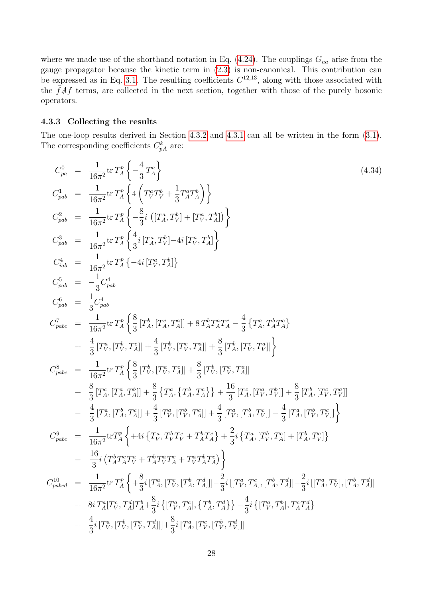where we made use of the shorthand notation in Eq.  $(4.24)$ . The couplings  $G_{aa}$  arise from the gauge propagator because the kinetic term in [\(2.3\)](#page-5-6) is non-canonical. This contribution can be expressed as in Eq. [3.1.](#page-10-1) The resulting coefficients  $C^{12,13}$ , along with those associated with the  $\bar{f}A f$  terms, are collected in the next section, together with those of the purely bosonic operators.

#### <span id="page-29-0"></span>4.3.3 Collecting the results

The one-loop results derived in Section [4.3.2](#page-28-0) and [4.3.1](#page-25-0) can all be written in the form [\(3.1\)](#page-10-1). The corresponding coefficients  $C_{pA}^k$  are:

<span id="page-29-1"></span>
$$
C_{pa}^{0} = \frac{1}{16\pi^{2}} \text{tr} T_{A}^{p} \left\{ -\frac{4}{3} T_{A}^{a} \right\}
$$
\n
$$
C_{pab}^{1} = \frac{1}{16\pi^{2}} \text{tr} T_{A}^{p} \left\{ 4 \left( T_{V}^{a} T_{V}^{b} + \frac{1}{3} T_{A}^{a} T_{A}^{b} \right) \right\}
$$
\n
$$
C_{pab}^{2} = \frac{1}{16\pi^{2}} \text{tr} T_{A}^{p} \left\{ -\frac{8}{3} i \left[ (T_{A}^{a}, T_{V}^{b}) + (T_{V}^{a}, T_{A}^{b}) \right] \right\}
$$
\n
$$
C_{pab}^{3} = \frac{1}{16\pi^{2}} \text{tr} T_{A}^{p} \left\{ \frac{4}{3} i \left[ T_{A}^{a}, T_{V}^{b} \right] - 4i \left[ T_{V}^{a}, T_{A}^{b} \right] \right\}
$$
\n
$$
C_{pab}^{4} = \frac{1}{16\pi^{2}} \text{tr} T_{A}^{p} \left\{ -4i \left[ T_{V}^{a}, T_{A}^{b} \right] \right\}
$$
\n
$$
C_{pab}^{5} = -\frac{1}{3} C_{pab}^{4}
$$
\n
$$
C_{pab}^{6} = \frac{1}{3} C_{pab}^{4}
$$
\n
$$
C_{pabc}^{7} = \frac{1}{16\pi^{2}} \text{tr} T_{A}^{p} \left\{ \frac{8}{3} \left[ T_{A}^{b}, \left[ T_{A}^{c}, T_{A}^{a} \right] \right] + 8 T_{A}^{b} T_{A}^{a} T_{A}^{a} - \frac{4}{3} \left\{ T_{A}^{a}, T_{A}^{b} T_{A}^{a} \right\}
$$
\n
$$
+ \frac{4}{3} \left[ T_{V}^{a}, \left[ T_{V}^{b}, T_{A}^{c} \right] \right] + \frac{4}{3} \left[ T_{V}^{b}, \left[ T_{V}^{c}, T_{A}^{a} \right] \right] + \frac{8}{3} \left[ T_{A}^{b}, \left[ T_{V}^{c}, T_{A}^{a
$$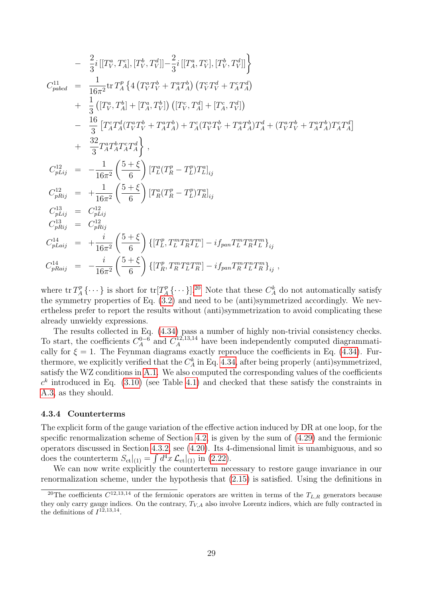$$
- \frac{2}{3}i[[T_V^a, T_A^c], [T_V^b, T_V^d]] - \frac{2}{3}i[[T_A^a, T_V^c], [T_V^b, T_V^d]]
$$
\n
$$
C_{pabcd}^1 = \frac{1}{16\pi^2} \text{tr } T_A^p \left\{ 4 \left( T_V^a T_V^b + T_A^a T_A^b \right) \left( T_V^c T_V^d + T_A^c T_A^d \right) \right.\n+ \frac{1}{3} \left( [T_V^a, T_A^b] + [T_A^a, T_V^b] \right) \left( [T_V^c, T_A^d] + [T_A^c, T_V^d] \right)\n- \frac{16}{3} \left[ T_A^c T_A^d (T_V^a T_V^b + T_A^a T_A^b) + T_A^c (T_V^a T_V^b + T_A^a T_A^b) T_A^d + (T_V^a T_V^b + T_A^a T_A^b) T_A^c T_A^d \right] \n+ \frac{32}{3} T_A^a T_A^b T_A^c T_A^d \right\},\nC_{pLij}^{12} = -\frac{1}{16\pi^2} \left( \frac{5 + \xi}{6} \right) [T_A^a (T_R^p - T_L^p) T_B^a]_{ij}\nC_{pRij}^{13} = C_{pLij}^{12}\nC_{pRij}^{13} = C_{pRij}^{12}\nC_{pRij}^{14} = + \frac{i}{16\pi^2} \left( \frac{5 + \xi}{6} \right) \left\{ [T_L^p, T_L^m T_R^a T_L^m] - i f_{pan} T_L^m T_R^m T_L^m \right\}_{ij}\nC_{pLai}^{14} = -\frac{i}{16\pi^2} \left( \frac{5 + \xi}{6} \right) \left\{ [T_L^p, T_L^m T_R^a T_L^m] - i f_{pan} T_R^m T_L^m T_R^m \right\}_{ij},
$$

where  $\operatorname{tr} T_A^p$  $T_A^p \{\cdots\}$  is short for  $\text{tr}[T_A^p]$  $L_A^p\{\cdots\}$ .<sup>[20](#page-30-1)</sup> Note that these  $C_A^k$  do not automatically satisfy the symmetry properties of Eq. [\(3.2\)](#page-10-2) and need to be (anti)symmetrized accordingly. We nevertheless prefer to report the results without (anti)symmetrization to avoid complicating these already unwieldy expressions.

The results collected in Eq. [\(4.34\)](#page-29-1) pass a number of highly non-trivial consistency checks. To start, the coefficients  $C_A^{0-6}$  $A^{0-6}$  and  $C_A^{12,13,14}$  have been independently computed diagrammatically for  $\xi = 1$ . The Feynman diagrams exactly reproduce the coefficients in Eq. [\(4.34\)](#page-29-1). Furthermore, we explicitly verified that the  $C_A^k$  in Eq. [4.34,](#page-29-1) after being properly (anti)symmetrized, satisfy the WZ conditions in [A.1.](#page-37-1) We also computed the corresponding values of the coefficients  $c<sup>k</sup>$  introduced in Eq. [\(3.10\)](#page-14-1) (see Table [4.1\)](#page-31-0) and checked that these satisfy the constraints in [A.3,](#page-43-0) as they should.

#### <span id="page-30-0"></span>4.3.4 Counterterms

The explicit form of the gauge variation of the effective action induced by DR at one loop, for the specific renormalization scheme of Section [4.2,](#page-21-0) is given by the sum of [\(4.29\)](#page-27-1) and the fermionic operators discussed in Section [4.3.2,](#page-28-0) see [\(4.20\)](#page-25-3). Its 4-dimensional limit is unambiguous, and so does the counterterm  $S_{\text{ct}}|_{(1)} = \int d^4x \mathcal{L}_{\text{ct}}|_{(1)}$  in [\(2.22\)](#page-8-3).

We can now write explicitly the counterterm necessary to restore gauge invariance in our renormalization scheme, under the hypothesis that [\(2.15\)](#page-7-0) is satisfied. Using the definitions in

<span id="page-30-1"></span><sup>&</sup>lt;sup>20</sup>The coefficients  $C^{12,13,14}$  of the fermionic operators are written in terms of the  $T_{L,R}$  generators because they only carry gauge indices. On the contrary,  $T_{V,A}$  also involve Lorentz indices, which are fully contracted in the definitions of  $I^{12,13,14}$ .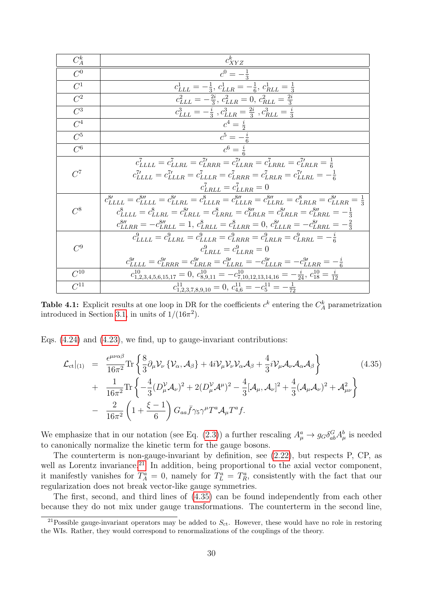<span id="page-31-0"></span>

| $C_A^k$          | $c_{XYZ}^k$                                                                                                                                                                                                                                                                                                                                                                                                                                                                                            |  |  |
|------------------|--------------------------------------------------------------------------------------------------------------------------------------------------------------------------------------------------------------------------------------------------------------------------------------------------------------------------------------------------------------------------------------------------------------------------------------------------------------------------------------------------------|--|--|
| $\overline{C^0}$ | $c^0 = -\frac{1}{3}$                                                                                                                                                                                                                                                                                                                                                                                                                                                                                   |  |  |
| $C^1$            | $c_{LLL}^1 = -\frac{1}{3}, c_{LLR}^1 = -\frac{1}{6}, c_{RLL}^1 = \frac{1}{3}$                                                                                                                                                                                                                                                                                                                                                                                                                          |  |  |
| $C^2$            | $c_{LLL}^2 = -\frac{2i}{3}, c_{LLR}^2 = 0, c_{RLL}^2 = \frac{2i}{3}$                                                                                                                                                                                                                                                                                                                                                                                                                                   |  |  |
| $C^3$            | $c_{LLL}^3 = -\frac{i}{3}$ , $c_{LLR}^3 = \frac{2i}{3}$ , $c_{RLL}^3 = \frac{i}{3}$                                                                                                                                                                                                                                                                                                                                                                                                                    |  |  |
| $C^4$            | $c^4 = \frac{i}{2}$                                                                                                                                                                                                                                                                                                                                                                                                                                                                                    |  |  |
| $\overline{C}^5$ | $c^5 = -\frac{i}{6}$                                                                                                                                                                                                                                                                                                                                                                                                                                                                                   |  |  |
| $C^6$            | $c^6=\frac{i}{c}$                                                                                                                                                                                                                                                                                                                                                                                                                                                                                      |  |  |
| $C^7$            | $c_{LLLL}^7 = c_{LLRL}^7 = c_{LRRR}^{7\prime} = c_{LLRR}^{7\prime} = c_{LRRL}^7 = c_{LRLR}^{7\prime} = \frac{1}{6}$<br>$c_{LLLL}^{7\prime} = c_{LLLR}^{7\prime} = c_{LLLR}^{7} = c_{LRRR}^{7} = c_{LRLR}^{7} = c_{LLRL}^{7\prime} = -\frac{1}{6}$<br>$c_{LRLL}^7 = c_{LLRR}^7 = 0$                                                                                                                                                                                                                     |  |  |
| $C^8$            | $c_{LLLL}^{8\prime} = c_{LLLL}^{8\prime\prime} = c_{LLBL}^{8\prime} = c_{LLLR}^{8} = c_{LLLL}^{8\prime\prime} = c_{LLBL}^{8\prime\prime} = c_{LELR}^{8} = c_{LLRR}^{8} = \frac{1}{3}$<br>$c_{LLLL}^8 = c_{LLRL}^8 = c_{LRLL}^{8\prime} = c_{LRRL}^8 = c_{LRLR}^{8\prime\prime} = c_{LRLR}^{8\prime} = c_{LRRL}^{8\prime\prime} = -\frac{1}{3}$<br>$c_{LLRR}^{8\prime\prime} = -c_{LRLL}^{8\prime\prime} = 1, c_{LRLL}^{8} = c_{LLRR}^{8} = 0, c_{LLLR}^{8\prime} = -c_{LRRL}^{8\prime} = -\frac{2}{3}$ |  |  |
| $C^9$            | $c_{LLLL}^9 = c_{LLRL}^9 = c_{LLLR}^9 = c_{LRRR}^9 = c_{LRLR}^9 = c_{LRRR}^9 = -\frac{i}{6}$<br>$c_{LRLL}^{9} = c_{LLRR}^{9} = 0$<br>$c_{LLLL}^{9'} = c_{LRRR}^{9'} = c_{LRLR}^{9'} = c_{LLRL}^{9'} = -c_{LLLR}^{9'} = -c_{LLRR}^{9'} = -\frac{i}{6}$                                                                                                                                                                                                                                                  |  |  |
| $C^{10}$         | $c_{1,2,3,4,5,6,15,17}^{10} = 0, c_{8,9,11}^{10} = -c_{7,10,12,13,14,16}^{10} = -\frac{i}{24}, c_{18}^{10} = \frac{i}{12}$                                                                                                                                                                                                                                                                                                                                                                             |  |  |
| $C^{11}$         | $c_{1,2,3,7,8,9,10}^{11} = 0, c_{4,6}^{11} = -c_5^{11} = -\frac{1}{72}$                                                                                                                                                                                                                                                                                                                                                                                                                                |  |  |

**Table 4.1:** Explicit results at one loop in DR for the coefficients  $c^k$  entering the  $C_A^k$  parametrization introduced in Section [3.1,](#page-9-1) in units of  $1/(16\pi^2)$ .

Eqs.  $(4.24)$  and  $(4.23)$ , we find, up to gauge-invariant contributions:

<span id="page-31-2"></span>
$$
\mathcal{L}_{ct}|_{(1)} = \frac{\epsilon^{\mu\nu\alpha\beta}}{16\pi^2} \text{Tr} \left\{ \frac{8}{3} \partial_{\mu} \mathcal{V}_{\nu} \left\{ \mathcal{V}_{\alpha}, \mathcal{A}_{\beta} \right\} + 4i \mathcal{V}_{\mu} \mathcal{V}_{\nu} \mathcal{V}_{\alpha} \mathcal{A}_{\beta} + \frac{4}{3} i \mathcal{V}_{\mu} \mathcal{A}_{\nu} \mathcal{A}_{\alpha} \mathcal{A}_{\beta} \right\} + \frac{1}{16\pi^2} \text{Tr} \left\{ -\frac{4}{3} (D_{\mu}^{\nu} \mathcal{A}_{\nu})^2 + 2 (D_{\mu}^{\nu} \mathcal{A}^{\mu})^2 - \frac{4}{3} [\mathcal{A}_{\mu}, \mathcal{A}_{\nu}]^2 + \frac{4}{3} (\mathcal{A}_{\mu} \mathcal{A}_{\nu})^2 + \mathcal{A}_{\mu\nu}^2 \right\} - \frac{2}{16\pi^2} \left( 1 + \frac{\xi - 1}{6} \right) G_{aa} \bar{f} \gamma_5 \gamma^{\mu} T^a \mathcal{A}_{\mu} T^a f.
$$
\n
$$
(4.35)
$$

We emphasize that in our notation (see Eq. [\(2.3\)](#page-5-6)) a further rescaling  $A^a_\mu \to g_G \delta^G_{ab} A^b_\mu$  is needed to canonically normalize the kinetic term for the gauge bosons.

The counterterm is non-gauge-invariant by definition, see [\(2.22\)](#page-8-3), but respects P, CP, as well as Lorentz invariance.<sup>[21](#page-31-1)</sup> In addition, being proportional to the axial vector component, it manifestly vanishes for  $T_A^a = 0$ , namely for  $T_L^a = T_R^a$ , consistently with the fact that our regularization does not break vector-like gauge symmetries.

The first, second, and third lines of [\(4.35\)](#page-31-2) can be found independently from each other because they do not mix under gauge transformations. The counterterm in the second line,

<span id="page-31-1"></span><sup>&</sup>lt;sup>21</sup>Possible gauge-invariant operators may be added to  $S_{\text{ct}}$ . However, these would have no role in restoring the WIs. Rather, they would correspond to renormalizations of the couplings of the theory.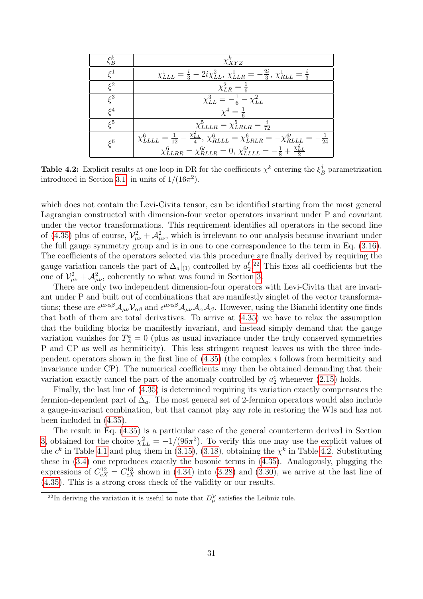<span id="page-32-2"></span>

| $\xi_B^k$                                                                                                                                            | $\chi_{XYZ}^k$                                                                                               |  |  |
|------------------------------------------------------------------------------------------------------------------------------------------------------|--------------------------------------------------------------------------------------------------------------|--|--|
| $\varsigma^1$                                                                                                                                        | $\chi_{LLL}^1 = \frac{i}{3} - 2i\chi_{LL}^2, \chi_{LLR}^1 = -\frac{2i}{3}, \chi_{RLL}^1 = \frac{i}{3}$       |  |  |
| $\varepsilon^2$                                                                                                                                      | $\chi^{2}_{LR} = \frac{1}{6}$                                                                                |  |  |
| $\zeta^3$                                                                                                                                            | $\chi_{LL}^3 = -\frac{1}{6} - \chi_{LL}^2$                                                                   |  |  |
|                                                                                                                                                      | $\chi^4 = \frac{1}{6}$                                                                                       |  |  |
| $\varepsilon^5$                                                                                                                                      | $\chi_{LLLR}^5 = \chi_{LRLR}^5 = \frac{i}{72}$                                                               |  |  |
| $\chi_{LLLL}^6 = \frac{1}{12} - \frac{\chi_{LL}^2}{4}$ , $\chi_{RLLL}^6 = \chi_{LRLR}^6 = -\chi_{RLLL}^{6\prime} = -\frac{1}{24}$<br>$\varepsilon^6$ |                                                                                                              |  |  |
|                                                                                                                                                      | $\chi_{LLRR}^6 = \chi_{RLLR}^{6\prime} = 0, \, \chi_{LLLL}^{6\prime} = -\frac{1}{8} + \frac{\chi_{LL}^2}{2}$ |  |  |

**Table 4.2:** Explicit results at one loop in DR for the coefficients  $\chi^k$  entering the  $\xi^j$  $B_B^j$  parametrization introduced in Section [3.1,](#page-9-1) in units of  $1/(16\pi^2)$ .

which does not contain the Levi-Civita tensor, can be identified starting from the most general Lagrangian constructed with dimension-four vector operators invariant under P and covariant under the vector transformations. This requirement identifies all operators in the second line of [\(4.35\)](#page-31-2) plus of course,  $\mathcal{V}_{\mu\nu}^2 + \mathcal{A}_{\mu\nu}^2$ , which is irrelevant to our analysis because invariant under the full gauge symmetry group and is in one to one correspondence to the term in Eq. [\(3.16\)](#page-17-5). The coefficients of the operators selected via this procedure are finally derived by requiring the gauge variation cancels the part of  $\Delta_a|_{(1)}$  controlled by  $a_2^{\not\in}$  $2^{\ell}$ <sup>[22](#page-32-1)</sup> This fixes all coefficients but the one of  $\mathcal{V}_{\mu\nu}^2 + \mathcal{A}_{\mu\nu}^2$ , coherently to what was found in Section [3.](#page-9-0)

There are only two independent dimension-four operators with Levi-Civita that are invariant under P and built out of combinations that are manifestly singlet of the vector transformations; these are  $\epsilon^{\mu\nu\alpha\beta}\mathcal{A}_{\mu\nu}\mathcal{V}_{\alpha\beta}$  and  $\epsilon^{\mu\nu\alpha\beta}\mathcal{A}_{\mu\nu}\mathcal{A}_{\alpha}\mathcal{A}_{\beta}$ . However, using the Bianchi identity one finds that both of them are total derivatives. To arrive at [\(4.35\)](#page-31-2) we have to relax the assumption that the building blocks be manifestly invariant, and instead simply demand that the gauge variation vanishes for  $T_A^a = 0$  (plus as usual invariance under the truly conserved symmetries P and CP as well as hermiticity). This less stringent request leaves us with the three independent operators shown in the first line of [\(4.35\)](#page-31-2) (the complex i follows from hermiticity and invariance under CP). The numerical coefficients may then be obtained demanding that their variation exactly cancel the part of the anomaly controlled by  $a_2^{\epsilon}$  whenever [\(2.15\)](#page-7-0) holds.

Finally, the last line of [\(4.35\)](#page-31-2) is determined requiring its variation exactly compensates the fermion-dependent part of  $\Delta_a$ . The most general set of 2-fermion operators would also include a gauge-invariant combination, but that cannot play any role in restoring the WIs and has not been included in [\(4.35\)](#page-31-2).

The result in Eq. [\(4.35\)](#page-31-2) is a particular case of the general counterterm derived in Section [3,](#page-9-0) obtained for the choice  $\chi_{LL}^2 = -1/(96\pi^2)$ . To verify this one may use the explicit values of the  $c^k$  in Table [4.1](#page-31-0) and plug them in [\(3.15\)](#page-16-2), [\(3.18\)](#page-17-3), obtaining the  $\chi^k$  in Table [4.2.](#page-32-2) Substituting these in [\(3.4\)](#page-11-2) one reproduces exactly the bosonic terms in [\(4.35\)](#page-31-2). Analogously, plugging the expressions of  $C_{cX}^{12} = C_{cX}^{13}$  shown in [\(4.34\)](#page-29-1) into [\(3.28\)](#page-19-2) and [\(3.30\)](#page-19-3), we arrive at the last line of [\(4.35\)](#page-31-2). This is a strong cross check of the validity or our results.

<span id="page-32-1"></span><span id="page-32-0"></span><sup>&</sup>lt;sup>22</sup>In deriving the variation it is useful to note that  $D_{\mu}^{\mathcal{V}}$  satisfies the Leibniz rule.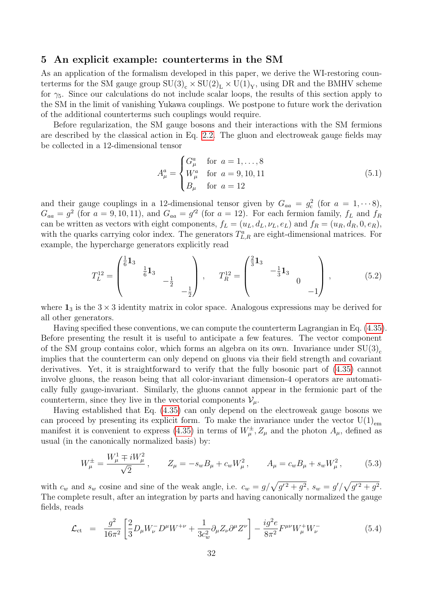### 5 An explicit example: counterterms in the SM

As an application of the formalism developed in this paper, we derive the WI-restoring counterterms for the SM gauge group  $SU(3)_c \times SU(2)_L \times U(1)_Y$ , using DR and the BMHV scheme for  $\gamma_5$ . Since our calculations do not include scalar loops, the results of this section apply to the SM in the limit of vanishing Yukawa couplings. We postpone to future work the derivation of the additional counterterms such couplings would require.

Before regularization, the SM gauge bosons and their interactions with the SM fermions are described by the classical action in Eq. [2.2.](#page-5-2) The gluon and electroweak gauge fields may be collected in a 12-dimensional tensor

$$
A_{\mu}^{a} = \begin{cases} G_{\mu}^{a} & \text{for } a = 1, ..., 8 \\ W_{\mu}^{a} & \text{for } a = 9, 10, 11 \\ B_{\mu} & \text{for } a = 12 \end{cases}
$$
 (5.1)

and their gauge couplings in a 12-dimensional tensor given by  $G_{aa} = g_c^2$  (for  $a = 1, \dots, 8$ ),  $G_{aa} = g^2$  (for  $a = 9, 10, 11$ ), and  $G_{aa} = g'^2$  (for  $a = 12$ ). For each fermion family,  $f_L$  and  $f_R$ can be written as vectors with eight components,  $f_L = (u_L, d_L, \nu_L, e_L)$  and  $f_R = (u_R, d_R, 0, e_R)$ , with the quarks carrying color index. The generators  $T_{L,R}^a$  are eight-dimensional matrices. For example, the hypercharge generators explicitly read

$$
T_L^{12} = \begin{pmatrix} \frac{1}{6} \mathbf{1}_3 & & \\ & \frac{1}{6} \mathbf{1}_3 & \\ & & -\frac{1}{2} \\ & & & -\frac{1}{2} \end{pmatrix} \,, \qquad T_R^{12} = \begin{pmatrix} \frac{2}{3} \mathbf{1}_3 & & \\ & -\frac{1}{3} \mathbf{1}_3 & \\ & & & 0 \\ & & & -1 \end{pmatrix} \,, \tag{5.2}
$$

where  $\mathbf{1}_3$  is the  $3 \times 3$  identity matrix in color space. Analogous expressions may be derived for all other generators.

Having specified these conventions, we can compute the counterterm Lagrangian in Eq. [\(4.35\)](#page-31-2). Before presenting the result it is useful to anticipate a few features. The vector component of the SM group contains color, which forms an algebra on its own. Invariance under  $SU(3)_{c}$ implies that the counterterm can only depend on gluons via their field strength and covariant derivatives. Yet, it is straightforward to verify that the fully bosonic part of [\(4.35\)](#page-31-2) cannot involve gluons, the reason being that all color-invariant dimension-4 operators are automatically fully gauge-invariant. Similarly, the gluons cannot appear in the fermionic part of the counterterm, since they live in the vectorial components  $\mathcal{V}_{\mu}$ .

Having established that Eq. [\(4.35\)](#page-31-2) can only depend on the electroweak gauge bosons we can proceed by presenting its explicit form. To make the invariance under the vector  $U(1)_{em}$ manifest it is convenient to express [\(4.35\)](#page-31-2) in terms of  $W^{\pm}_{\mu}$ ,  $Z_{\mu}$  and the photon  $A_{\mu}$ , defined as usual (in the canonically normalized basis) by:

$$
W_{\mu}^{\pm} = \frac{W_{\mu}^{1} \mp iW_{\mu}^{2}}{\sqrt{2}}, \qquad Z_{\mu} = -s_{w}B_{\mu} + c_{w}W_{\mu}^{2}, \qquad A_{\mu} = c_{w}B_{\mu} + s_{w}W_{\mu}^{2}, \tag{5.3}
$$

with  $c_w$  and  $s_w$  cosine and sine of the weak angle, i.e.  $c_w = g/\sqrt{g'^2 + g^2}$ ,  $s_w = g'/\sqrt{g'^2 + g^2}$ . The complete result, after an integration by parts and having canonically normalized the gauge fields, reads

$$
\mathcal{L}_{ct} = \frac{g^2}{16\pi^2} \left[ \frac{2}{3} D_{\mu} W_{\nu}^- D^{\mu} W^{+\nu} + \frac{1}{3c_w^2} \partial_{\mu} Z_{\nu} \partial^{\mu} Z^{\nu} \right] - \frac{ig^2 e}{8\pi^2} F^{\mu\nu} W_{\mu}^+ W_{\nu}^- \tag{5.4}
$$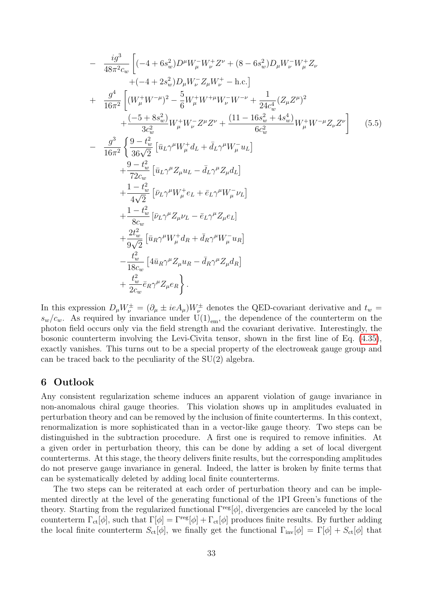$$
-\frac{ig^{3}}{48\pi^{2}c_{w}}\left[(-4+6s_{w}^{2})D^{\mu}W_{\mu}^{-}W_{\nu}^{+}Z^{\nu}+(8-6s_{w}^{2})D_{\mu}W_{\nu}^{-}W_{\mu}^{+}Z_{\nu}\right.+( -4+2s_{w}^{2})D_{\mu}W_{\nu}^{-}Z_{\mu}W_{\nu}^{+}-\text{h.c.}\right]+ \frac{g^{4}}{16\pi^{2}}\left[(W_{\mu}^{+}W^{-\mu})^{2}-\frac{5}{6}W_{\mu}^{+}W^{+\mu}W_{\nu}^{-}W^{-\nu}+\frac{1}{24c_{w}^{4}}(Z_{\mu}Z^{\mu})^{2}\right.+\frac{(-5+8s_{w}^{2})}{3c_{w}^{2}}W_{\mu}^{+}W_{\nu}^{-}Z^{\mu}Z^{\nu}+\frac{(11-16s_{w}^{2}+4s_{w}^{4})}{6c_{w}^{2}}W_{\mu}^{+}W^{-\mu}Z_{\nu}Z^{\nu}\right] (5.5)- \frac{g^{3}}{16\pi^{2}}\left\{\frac{9-t_{w}^{2}}{36\sqrt{2}}\left[\bar{u}_{L}\gamma^{\mu}W_{\mu}^{+}d_{L}+\bar{d}_{L}\gamma^{\mu}W_{\mu}^{-}u_{L}\right]+\frac{9-t_{w}^{2}}{72c_{w}}\left[\bar{u}_{L}\gamma^{\mu}Z_{\mu}u_{L}-\bar{d}_{L}\gamma^{\mu}Z_{\mu}d_{L}\right]+\frac{1-t_{w}^{2}}{4\sqrt{2}}\left[\bar{\nu}_{L}\gamma^{\mu}W_{\mu}^{+}e_{L}+\bar{e}_{L}\gamma^{\mu}W_{\mu}^{-}\nu_{L}\right]+\frac{1-t_{w}^{2}}{8c_{w}}\left[\bar{\nu}_{L}\gamma^{\mu}Z_{\mu}\nu_{L}-\bar{e}_{L}\gamma^{\mu}Z_{\mu}e_{L}\right]+\frac{2t_{w}^{2}}{9\sqrt{2}}\left[\bar{u}_{R}\gamma^{\mu}W_{\mu}^{+}d_{R}+\bar{d}_{R}\gamma^{\mu}W_{\mu}^{-}u_{R}\right]-\frac{t_{w}^{2}}{18c_{w}}\left[4\bar{u}_{R}\gamma^{\mu}Z_{\mu}u
$$

In this expression  $D_{\mu}W^{\pm}_{\nu} = (\partial_{\mu} \pm ieA_{\mu})W^{\pm}_{\nu}$  denotes the QED-covariant derivative and  $t_w =$  $s_w/c_w$ . As required by invariance under  $U(1)_{em}$ , the dependence of the counterterm on the photon field occurs only via the field strength and the covariant derivative. Interestingly, the bosonic counterterm involving the Levi-Civita tensor, shown in the first line of Eq. [\(4.35\)](#page-31-2), exactly vanishes. This turns out to be a special property of the electroweak gauge group and can be traced back to the peculiarity of the SU(2) algebra.

### <span id="page-34-0"></span>6 Outlook

Any consistent regularization scheme induces an apparent violation of gauge invariance in non-anomalous chiral gauge theories. This violation shows up in amplitudes evaluated in perturbation theory and can be removed by the inclusion of finite counterterms. In this context, renormalization is more sophisticated than in a vector-like gauge theory. Two steps can be distinguished in the subtraction procedure. A first one is required to remove infinities. At a given order in perturbation theory, this can be done by adding a set of local divergent counterterms. At this stage, the theory delivers finite results, but the corresponding amplitudes do not preserve gauge invariance in general. Indeed, the latter is broken by finite terms that can be systematically deleted by adding local finite counterterms.

The two steps can be reiterated at each order of perturbation theory and can be implemented directly at the level of the generating functional of the 1PI Green's functions of the theory. Starting from the regularized functional  $\Gamma^{\text{reg}}[\phi]$ , divergencies are canceled by the local counterterm  $\Gamma_{\rm ct}[\phi]$ , such that  $\Gamma[\phi] = \Gamma^{\rm reg}[\phi] + \Gamma_{\rm ct}[\phi]$  produces finite results. By further adding the local finite counterterm  $S_{ct}[\phi]$ , we finally get the functional  $\Gamma_{inv}[\phi] = \Gamma[\phi] + S_{ct}[\phi]$  that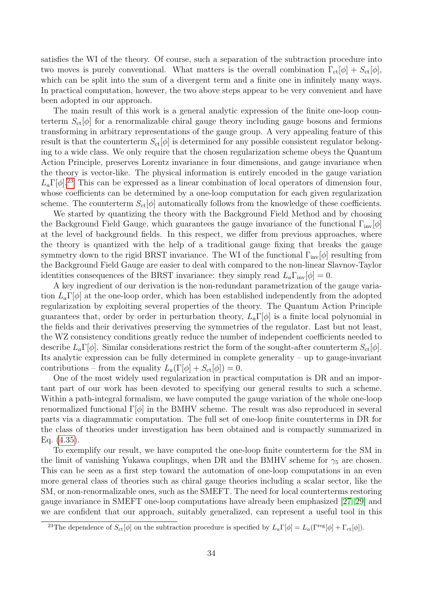satisfies the WI of the theory. Of course, such a separation of the subtraction procedure into two moves is purely conventional. What matters is the overall combination  $\Gamma_{ct}[\phi] + S_{ct}[\phi]$ , which can be split into the sum of a divergent term and a finite one in infinitely many ways. In practical computation, however, the two above steps appear to be very convenient and have been adopted in our approach.

The main result of this work is a general analytic expression of the finite one-loop counterterm  $S_{\rm ct}[\phi]$  for a renormalizable chiral gauge theory including gauge bosons and fermions transforming in arbitrary representations of the gauge group. A very appealing feature of this result is that the counterterm  $S_{\text{ct}}[\phi]$  is determined for any possible consistent regulator belonging to a wide class. We only require that the chosen regularization scheme obeys the Quantum Action Principle, preserves Lorentz invariance in four dimensions, and gauge invariance when the theory is vector-like. The physical information is entirely encoded in the gauge variation  $L_a\Gamma[\phi]$ <sup>[23](#page-35-0)</sup>. This can be expressed as a linear combination of local operators of dimension four, whose coefficients can be determined by a one-loop computation for each given regularization scheme. The counterterm  $S_{\text{ct}}[\phi]$  automatically follows from the knowledge of these coefficients.

We started by quantizing the theory with the Background Field Method and by choosing the Background Field Gauge, which guarantees the gauge invariance of the functional  $\Gamma_{\text{inv}}[\phi]$ at the level of background fields. In this respect, we differ from previous approaches, where the theory is quantized with the help of a traditional gauge fixing that breaks the gauge symmetry down to the rigid BRST invariance. The WI of the functional  $\Gamma_{\text{inv}}[\phi]$  resulting from the Background Field Gauge are easier to deal with compared to the non-linear Slavnov-Taylor identities consequences of the BRST invariance: they simply read  $L_a\Gamma_{\text{inv}}[\phi]=0$ .

A key ingredient of our derivation is the non-redundant parametrization of the gauge variation  $L_a\Gamma[\phi]$  at the one-loop order, which has been established independently from the adopted regularization by exploiting several properties of the theory. The Quantum Action Principle guarantees that, order by order in perturbation theory,  $L_a\Gamma[\phi]$  is a finite local polynomial in the fields and their derivatives preserving the symmetries of the regulator. Last but not least, the WZ consistency conditions greatly reduce the number of independent coefficients needed to describe  $L_a\Gamma[\phi]$ . Similar considerations restrict the form of the sought-after counterterm  $S_{\text{ct}}[\phi]$ . Its analytic expression can be fully determined in complete generality – up to gauge-invariant contributions – from the equality  $L_a(\Gamma[\phi] + S_{\rm ct}[\phi]) = 0$ .

One of the most widely used regularization in practical computation is DR and an important part of our work has been devoted to specifying our general results to such a scheme. Within a path-integral formalism, we have computed the gauge variation of the whole one-loop renormalized functional  $\Gamma[\phi]$  in the BMHV scheme. The result was also reproduced in several parts via a diagrammatic computation. The full set of one-loop finite counterterms in DR for the class of theories under investigation has been obtained and is compactly summarized in Eq. [\(4.35\)](#page-31-2).

To exemplify our result, we have computed the one-loop finite counterterm for the SM in the limit of vanishing Yukawa couplings, when DR and the BMHV scheme for  $\gamma_5$  are chosen. This can be seen as a first step toward the automation of one-loop computations in an even more general class of theories such as chiral gauge theories including a scalar sector, like the SM, or non-renormalizable ones, such as the SMEFT. The need for local counterterms restoring gauge invariance in SMEFT one-loop computations have already been emphasized [\[27](#page-49-6)[–29\]](#page-49-7) and we are confident that our approach, suitably generalized, can represent a useful tool in this

<span id="page-35-0"></span><sup>&</sup>lt;sup>23</sup>The dependence of  $S_{\text{ct}}[\phi]$  on the subtraction procedure is specified by  $L_a\Gamma[\phi] = L_a(\Gamma^{\text{reg}}[\phi] + \Gamma_{\text{ct}}[\phi]).$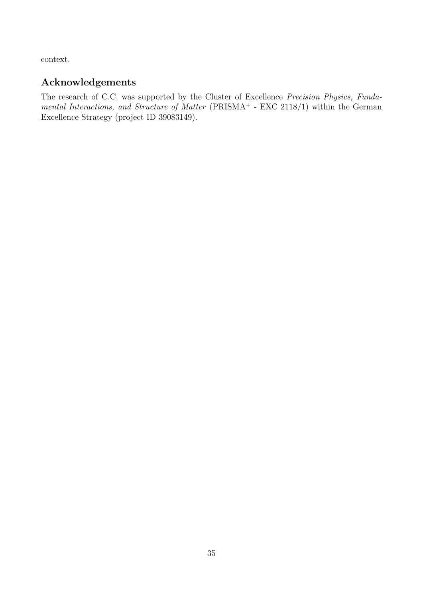context.

# Acknowledgements

The research of C.C. was supported by the Cluster of Excellence Precision Physics, Fundamental Interactions, and Structure of Matter (PRISMA<sup>+</sup> - EXC 2118/1) within the German Excellence Strategy (project ID 39083149).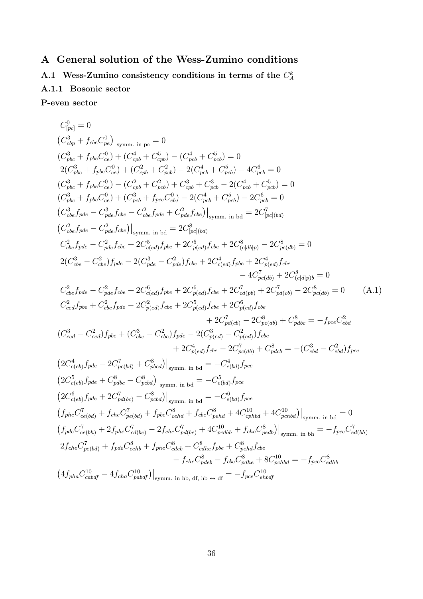# <span id="page-37-0"></span>A General solution of the Wess-Zumino conditions

<span id="page-37-1"></span>A.1 Wess-Zumino consistency conditions in terms of the  $C_A^k$ 

# <span id="page-37-2"></span>A.1.1 Bosonic sector

P-even sector

<span id="page-37-3"></span>
$$
C_{\text{ppc}}^{0} = 0
$$
\n
$$
(C_{\text{app}}^{3} + f_{\text{c}}bc_{\text{pe}}^{0}C_{\text{ep}}^{0})|_{\text{symm. in pc}} = 0
$$
\n
$$
(C_{\text{ppc}}^{3} + f_{\text{pbc}}C_{\text{ce}}^{0}) + (C_{\text{qpb}}^{4} + C_{\text{opb}}^{5}) - (C_{\text{pcb}}^{4} + C_{\text{pcb}}^{5}) = 0
$$
\n
$$
2(C_{\text{pb}}^{3} + f_{\text{pbc}}C_{\text{ce}}^{0}) + (C_{\text{cpb}}^{2} + C_{\text{pcb}}^{2}) - 2(C_{\text{pt}}^{4} + C_{\text{pcb}}^{5}) - 4C_{\text{pcb}}^{6} = 0
$$
\n
$$
(C_{\text{pbc}}^{3} + f_{\text{pbc}}C_{\text{ce}}^{0}) - (C_{\text{cpb}}^{2} + C_{\text{pcb}}^{2}) - 2(C_{\text{pt}}^{4} + C_{\text{pcb}}^{5} - 2(C_{\text{pt}}^{4} + C_{\text{pcb}}^{5}) = 0
$$
\n
$$
(C_{\text{pbc}}^{3} + f_{\text{pbc}}C_{\text{ce}}^{0}) + (C_{\text{pcb}}^{3} + f_{\text{pcc}}C_{\text{eb}}^{0}) - 2(C_{\text{pt}}^{4} + C_{\text{pcb}}^{5}) - 2C_{\text{pcb}}^{6} = 0
$$
\n
$$
(C_{\text{obc}}^{3} f_{\text{pde}} - C_{\text{pde}}^{3} f_{\text{pde}} - C_{\text{pde}}^{2} f_{\text{pde}} + C_{\text{pde}}^{2} f_{\text{pde}}^{2} = 0
$$
\n
$$
(C_{\text{obc}}^{3} f_{\text{pde}} - C_{\text{pde}}^{2} f_{\text{pde}} + 2C_{\text{pcd}}^{5} f_{\text{pde}} + 2C_{\text{pcd}}^{5} f_{\text{pde}} + 2C_{\text{pcd}}^{8} f_{\text{pde}} - 2C_{\text{pcd}}^{8} = 0
$$
\n
$$
C_{\text{cbc}}^{2} f_{\
$$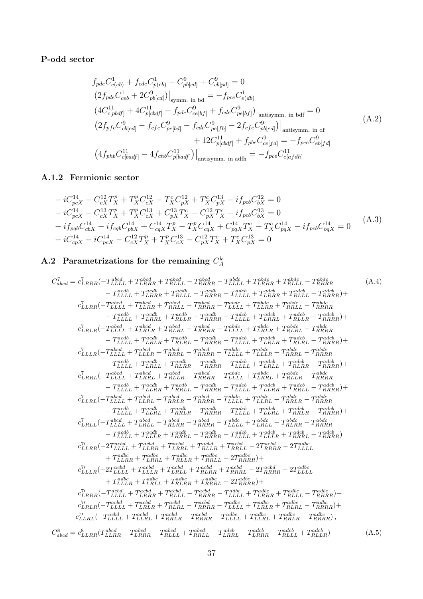## P-odd sector

<span id="page-38-2"></span>
$$
f_{pde}C_{c(eb)}^{1} + f_{cde}C_{p(eb)}^{1} + C_{pb[cd]}^{9} + C_{cb[pd]}^{9} = 0
$$
  
\n
$$
(2f_{pde}C_{ceb}^{1} + 2C_{pb[cd]}^{9})|_{\text{symm. in bd}} = -f_{pce}C_{e(db)}^{1}
$$
  
\n
$$
(4C_{c[pbdf]}^{11} + 4C_{p[cbdf]}^{11} + f_{pde}C_{ce[bf]}^{9} + f_{cde}C_{pe[bf]}^{9})|_{\text{antisymm. in bdf}} = 0
$$
  
\n
$$
(2f_{pfe}C_{cb[ed]}^{9} - f_{cfe}C_{pe[bd]}^{9} - f_{cde}C_{pe[fb]}^{9} - 2f_{cfe}C_{pb[ed]}^{9})|_{\text{antisymm. in df}}
$$
  
\n
$$
+ 12C_{p[cbdf]}^{11} + f_{pbe}C_{ce[fd]}^{9} = -f_{pce}C_{eb[fd]}^{9}
$$
  
\n
$$
(4f_{phb}C_{c[badf]}^{11} - 4f_{chb}C_{p[badf]}^{11})|_{\text{antisymm. in adfh}} = -f_{pce}C_{e[afdh]}^{11}
$$

# <span id="page-38-0"></span>A.1.2 Fermionic sector

$$
-iC_{pcX}^{14} - C_{cX}^{12}T_X^p + T_X^p C_{cX}^{12} - T_X^c C_{pX}^{12} + T_X^c C_{pX}^{13} - i f_{pcb} C_{bX}^{12} = 0
$$
  
\n
$$
-iC_{pcX}^{14} - C_{cX}^{13}T_X^p + T_X^p C_{cX}^{13} + C_{pX}^{13}T_X^c - C_{pX}^{12}T_X^c - i f_{pcb} C_{bX}^{13} = 0
$$
  
\n
$$
-i f_{pqb} C_{cbX}^{14} + i f_{cqb} C_{pbX}^{14} + C_{cqX}^{14}T_X^p - T_X^p C_{cqX}^{14} + C_{pqX}^{14}T_X^c - T_X^c C_{pqX}^{14} - i f_{pcb} C_{bqX}^{14} = 0
$$
  
\n
$$
-iC_{cpX}^{14} - iC_{pcX}^{14} - C_{cX}^{12}T_X^p + T_X^p C_{cX}^{13} - C_{pX}^{12}T_X^c + T_X^c C_{pX}^{13} = 0
$$
\n(A.3)

# <span id="page-38-1"></span>A.2 Parametrizations for the remaining  $C_A^k$

$$
C_{abcd}^{\dagger} = c_{LRRR}^{\dagger}(-T_{LLL}^{\text{abcd}} + T_{LRRR}^{\text{add}} + T_{RRRR}^{\text{add}} - T_{LLLL}^{\text{add}} + T_{RRRR}^{\text{add}} - T_{LLLL}^{\text{add}} + T_{RRRR}^{\text{add}} + T_{RRRR}^{\text{add}} + T_{RRRR}^{\text{add}} + T_{RRRR}^{\text{add}} + T_{RRRR}^{\text{add}} + T_{RRRR}^{\text{add}}) + T_{LLRR}^{\dagger}
$$
\n
$$
c_{LLRR}^{\dagger}(-T_{LLLL}^{\text{abcd}} + T_{LRRR}^{\text{add}} + T_{RRLL}^{\text{add}} - T_{RRRR}^{\text{add}} - T_{LLLL}^{\text{add}} + T_{LRRR}^{\text{add}} + T_{RRLL}^{\text{add}} - T_{RRRR}^{\text{add}}) + T_{LLLR}^{\dagger}
$$
\n
$$
- T_{LLLL}^{\text{add}} + T_{LRRL}^{\text{add}} + T_{RRRL}^{\text{add}} - T_{RRRR}^{\text{add}} - T_{LLLL}^{\text{add}} + T_{LRRR}^{\text{add}} + T_{RRRR}^{\text{add}}) + T_{RRRR}^{\text{add}} - T_{RRRR}^{\text{add}}) + T_{LLLR}^{\dagger}
$$
\n
$$
- T_{LLLL}^{\text{add}} + T_{LRRR}^{\text{add}} + T_{RRRL}^{\text{add}} - T_{RRRR}^{\text{add}} - T_{LLLL}^{\text{add}} + T_{LRRR}^{\text{add}} + T_{RRRR}^{\text{add}} - T_{RRRR}^{\text{add}}) + T_{LLLR}^{\text{add}} - T_{RRRR}^{\text{add}} - T_{RRRR}^{\text{add}}) + T_{LLLR}^{\dagger}
$$
\n
$$
- T_{LLLL}^{\text{add}} + T_{LRLR}^{\text{add}} + T_{RRRL}^{\text{add}} - T_{RRRR}^{\text{add}} - T_{LLLL}^{\text{add}} + T_{RRRR}^{\text{add}} - T_{RRRR}^{\text{add}}) + T_{RRRR}^{\text{add}} - T_{RRRR}^{\text{add}} - T
$$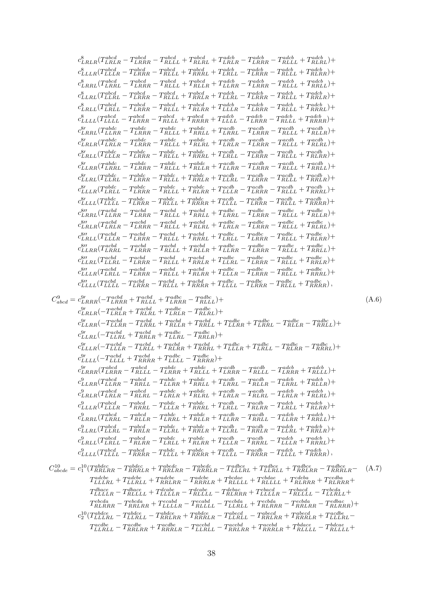$$
\begin{aligned} &\hat{\mathcal{E}}_{R,R,R}(T_{RR}^{26}\tilde{\pi}_{A}-T_{RR}^{26}\tilde{\pi}_{A}-T_{RR}^{26}\tilde{\pi}_{A}-T_{RR}^{26}\tilde{\pi}_{A}-T_{RR}^{26}\tilde{\pi}_{A}-T_{RR}^{26}\tilde{\pi}_{A}-T_{RR}^{26}\tilde{\pi}_{A}-T_{RR}^{26}\tilde{\pi}_{A}-T_{RR}^{26}\tilde{\pi}_{A}-T_{RR}^{26}\tilde{\pi}_{A}-T_{RR}^{26}\tilde{\pi}_{A}-T_{RR}^{26}\tilde{\pi}_{A}-T_{RR}^{26}\tilde{\pi}_{A}-T_{RR}^{26}\tilde{\pi}_{A}-T_{RR}^{26}\tilde{\pi}_{A}-T_{RR}^{26}\tilde{\pi}_{A}-T_{RR}^{26}\tilde{\pi}_{A}-T_{RR}^{26}\tilde{\pi}_{A}-T_{RR}^{26}\tilde{\pi}_{A}-T_{RR}^{26}\tilde{\pi}_{A}-T_{RR}^{26}\tilde{\pi}_{A}-T_{RR}^{26}\tilde{\pi}_{A}-T_{RR}^{26}\tilde{\pi}_{A}-T_{RR}^{26}\tilde{\pi}_{A}-T_{RR}^{26}\tilde{\pi}_{A}-T_{RR}^{26}\tilde{\pi}_{A}-T_{RR}^{26}\tilde{\pi}_{A}-T_{RR}^{26}\tilde{\pi}_{A}-T_{RR}^{26}\tilde{\pi}_{A}-T_{RR}^{26}\tilde{\pi}_{A}-T_{RR}^{26}\tilde{\pi}_{A}-T_{RR}^{26}\tilde{\pi}_{A}-T_{RR}^{26}\tilde{\pi}_{A}-T_{RR}^{26}\tilde{\pi}_{A}-T_{RR}^{26}\tilde{\pi}_{A}-T_{RR}^{26}\tilde{\pi}_{A}-T_{RR}^{26}\tilde{\pi}_{A}-T_{RR}^{26}\tilde{\pi}_{A}-T_{RR}^{26}\tilde{\pi}_{A}-T_{RR}^{26}\tilde{\pi}_{A}-T_{RR}^{26}\tilde{\pi}_{A}-T_{RR}^{26}\tilde{\pi}_{A}-T_{RR}^{26}\tilde{\pi}_{A}-T_{RR}^{26}\tilde{\pi}_{A}-T_{RR}^{26}\tilde{\pi}_{A}-T_{RR}^{26}\tilde{\pi}_{A}-T_{RR}^{26}\tilde{\pi}_{A}-T_{RR}^{26}\tilde{\pi}_{A}-T_{RR}^{26}\tilde{\pi}_{A}-T_{RR}^{2
$$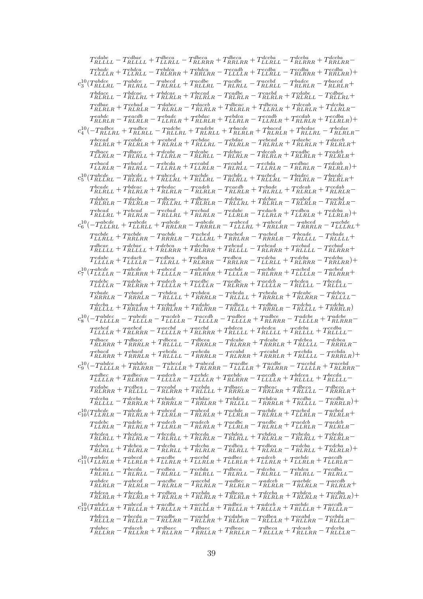| $T_{RLLLL}^{cdabe} - T_{RLLLL}^{cdbae} + T_{LLRLL}^{dbeca} - T_{RLRRR}^{dbeca} + T_{RRLRR}^{deeba} + T_{RLRRR}^{dceba} + T_{RRLRR}^{dceba} + T_{RRLRR}^{dceba}$                                                                                                                                                                                                                                                                                        |
|--------------------------------------------------------------------------------------------------------------------------------------------------------------------------------------------------------------------------------------------------------------------------------------------------------------------------------------------------------------------------------------------------------------------------------------------------------|
| $T_{LLLLR}^{ebdca}+T_{LLRLL}^{ebdca}-T_{RLRRR}^{ebdca}+T_{RRLRR}^{ebdca}-T_{LLLLLR}^{ecaba}+T_{RLRRR}^{ecdba}+T_{RRLRR}^{ecdba})+$                                                                                                                                                                                                                                                                                                                     |
| $c_3^{10}(T_{RLLRL}^{abdce} - T_{RLRLL}^{abdec} - T_{RLRLL}^{abedet} + T_{RLLRL}^{acdbe} - T_{RLRLL}^{acebd} - T_{RLRLL}^{badec} - T_{RLRLR}^{baede} + T_{RLRLR}^{baede} + T_{RLRLR}^{baeddec} - T_{RLRLR}^{baeddec} - T_{RLRLR}^{baeddec} - T_{RLRLR}^{baeddec} - T_{RLRLR}^{baeddec} - T_{RLRLR}^{baeddec} - T_{RLRLR}^{baeddec} - T_{RLRLR}^{baeddec} - T_{RLRLR}^{baeddec} -$                                                                      |
|                                                                                                                                                                                                                                                                                                                                                                                                                                                        |
| $T^{cdbae}_{RLRLR}+T^{cebad}_{RLRLR}-T^{dabcc}_{RLRLR}-T^{daceb}_{RLRLR}+T^{dbeac}_{RLRLR}+T^{dbeca}_{LLLRLR}+T^{dceab}_{RLRLR}+T^{dceba}_{LLLRLR}-T^{cdeba}_{RLRLR}-T^{cdeba}_{RLRLR}+T^{cdeba}_{LLRLR}-T^{cdeba}_{RLRLR}+T^{cdeba}_{LLRLR}-T^{cdeba}_{RLRLR}+T^{cdeba}_{LLRLR}-T^{cdeba}_{RLRLR}+T^{cdeba}_{LLRLR}-T^{cdeba}_{RLRLR}+T^{cdeba}_{LLLRR}+T^{cdeba}_{LLLRR}+T^{cdeba}_{$                                                                |
| $T_{RLRLR}^{eabdc} - T_{RLRLR}^{eacdb} - T_{LLRLR}^{ebadc} + T_{RLRLR}^{ebdca} + T_{LLRLR}^{ecadb} - T_{LLRLR}^{ecadb} + T_{LLRLR}^{ecdba} + T_{LLRLR}^{ecdba}) +$                                                                                                                                                                                                                                                                                     |
| $c_4^{10} \bigl( -T_{RLLRL}^{adbce} + T_{RLRLL}^{adbce} - T_{RLLRL}^{adcbe} + T_{RLRLL}^{dadee} + T_{RLRLR}^{bacde} + T_{RLRLR}^{bacde} + T_{RLLRL}^{bcdae} - T_{RLRLR}^{bcdae} \bigr)$                                                                                                                                                                                                                                                                |
| $T_{RLRLR}^{bcead}+T_{RLRLR}^{cabde}+T_{RLRLR}^{cabed}+T_{RLLRL}^{cbdae}-T_{RLRLR}^{cbaae}-T_{RLRLR}^{cbead}+T_{RLRLR}^{daebc}+T_{RLRLR}^{daecb}+ \label{eq:R}$                                                                                                                                                                                                                                                                                        |
| $T^{dbace}_{LLRLR} - T^{dbace}_{RLRLL} + T^{dcabe}_{LLRLR} - T^{dcabe}_{RLRLL} - T^{debac}_{RLRLR} - T^{decab}_{RLRLR} + T^{eadbc}_{RLRLR} + T^{eadcb}_{RLRLR} + \nonumber$                                                                                                                                                                                                                                                                            |
| $T_{LLRLR}^{ebacd} - T_{RLRLL}^{ebacd} - T_{LLRLR}^{ebda} + T_{LLRLR}^{ecabd} - T_{RLRLL}^{ecabd} - T_{LLRLR}^{ecbda} - T_{RLRLR}^{edbac} - T_{RLRLR}^{edcab}) + \nonumber$                                                                                                                                                                                                                                                                            |
| $c_5^{10}(T_{RLLRL}^{abcde}-T_{RLRLL}^{abcde}+T_{RLLRL}^{abcde}+T_{RLRLL}^{acbde}+T_{RLLRL}^{acbed}-T_{RLRLR}^{badec}-T_{RLRLR}^{baedec}+T_{RLRLR}^{bcdec}$                                                                                                                                                                                                                                                                                            |
| $T_{RLRLL}^{bcade}+T_{RLRLR}^{bdeac}+T_{RLRLR}^{bedac}-T_{RLRLR}^{cadeb}-T_{RLRLR}^{caedb}+T_{RLRLL}^{cbade}+T_{RLRLR}^{cdeab}+T_{RLRLR}^{cdeab}-T_{RLRLR}^{cdeab}-T_{RLRLR}^{cdeab}$                                                                                                                                                                                                                                                                  |
| $T_{RLRLR}^{dabce} - T_{RLRLR}^{dacbe} - T_{RLLRL}^{dbcae} + T_{RLRLR}^{dbcae} - T_{RLLRL}^{dcbae} + T_{RLRLR}^{dcbae} - T_{RLRLR}^{eached} - T_{RLRLR}^{eached} - T_{RLRLR}^{eachdee} - T_{RLRLR}^{eachdee} - T_{RLRLR}^{eachdee} - T_{RLRLR}^{eachdee} - T_{RLRLR}^{eachdee} - T_{RLRLR}^{eachdee} - T_{RLRRLR}^{eachdee} - T_{RLRRLR}^{eachdee} - T_{RLRRLR}^{eachdee} - T_{RLRRLR}^{eachdee} - T_{RLRRLR}$                                         |
| $T_{RLLRL}^{ebcad}+T_{RLRLR}^{ebcad}-T_{RLLRL}^{ecbad}+T_{RLRLR}^{ecbad}-T_{LLRLR}^{edabc}-T_{LLRLR}^{edacb}+T_{LLRLR}^{edbca}+T_{LLRLR}^{edcba})+$                                                                                                                                                                                                                                                                                                    |
| $c_6^{10} \bigl(-T_{LLLRL}^{abcde}+T_{LLRLL}^{abcde}+T_{RRLRR}^{abcde}-T_{RRRLR}^{abcde} -T_{LLLRL}^{abced}+T_{RRLRR}^{abced}-T_{RRRRLR}^{abced}-T_{LLLLRL}^{acbde}+\nonumber$                                                                                                                                                                                                                                                                         |
| $T_{LLRLL}^{acbde}+T_{RRLRR}^{acbde}-T_{RRRLR}^{acbde}-T_{LLLRL}^{acbed}+T_{RRLRR}^{acbed}-T_{RRRLL}^{bcade}-T_{RLLLL}^{cbade}+$                                                                                                                                                                                                                                                                                                                       |
| $T_{RILLL}^{dbcae} + T_{RLLLL}^{dcbae} + T_{RLRRR}^{debae} + T_{RLRRR}^{debae} + T_{RLLLL}^{ebcad} - T_{RLERR}^{ebcad} + T_{RLLLL}^{ecbad} - T_{RLRRR}^{ecbad} + T_{RLRRR}^{ebade} + T_{RLRRR}^{ebade} + T_{RLRRR}^{ebade} + T_{RLRRR}^{ebade} + T_{RLRRR}^{ebade} + T_{RLRRR}^{ebade} + T_{RLRRR}^{ebade} + T_{RLRRR}^{ebae} + T_{RLRRR}^{ebae} + T_{RLRRR}^{ebae} + T_{RLRRR}^{eb$                                                                   |
| $T^{edabc}_{LLLLR}+T^{edacb}_{LLLLR}-T^{edbca}_{LLRLL}+T^{edbca}_{RLRRR}-T^{edbca}_{RRLRR}-T^{edcba}_{LLRLL}+T^{edcba}_{RLRRR}-T^{edcba}_{RRLRR})+$                                                                                                                                                                                                                                                                                                    |
| $c_7^{10}(T_{LLLLR}^{abcde}-T_{RLRRR}^{abcde}+T_{LLLLR}^{abced}-T_{RLRRR}^{abcde}+T_{RLLRR}^{acbde}-T_{RLRRR}^{acbed}+T_{\text{LLLLRR}}^{acbed}-T_{RLRRR}^{acbed}+$                                                                                                                                                                                                                                                                                    |
| $T_{LLLLR}^{adebc} - T_{RLRRR}^{adebc} + T_{LLLLR}^{adecb} + T_{LLLLR}^{aedbc} - T_{RLRRR}^{aedbc} + T_{LLLLR}^{aedc} - T_{RLLLL}^{bcdea} - T_{RLLLL}^{bcda} \label{eq:R1}$                                                                                                                                                                                                                                                                            |
| $T^{cbade}_{RRRLR} - T^{cbaed}_{RRRLR} - T^{cbdea}_{RLLLL} + T^{cbdea}_{RLLLL} + T^{cbeda}_{RRRLR} + T^{deabc}_{RLRRR} - T^{debca}_{RLLLL} - T^{ebcca}_{RLLLL} - T^{ebcca}_{RLLLL} + T^{cbada}_{RLRLR} + T^{cbada}_{RLRRR} - T^{cbada}_{RLLLL} - T^{cbada}_{RLLLL} + T^{cbada}_{RLRLR} + T^{cbada}_{RLRRR} - T^{cbada}_{RLLLL} - T^{cbada}_{RLRLR} + T^{cbada}_{RLRRR} - T^{cbada}_{RLLLL} - T^{cbada}_{RLRLR} - T^{cbada}_{RLRLR} - T^{cbada}_{RLRLR$ |
| $T_{RILLL}^{decba}+T_{RRLRR}^{ebcad}+T_{RRLRR}^{echoac}+T_{RLLLL}^{edbca}+T_{RRRLR}^{edbca}-T_{RLLLL}^{edbca}+T_{RRLLL}^{edcba}+T_{RRRLR}^{edbda}) \label{eq:RILLL}$                                                                                                                                                                                                                                                                                   |
| $c_8^{10} \bigl( -T_{LLLLR}^{abdec} - T_{LLLLR}^{abede} - T_{LLLLR}^{acdeb} - T_{LLLLR}^{adbce} + T_{RLRRR}^{adbce} - T_{LLLLR}^{adche} + T_{RLRRR}^{adche} - T_{\tiny{RLLLR}}^{adche} \bigr)$                                                                                                                                                                                                                                                         |
| $T_{LLLLR}^{aebcd}+T_{RLRRR}^{aebcd}-T_{LLLLR}^{aeebd}+T_{RLRRR}^{aeebd}+T_{RLLLL}^{bdeca}+T_{RLLLL}^{ceeba}+T_{RLLLL}^{cedba}+T_{RLLLL}^{cedba} \label{eq:R1}$                                                                                                                                                                                                                                                                                        |
| $T_{RLRRR}^{dbace}+T_{RRRLR}^{dbace}+T_{RLLLL}^{dbcea}-T_{RRRLR}^{dbcea}-T_{RLRRRR}^{dcabe}+T_{RRRLR}^{dcbea}+T_{RLLLLL}^{dcbea}-T_{RRRLR}^{dcbea}-T_{LRRRLRR}^{dcdea}$                                                                                                                                                                                                                                                                                |
| $T^{ebacd}_{RLRRR}+T^{ebacd}_{RRRLR}+T^{ebcda}_{RLLLL}-T^{ebcda}_{RRRLR}-T^{ecabd}_{RLRRRR}+T^{ecabd}_{RRRLR}+T^{ecbda}_{RLLLL}-T^{ecbda}_{RRRLR})+$                                                                                                                                                                                                                                                                                                   |
| $c_9^{10} \bigl(-T_{LLLLR}^{abcde}+T_{RLRRR}^{abdede}-T_{LLLLRR}^{abced}+T_{RLRRR}^{acdee}-T_{LLLLRR}^{acdee}+T_{RLRRR}^{acebd}-T_{LLLLRR}^{acebd}+T_{RLRRR}^{acebd} \bigr)$                                                                                                                                                                                                                                                                           |
| $T_{LLLLR}^{adbec}+T_{RLRRR}^{adbec}-T_{LLLLR}^{adceb}-T_{LLLLR}^{aebdc}+T_{RLRRR}^{aebdc}-T_{LLLLR}^{acedb}+T_{RLLLL}^{bdeca}+T_{RLLLL}^{becda}-T_{LLLLRR}^{aebdc}-T_{LLLLRR}^{aebdc}-T_{LLLLRR}^{aebdc}-T_{LLLLRR}^{aebdc}-T_{LLLLRR}^{aebdc}-T_{LLLLRR}^{aebdc}-T_{LLLLRR}^{aebdc}-T_{LLLLRR}^{aebdc}-T_{LLLLRR}^{aebdc}-T_{LLLLRR}^{aebdc}-T_{LLLLRR}^{aeb$                                                                                        |
| $T^{cdabe}_{RLRRR}+T^{cdbea}_{RLLLL}-T^{ceabd}_{RLRRR}+T^{cebda}_{RLLLL}+T^{dbaec}_{RRRLR}-T^{dbeca}_{RRLLRR}+T^{dbeca}_{RLLLL}-T^{dbeca}_{RRRLR}+T^{cdeca}_{RLLRLR}+T^{cdeca}_{RRRLR}+T^{cdeca}_{RRRLR}+T^{cdeca}_{RRRLR}+T^{cdeca}_{RRRLR}+T^{cdeca}_{RRRLR}+T^{cdeca}_{RRRLR}+T^{cdeca}_{RRRLR}+T^{cdeca}_{RRRLR}+T^{cdeca}_{RRRLR}+T^{cdeca}_{RRRLR}+T^{cdeca}_{RRRLR}+T^{cdeca}_{RRRL$                                                            |
| $T_{RILLL}^{dceba} - T_{RRRLR}^{dceba} + T_{RRRLR}^{ebdac} - T_{RRLRR}^{ebdca} + T_{RRLLL}^{ebdca} - T_{RRRLR}^{ecdba} + T_{RRLLL}^{ecdba} - T_{RRRLR}^{ecdba}) +$                                                                                                                                                                                                                                                                                     |
| $c_{10}^{10}(T_{LLRLR}^{abcde}-T_{RLRLR}^{abcde}+T_{LLRLR}^{abced}-T_{RLRLR}^{abcde}+T_{RLRLR}^{acbde}-T_{RLRLR}^{acbed}+T_{LLRLR}^{acbed}+T_{RLRLR}^{acbed}+T_{RLRLR}^{acbed}-T_{RLRLR}^{acbed}-T_{RLRLR}^{acbed}-T_{RLRLR}^{acbed}-T_{RLRLR}^{acbed}-T_{RLRLR}^{acbed}-T_{RLRLR}^{acbed}-T_{RLRLR}^{acbed}-T_{RLRLR}^{acbed}-T_{RLRLR}^{acbed}-T_{RLRLR}^{acbed}-T_{RLRLR}^{acbed}-T_{RLRLR$                                                         |
| $T_{LLRLR}^{adebc} - T_{RLRLR}^{adebc} + T_{LLRLR}^{adecb} - T_{RLRLR}^{adecb} + T_{LLRLR}^{aedbc} - T_{RLRLR}^{aedbc} - T_{RLRLR}^{aedeb} - T_{RLRLR}^{aedbc} - T_{RLRLR}^{aedbc} - T_{RLRLR}^{aedbc} - T_{RLRLR}^{aedbc} - T_{RLRLR}^{aedbc} - T_{RLRLR}^{aedbc} - T_{RLRLR}^{aedbc} - T_{RLRLR}^{aedbc} - T_{RLRLR}^{aedbc} - T_{RLRLR}^{aedbc} - T_{RLRLR}^{aedbc} - T_{RLRLR}^{aedbc}$                                                            |
| $T_{RLRLL}^{bcdea}+T_{RLRLR}-T_{RLRLL}^{bceda}+T_{RLRLR}-T_{RLRLL}^{cbdea}+T_{RLRLR}-T_{RLRLL}^{cbdea}+T_{RLRLR}-T_{RLRLR}-T_{RLRLR}-T_{RLRLR}-T_{RLRLR}-T_{RLRLR}-T_{RLRLR}-T_{RLRLR}-T_{RLRLR}-T_{RLRLR}-T_{RLRLR}-T_{RLRLR}-T_{RLRLR}-T_{RLRLR}-T_{RLRLR}-T_{RLRLR}-T_{RLRLR}-T_{RLRLR}-T_{RLRLR}-T_{RLRLR}-T_{RLRLR}-T_{RLRLR}-T_{RLRLR}-T_{RLRLR}-T_{RLRLR}-T_{RLRLR}-T_{$                                                                        |
| $T_{RLRLL}^{debca}+T_{RLRLR}-T_{RLRLL}^{decba}+T_{RLRLR}^{deba}-T_{RLRLL}^{edbca}+T_{RLRLR}^{edbca}-T_{RLRLL}^{edcba}+T_{RLRLR}^{edcba}+ \label{eq:R}$                                                                                                                                                                                                                                                                                                 |
| $c_{11}^{10}(T_{LLRLR}^{abdec}+T_{LLRLR}^{abccd}+T_{LLRLR}^{acebd}+T_{LLRLR}^{acebd}+T_{LLRLR}^{adceb}+T_{LLRLR}^{acebdc}+T_{LLRLR}^{acedb}+T_{LLRLR}^{accdb}-T_{LLRLR}^{acdeb})$                                                                                                                                                                                                                                                                      |
| $T_{RLRLL}^{bdeca} - T_{RLRLL}^{beca} - T_{RLRLL}^{cdbea} - T_{RLRLL}^{ceba} - T_{RLRLL}^{deca} - T_{RLRLL}^{ebda} - T_{RLRLL}^{ecaba} - T_{RLRLL}^{ecda} - \label{eq:R}$                                                                                                                                                                                                                                                                              |
| $T_{RLRLR}^{abcde} - T_{RLRLR}^{abcde} - T_{RLRLR}^{acde} - T_{RLRLR}^{acde} - T_{RLRLR}^{adeeb} - T_{RLRLR}^{acebde} - T_{RLRLR}^{acedb} + T_{RLRLR}^{acedb} + T_{RLRLR}^{acdeb} - T_{RLRLR}^{acdeb} - T_{RLRLR}^{acdeb} - T_{RLRLR}^{acdeb} - T_{RLRLR}^{acdeb} - T_{RLRLR}^{acdeb} - T_{RLRLR}^{acdeb} - T_{RLRLR}^{acdeb} - T_{RLRLR}^{acdeb} - T_{RLRLR}^{acdeb} - T_{RLRLR}^{ac$                                                                 |
| $T_{RLRLR}^{bdcea}+T_{RLRLR}^{becda}+T_{RLRLR}^{ccbea}+T_{RLRLR}^{cbba}+T_{RLRLR}^{dbeca}+T_{RLRLR}^{ebcda}+T_{RLRLR}^{ecbda}+T_{RLRLR}^{ecbda})+$                                                                                                                                                                                                                                                                                                     |
| $c_{12}^{10}(T_{RLLLR}^{abdec}+T_{RLLLR}^{aecd}+T_{RLLLR}^{acebd}+T_{RLLLR}^{adebc}+T_{RLLLR}^{adceb}+T_{RLLLR}^{aebdc}+T_{RLLLR}^{aeedb}-T_{RLLLR}^{aecdb}+T_{RLLLR}^{aeedb}+T_{RLLLR}^{aeedb}-T_{RLLLR}^{aeedb}-T_{RLLLR}^{aeedb}-T_{RLLLR}^{aeedb}-T_{RLLLR}^{aeedb}-T_{RLLLR}^{aeedb}-T_{RLLLR}^{aeedb}-T_{RLLLR}^{aeedb}-T_{RLLLR}^{aeedb}-T_{RLLLR}^{$                                                                                           |
| $T_{RLLLR}^{bdeca} - T_{RLLLR}^{becaa} - T_{RLLRR}^{caebe} - T_{RLLRR}^{caebd} + T_{RLLLR}^{cdbea} - T_{RLLLR}^{cdead} + T_{RLLRR}^{cebda} - T_{RLLLR}^{cebda} - \nonumber$                                                                                                                                                                                                                                                                            |
|                                                                                                                                                                                                                                                                                                                                                                                                                                                        |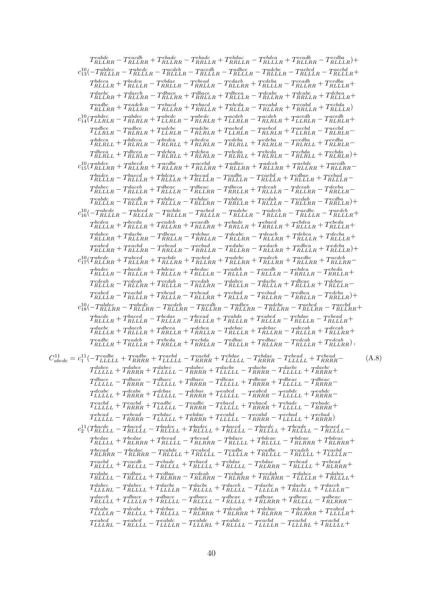| $T^{eabdc}_{RLLRR}-T^{each}_{RLLRR}+T^{ebadc}_{RRLLR}-T^{ebdac}_{RRLLR}+T^{ebdac}_{RRLLR}-T^{ebdca}_{RLLLR}+T^{ecadb}_{RLLRR}-T^{ecdba}_{RLLLR})+$                                                                                                                                                                                                                                               |       |
|--------------------------------------------------------------------------------------------------------------------------------------------------------------------------------------------------------------------------------------------------------------------------------------------------------------------------------------------------------------------------------------------------|-------|
| $c_{13}^{10} (-T^{abcde}_{RLLLR}-T^{abcde}_{RLLLR}-T^{acdeb}_{RLLLR}-T^{acdebc}_{RLLLR}-T^{adche}_{RLLLR}-T^{acbed}_{RLLLR}-T^{acebd}_{RLLLR}+ \nonumber \\$                                                                                                                                                                                                                                     |       |
| $T_{RLLLR}^{bdeca}+T_{RLLLR}^{bedca}-T_{RRLLR}^{cbdae}-T_{RRLLR}^{cbead} -T_{RLLLR}^{cdeba}+T_{RLLLR}^{cdeba}-T_{RLLLR}^{ccedba}+T_{RLLLR}^{ccdba}+\nonumber$                                                                                                                                                                                                                                    |       |
| $T_{RLLRR}^{daebc}+T_{RLLRR}^{daecb}-T_{RLLRR}^{dbace}+T_{RRLLR}^{dbace}+T_{RLLLR}^{dcabe}+T_{RRLLR}^{dcabe}+T_{RRLLR}^{dcbea}+T_{RLLLR}^{dcbea}+T_{RRLLR}^{dcdeca}+T_{RRLLR}^{dcdeca}+T_{RRLLR}^{dcdeca}+T_{RRLLR}^{dcdeca}+T_{RRLLR}^{dcdeca}+T_{RRLLR}^{dcdeca}+T_{RRLLR}^{dcdeca}+T_{RRLLR}^{dcdeca}+T_{RRLLR}^{dcdeca}+T_{RRLLR}^{dcdeca}+T_{RRLLR}^{dcde$                                  |       |
| $T^{eadbc}_{RLLRR}+T^{eadcb}_{RLLRR}-T^{ebacd}_{RLLRR}+T^{ebacd}_{RRLLR}+T^{ebcda}_{RLLLR}-T^{ecabd}_{RLLRR}+T^{ecabd}_{RRLLRR}+T^{ecbda}_{RLLLR})$                                                                                                                                                                                                                                              |       |
| $c_{14}^{10}(T_{LLRLR}^{abdec} - T_{RLRLR}^{abdec} + T_{LLRLR}^{abedc} - T_{RLRLR}^{abcdeb} - T_{RLRLR}^{acdeb} + T_{LLRLR}^{acedb} - T_{RLRLR}^{acedb} - T_{RLRLR}^{acedb} + T_{LLRLR}^{acedb} - T_{RLRLR}^{acedb} - T_{RLRLR}^{acedb} - T_{RLRLR}^{acedb} - T_{RLRLR}^{acedb} - T_{RLRLR}^{acedb} - T_{RLRLR}^{acedb} - T_{RLRLR}^{acedb} - T_{RLRLR}^{acedb} - T_{RLRLR}^{acedb$              |       |
| $T_{LLRLR}^{adbce} - T_{RLRLR}^{adbce} + T_{LLRLR}^{adcbe} - T_{RLRLR}^{adcbe} + T_{LLRLR}^{aebcd} - T_{RLRLR}^{aebcd} - T_{RLRLR}^{aecbd} - T_{RLRLR}^{aecbd} - T_{RLRLR}^{aecde} - T_{RLRLR}^{aecde} - T_{RLRLR}^{aecde} - T_{RLRLR}^{aecde} - T_{RLRLR}^{aecde} - T_{RLRLR}^{aecde} - T_{RLRLR}^{aecde} - T_{RLRLR}^{aecde} - T_{RLRLR}^{aecde} - T_{RLRLR}^{aecde} - T_{RLRLR}$              |       |
| $T_{RLRLL}^{bdeca}+T_{RLRLR}-T_{RLRLL}^{bedca}+T_{RLRLR}-T_{RLRLL}^{cdeba}+T_{RLRLR}-T_{RLRLL}^{cdeba}+T_{RLRLL}^{cedba}+T_{RLRLR}-T_{RLRLR}-T_{RLRLR}-T_{RLRLR}-T_{RLRLR}-T_{RLRLR}-T_{RLRLR}-T_{RLRLR}-T_{RLRLR}-T_{RLRLR}-T_{RLRLR}-T_{RLRLR}-T_{RLRLR}-T_{RLRLR}-T_{RLRLR}-T_{RLRLR}-T_{RLRLR}-T_{RLRLR}-T_{RLRLR}-T_{RLRLR}-T_{RLRLR}-T_{RLRLR}-T_{RLRLR}-T_{RLRLR$                         |       |
| $T_{RLRLL}^{dbcea}+T_{RLRLR}-T_{RLRLL}^{dobea}+T_{RLRLR}^{dobea}-T_{RLRLL}^{ebcda}+T_{RLRLL}^{ebcda}-T_{RLRLL}^{ecbda}+T_{RLRLR}^{ecbda})+$                                                                                                                                                                                                                                                      |       |
| $c_{15}^{10}(T_{RLLRR}^{abdec}+T_{RLLRR}^{abed}+T_{RLLRR}^{acebd}+T_{RLLRR}^{addec}+T_{RLLRR}^{adceb}+T_{RLLRR}^{acebdc}+T_{RLLRR}^{acedb}-T_{RLLRR}^{acedb}-T_{RLLRR}^{acdeb})$                                                                                                                                                                                                                 |       |
| $T_{RLLLR}^{badce} - T_{RLLLR}^{baccd} + T_{RLLLR}^{bdcae} + T_{RLLLR}^{becad} - T_{RLLLR}^{cadeb} - T_{RLLLR}^{cadeb} + T_{RLLLR}^{cdbae} + T_{RLLLR}^{cebad} - T_{RLLLR}^{cdebde} + T_{RLLLR}^{cdebde} + T_{RLLLR}^{cdebde} + T_{RLLLR}^{cdebde} + T_{RLLLR}^{cdebde} + T_{RLLLR}^{cdebde} + T_{RLLLR}^{cdebde} + T_{RLLLR}^{cdebde} + T_{RLLLR}^{cdebde} + T_{RLLLR}^{c$                      |       |
| $T_{RLLLR}^{dabec} - T_{RLLLR}^{daceb} + T_{RLLLR}^{dbeac} - T_{RLLRR}^{dbeac} - T_{RRLLR}^{decab} + T_{RLLLR}^{dceab} - T_{RRLLR}^{dceab} - T_{RRLLR}^{dceba} - T_{RRLLR}^{dceba} - T_{RRLLR}^{dceba} - T_{RRLLR}^{dceab} - T_{RRLLR}^{dceab} - T_{RRLLR}^{dceab} - T_{RRLLR}^{dceab} - T_{RRLLR}^{dceab} - T_{RRLLR}^{dceab} - T_{RRLLR}^{dceab} - T_{RRLLR}^{dceab} - T_{RRL$                 |       |
| $T_{RLLLR}^{eabdc} - T_{RLLLR}^{eacdb} + T_{RLLLR}^{ebdac} - T_{RRLLR}^{ebdca} - T_{RRLLR}^{ecdab} + T_{RLLLR}^{ecdab} - T_{RRLLR}^{ecdba} + T_{RRLLR}^{ecdba} +$                                                                                                                                                                                                                                |       |
| $c_{16}^{10} \bigl(-T_{RLLLR}^{abcde} - T_{RLLLR}^{abcde} - T_{RLLLR}^{acbed} - T_{RLLLR}^{adebc} - T_{RLLLR}^{adeeb} - T_{RLLLR}^{adebc} - T_{RLLLR}^{aedeb} - T_{RLLLR}^{aedeb} +$                                                                                                                                                                                                             |       |
| $T_{RLLLR}^{bcdea}+T_{RLLLR}^{bceda}+T_{RLLRR}^{cadeb}+T_{RRLLR}^{caedb}+T_{RRLLR}^{cbade}+T_{RRLLR}^{cbadea}+T_{RLLLR}^{cbeda}+T_{RLLLR}^{cbeda}+T_{RLLLR}^{cbedb}+T_{RLLLR}^{cbedb}+T_{RLLLR}^{cbedb}+T_{RLLLR}^{cbedb}+T_{RLLLR}^{cbedb}+T_{RLLLR}^{cbedb}+T_{RLLLR}^{cbedb}+T_{RLLLR}^{cbedb}+T_{RLLLR}^{cbedb}+T_{RLLLR}^{cbedb}+T_{RLLLR}^{cbed$                                           |       |
| $T_{RLLRR}^{dabce}+T_{RLLRR}^{dacee}-T_{RRLLR}^{dbcae}-T_{RRLLR}^{deabe}-T_{RLLRR}^{deacbe}+T_{RLLLR}^{debca}+T_{RLLLR}^{decba}+T_{RLLLR}^{decba}$                                                                                                                                                                                                                                               |       |
| $T^{eabcd}_{RLLRR}+T^{eachd}_{RLLRR}-T^{ebcad}_{RRLLR}-T^{ebad}_{RRLLR}-T^{edabc}_{RLLRR}-T^{edacb}_{RLLLR}+T^{edbca}_{RLLLR}+T^{edbca}_{RLLLR})+ \label{eq:RLLRR}$                                                                                                                                                                                                                              |       |
| $c_{17}^{10}(T_{RLLRR}^{abcde}+T_{RLLRR}^{abcde}+T_{RLLRR}^{acbed}+T_{RLLRR}^{adebc}+T_{RLLRR}^{adecb}+T_{RLLRR}^{aedbc}+T_{RLLRR}^{aedbc}+T_{RLLRR}^{acdeb}-T_{RLLRR}^{acdeb})$                                                                                                                                                                                                                 |       |
| $T_{RLLLR}^{badec} - T_{RLLLR}^{bedc} + T_{RLLLR}^{bdeac} + T_{RLLLR}^{bedac} - T_{RLLLR}^{caeb} - T_{RRLLR}^{cdeba} - T_{RRLLR}^{cbeda} - T_{RRLLR}^{cbeda} +$                                                                                                                                                                                                                                  |       |
| $T_{RLLLR}^{cdeab} - T_{RLLRR}^{cdeab} + T_{RLLLR}^{cedab} - T_{RLLRR}^{cedab} - T_{RLLLR}^{dabce} - T_{RLLLR}^{dacee} + T_{RLLLR}^{dbcae} + T_{RLLLR}^{dcbee} - T_{RLLLR}^{dcbdee} - T_{RLLLR}^{dcbdee} - T_{RLLLR}^{dcbdee} + T_{RLLLR}^{dcbdee} - T_{RLLLR}^{dcbdee} - T_{RLLLR}^{dcbdee} - T_{RLLLR}^{dcbdee} - T_{RLLLR}^{dcbdee} - T_{RLLLR}^{dcbdee} - T_{RLLLR}^{$                       |       |
| $T_{RLLLR}^{eabcd} - T_{RLLLR}^{eacbd} + T_{RLLLR}^{ebcad} - T_{RLLLR}^{ecbad} + T_{RLLLR}^{ecbad} - T_{RRLLR}^{edbca} - T_{RRLLR}^{edcba} + T_{RRLLR}^{edcba} + T_{RRLLR}^{edcda} + T_{RRLLR}^{edcda} + T_{RRLLR}^{edcda} + T_{RRLLR}^{edcda} - T_{RRLLR}^{edcda} + T_{RRLLR}^{edcda} + T_{RRLLR}^{edcda} - T_{RRLLR}^{edcda} + T_{RRLLR}^{edcda} + T_{RRLLR}^{edcda} + T_{RRLLR$               |       |
| $c_{18}^{10} (-T^{abc}_{RLLRR} - T^{abcdc}_{RLLRR} - T^{acdeb}_{RLLRR} - T^{acdeb}_{RLLRR} - T^{adbce}_{RLLRR} - T^{adcbe}_{RLLRR} - T^{acbcd}_{RLLRR} +$                                                                                                                                                                                                                                        |       |
| $T_{RLLLR}^{bacde}+T_{RLLLR}^{baced}-T_{RLLLR}^{bcdae}-T_{RLLLR}^{bcead}+T_{RLLLR}^{cabde}+T_{RLLLR}^{cabed}-T_{RLLLR}^{cbdae}-T_{RLLLR}^{cbead}+$                                                                                                                                                                                                                                               |       |
| $T_{RLLLR}^{daebc}+T_{RLLLR}^{daceb}+T_{RRLLR}^{dbeca}+T_{RRLLR}^{debac}-T_{RLLLR}^{debac}+T_{RLLLR}^{decab}-T_{RLLLR}^{decab}+T_{RLLRR}^{decab}+ \label{eq:RLLLR}$                                                                                                                                                                                                                              |       |
| $T^{eadbc}_{RLLLR}+T^{eadcb}_{RRLLR}+T^{ebcda}_{RRLLR}+T^{ecbda}_{RRLLR}-T^{edbac}_{RLLLR}+T^{edbac}_{RLLLR}-T^{edcab}_{RLLLR}+T^{edcab}_{RLLRR})\,,$                                                                                                                                                                                                                                            |       |
| $C_{abcde}^{11} = c_1^{11}(-T_{LLLLL}^{cadbe}+T_{RRRR}^{cadeb}+T_{LLLLL}^{caebd} - T_{RRRR}^{cbede}+T_{LLLLLL}^{cbede} - T_{RRRR}^{cbead}-T_{LLLLL}^{cbead}+T_{RRRR}^{cbead}-T_{\bar{L}}^{cbead}$                                                                                                                                                                                                | (A.8) |
| $T_{LLLLL}^{dabce}+T_{RRRR}^{dabce}+T_{LLLLL}^{dabec}-T_{RRRR}^{dabec}+T_{LLLLLL}^{dacbe}-T_{RRRR}^{dacbe}-T_{LLLLL}^{dabcbc}+T_{RRRR}^{dabcec}+\nonumber$                                                                                                                                                                                                                                       |       |
| $T_{LLLLLL}^{dbace} - T_{RRRR}^{dbace} - T_{LLLLL}^{dbaec} + T_{RRRR}^{dbcae} + T_{RRRRR}^{dbcae} + T_{LLLLL}^{dbeac} - T_{RRRR}^{dbeac} - T_{RRRR}^{dbcac} + T_{LLLLL}^{dbcac} + T_{RRRR}^{dbcac} + T_{LLLLL}^{dbcac} + T_{RRRR}^{dbcac} + T_{LLLLL}^{dbcac} + T_{RRRR}^{dbcac} + T_{LLLLL}^{dbcac} + T_{RRRR}^{dbcac} + T_{LLLLL}^{dbcac} + T_{RRRR}^{dbcac} + T_{LLLLL}^{dbcac} + T_{RRRR}^{$ |       |
| $T_{LLLL}^{dcube}+T_{RRRR}^{dcube}+T_{LLLLL}^{dcbae}-T_{RRRR}^{dcbae}+T_{LLLLL}^{eabcd}-T_{RRRR}^{eabdc}-T_{LLLLL}^{eabdc}+T_{RRRR}^{eabdc}-$                                                                                                                                                                                                                                                    |       |
| $T_{LLLLL}^{eachd}+T_{RRRR}^{eachd}+T_{LLLLL}^{eadbc}-T_{RRRR}^{eachc}-T_{LLLLL}^{ebacd}+T_{RRRR}^{ebade}+T_{LLLLL}^{ebadc}-T_{RRRR}^{ebadc}+T_{L\&L}\label{eq:RRRRR}$                                                                                                                                                                                                                           |       |
| $T_{LLLLL}^{ebcad} - T_{RRRR}^{ebdad} - T_{LLLLL}^{ebdac} + T_{RRRR}^{ebdac} + T_{LLLLL}^{ecabd} - T_{RRRR}^{ecbad} - T_{LLLLL}^{ecbad} + T_{RRRR}^{ecbad} \label{eq:4}$                                                                                                                                                                                                                         |       |
| $c_2^{11}(T^{bacde}_{RLLLL}-T^{baced}_{RLLLL}-T^{badce}_{RLLLL}+T^{badec}_{RLLLL}+T^{baccd}_{RLLLL}-T^{bacde}_{RLLLL}-T^{bcade}_{RLLLL}-T^{bcaed}_{RLLLL}-T^{bcaed}_{RLLLL}-T^{bcaed}_{RLLLL}-T^{bcaed}_{RLLLL}-T^{bcaed}_{RLLLL}-T^{bcaed}_{RLLLL}-T^{bcaed}_{RLLLL}-T^{bcaed}_{RLLLL}-T^{bcaed}_{RLLLL}-T^{bcaed}_{RLLLL}-T^{bcaed}_{RLLLL}-T^{bcaed}_{RLLLL}-T^{bcaed}_{R因}$                  |       |
| $T_{RLLLL}^{bcdae}+T_{RLRRR}^{bcdae}+T_{RLLLL}^{bcead}-T_{RLRRR}^{bcaad}-T_{RLLLL}^{bdace}+T_{RLLLL}^{bdcae}-T_{RLRRR}^{bdcae}+T_{RLRRR}^{bdeae} \label{eq:RLLLLR}$                                                                                                                                                                                                                              |       |
| $T_{RLRRR}^{becad} - T_{RLRRR}^{bedac} - T_{RLLLL}^{cabel} + T_{RLLLR}^{cable} + T_{RLLLL}^{cadeb} - T_{RLLLLL}^{cadeb} + T_{LLLLR}^{caebd} - T_{RLLLLR}^{caebd} + T_{LLLLR}^{caebd} + T_{LLLLR}^{caebd} + T_{LLLLR}^{caebd} + T_{LLLLR}^{caebd} + T_{LLLLR}^{caebd} + T_{LLLLR}^{caebd} + T_{LLLLR}^{caebd} + T_{LLLLR}^{caebd} + T_{LLLLR}^{caebd} + T_{LLLLR}^{caebd} + T_{LLLLR}^{caebd}$    |       |
| $T_{RLLLL}^{caebd}+T_{RLLLL}^{caedb}-T_{RLLLLL}^{cbade}+T_{RLLLL}^{cbade}+T_{RLLLL}^{cbdae}-T_{RLLLL}^{cbead}+T_{RLERR}^{cbead}+$                                                                                                                                                                                                                                                                |       |
| $T_{RLLLL}^{cdabe} - T_{RLLLL}^{cdbae} + T_{RLRRR}^{cdaab} - T_{RLRRR}^{cebad} - T_{RLRRR}^{cedab} + T_{RLRRR}^{cdabe} - T_{LLLLR}^{dabce} + T_{RLLLLL}^{dabce} + \nonumber$                                                                                                                                                                                                                     |       |
| $T_{LLLLRL}^{dabec} - T_{RLLLL}^{dabec} + T_{LLLLLR}^{dacebe} - T_{RLLLL}^{daceb} - T_{LLLLLR}^{daebc} + T_{RLLLL}^{daebc} + T_{ILLLR}^{daebc} - T_{LLLLLLR}^{daebec} + T_{LLLLLLR}^{daebec} - T_{RLLLR}^{daebec} - T_{RLLLR}^{daebec} - T_{RLLLR}^{daebec} + T_{RLLLR}^{daebec} - T_{RLLLR}^{daebec} - T_{RLLLR}^{daebec} - T_{RLLLR}^{daebec} - T_{RLLLR}^{daebec} - T_{RLLLR$                 |       |
| $T_{RILLL}^{daecb}+T_{LLLLLR}^{dbace}+T_{RLLLL}^{dbace} -T_{RLLLL}^{dbace} -T_{RLLLLL}^{dbcae}+T_{RLLLLR}^{dbea c} -T_{RLRRR}^{dbea c} -T_{RLRRRR}^{dbea c} -T_{RLRRRR}^{dbca c} -T_{RLRRRR}^{dbca c} -T_{RLRRRR}^{dbca c} -T_{RLRRRR}^{dbca c} -T_{RLRRRR}^{dbca c} -T_{RLRRRR}^{dbca c} -T_{RLRRRR}^{dbca c} -T_{RLRRRR}^{dbca c} -T_{RLRRRR}^{dbca c} -T_{RLRRRR}$                            |       |
| $T_{LLLLR}^{dcube}-T_{RLLLL}^{dcube}+T_{RLLLL}^{dcbae}-T_{RLRRR}^{dcbae}+T_{RLRRR}^{debac}+T_{RLRRR}^{debab}-T_{RLRRR}^{deab}+T_{LLLLR}^{eabcd} \label{eq:2}$<br>$T^{dcabe}$                                                                                                                                                                                                                     |       |
| $T_{LLLRL}^{eabcd} - T_{RLLLL}^{eabcd} - T_{LLLLR}^{eabdc} - T_{RLLLL}^{eabdc} - T_{LLLLR}^{eacbd} - T_{LLLLR}^{eacbd} + T_{RLLLL}^{eacbd} + T_{RLLLL}^{eacbd} +$                                                                                                                                                                                                                                |       |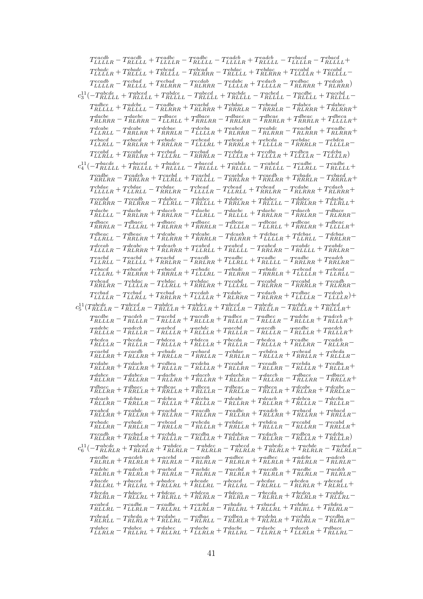| $T_{LLLLR}^{each}-T_{RLLLLL}^{each}+T_{LLLLR}^{eadbc}-T_{RLLLLL}^{eadcb}-T_{LLLLLR}^{eadcb}+T_{RLLLLL}^{eadc}-T_{LLLLR}^{ebacd}-T_{RLLLLL}^{ebacd}+T_{RLLLLL}^{ebacd}-T_{RLLLLL}^{ebacd}-T_{L\&L\&L}^{ebacd}-T_{R\&L\&L}^{ebacd}-T_{R\&L\&L}^{ebacd}-T_{R\&L\&L}^{ebacd}-T_{R\&L\&L}^{ebacd}-T_{R\&L\&L}^{ebacd}-T_{R\&L\&L}^{ebacd}-T_{R\&L\&L}^{ebacd}-T_{R\&L\&L}$                                                                                 |
|-------------------------------------------------------------------------------------------------------------------------------------------------------------------------------------------------------------------------------------------------------------------------------------------------------------------------------------------------------------------------------------------------------------------------------------------------------|
| $T^{ebadc}_{LLLLR}+T^{ebade}_{RLLLLL}+T^{ebcad}_{RLLLL}-T^{ebcad}_{RLRRR}-T^{ebdac}_{RLLLL}+T^{ebdac}_{RLRRR}+T^{ecabd}_{RLLLL}-T^{ecabd}_{RLLLL}-T^{ecabd}_{RLLLL}-T^{ecabd}_{RLLLL}-T^{ecabd}_{RLLLL}-T^{ecabd}_{RLR}-T^{ecabd}_{RLR}-T^{ecabd}_{RLR}-T^{ecabd}_{RLR}-T^{ecabd}_{RLR}-T^{ecabd}_{RLR}-T^{ecabd}_{RLR}-T^{ecabd}_{RLR}-T^{ecabd}_{RLR}-T^{ecabd}_{RLR}-T^{ecabd}_{RLR}-T^{ecabd}_{RLR}-T^{ecabd}_{RLR}-T^{ecabd}_{RLR}-T^{ecabd}_{R$ |
| $T_{LLLLR}^{ecadb} - T_{RLLLL}^{ecbad} + T_{RLRRR}^{ecbab} - T_{RLRRR}^{ecdab} - T_{LLLLR}^{edabc} + T_{RLRRR}^{edbac} - T_{RLRRR}^{edcab} + T_{RLRRR}^{ecdab} \label{eq:4}$                                                                                                                                                                                                                                                                          |
| $c_3^{11} \bigl( -T_{RLLLL}^{abcde} + T_{RLLLL}^{abcde} + T_{RLLLL}^{abcde} - T_{RLLLL}^{acbde} - T_{RLLLL}^{acbede} - T_{RLLLL}^{acdede} + T_{RLLLL}^{acebde} \bigr)$                                                                                                                                                                                                                                                                                |
| $T_{RILLL}^{adbce} + T_{RLLLL}^{adobe} - T_{RLRRR}^{cadbe} + T_{RLRRR}^{cabdae} + T_{RRRLR}^{cbade} - T_{RRRRR}^{debe} + T_{RLRRR}^{dabec} + T_{RLRRR}^{dabec} + \nonumber$                                                                                                                                                                                                                                                                           |
| $T_{RLRRR}^{dache} - T_{RLRRR}^{daebc} - T_{LLRLL}^{dbace} + T_{RRLRR}^{dbace} - T_{RRLRR}^{dbace} - T_{RRRLR}^{dbeac} + T_{RRRLR}^{dbeca} + T_{LLLLLR}^{dbeca} + \label{eq:R1RRR}$                                                                                                                                                                                                                                                                   |
| $T^{dcube}_{LLRLL}-T^{dcube}_{RRLRR}+T^{dcbae}_{RRRLR}-T^{dceba}_{LLLLR}+T^{eabcd}_{RLRRR}-T^{eabdc}_{RLRRR}-T^{eacbd}_{RLRRR}+T^{eadbc}_{RLRRR}+\nonumber$                                                                                                                                                                                                                                                                                           |
| $T_{LLRLL}^{ebacd}-T_{RRLRR}^{ebacd}+T_{RRLRR}^{ebcad}-T_{LLLRL}^{ebcad}+T_{RRRLR}^{ebcad}+T_{LLLLR}^{ebdac}-T_{RRRLR}^{ebdac}-T_{LLLLLR}^{ebdca}+T_{\bar L}^{ebdeca}+T_{\bar L}^{ebdeca}+T_{\bar L}^{ebdeca}+T_{\bar L}^{ebdeca}$                                                                                                                                                                                                                    |
| $T_{LLRLL}^{ecabd}+T_{RRLRR}^{ecabd}+T_{LLLRL}-T_{RRRLLR}^{ecbad}-T_{LLLLLR}^{ecbda}+T_{LLLLLR}^{ecdba}+T_{LLLLLR}^{edbca}-T_{LLLLLR}^{edbda}) \label{eq:2}$                                                                                                                                                                                                                                                                                          |
| $c_4^{11} \bigl( -T_{RLLLL}^{bacde} + T_{RLLLL}^{bacde} + T_{RLLLL}^{bacde} - T_{RLLLL}^{cabde} - T_{RLLLL}^{cabde} - T_{RLLLL}^{cabde} - T_{LLRLL}^{cadbe} - T_{RLLLL}^{cadbe} \bigr)$                                                                                                                                                                                                                                                               |
| $T^{cadbe}_{RRLRR}-T^{cadeb}_{RRLRR}+T^{caebd}_{LLLLL}-T^{caebd}_{RRLRR}+T^{caedb}_{RRLRR}+T^{cbade}_{RRRLR}-T^{cbaed}_{RRRLR}+ \nonumber$                                                                                                                                                                                                                                                                                                            |
| $T_{LLLLR}^{cbdae}+T_{LLRLL}^{cbdae}-T_{RRLRR}^{cbade}-T_{LLLLR}^{cbead}-T_{LLRLL}^{cbead}+T_{RLLRR}^{cdabe}+T_{RLRRR}^{cdabe}+T_{RLRRR}^{cdabe}+ \label{eq:2}$                                                                                                                                                                                                                                                                                       |
| $T^{ceabd}_{RLRRR} - T^{ceadb}_{RLRRR} - T^{dabcc}_{LLRLL} - T^{dabcc}_{RLLLL} + T^{dabcc}_{RRLRR} + T^{dabcc}_{RRLRR} - T^{dabcc}_{LLLRLL} +$                                                                                                                                                                                                                                                                                                        |
| $T_{RILLL}^{dache} - T_{RRLRR}^{dache} + T_{RRLRR}^{daceb} - T_{LLRLL}^{daebc} - T_{RILLL}^{daebc} + T_{RRLRR}^{daebc} - T_{RRLRR}^{dacee} - T_{RLRRR}^{dbacee} - T_{RRLRRR}^{daecee} - T_{RRLRRR}^{daecee} - T_{RLRRRR}^{daecee} - T_{RLRRRR}^{daecee} - T_{RLRRRR}^{daecee} - T_{RLRRRR}^{daecee} - T_{RLRRRR}^{daecee} - T_{RLRRRR}^{daecee} - T_{RLRRRR}^{daecee} -$                                                                              |
| $T_{RRRLR}^{dbace} - T_{LLLLRL}^{dbaec} + T_{RLRRR}^{dbaec} + T_{RRRLR}^{dbaec} - T_{LLLLLR}^{dbcae} - T_{LLRLL}^{dbcae} + T_{RRLRR}^{dbeac} + T_{LLLLLR}^{dbeac} +$                                                                                                                                                                                                                                                                                  |
| $-\; T_{RRLRR}^{dbeac} + T_{RLRRR}^{dcabe} + T_{RRRLR}^{dcabe} - T_{RLRRR}^{dcabe} + T_{LLLLLR}^{dcbae} - T_{RRLRR}^{dcbae} - T_{RRLRR}^{dcbae} - T_{RRLRR}^{dcbae} + T_{RRLRR}^{dcbae} - T_{RRLRR}^{dcbae} - T_{RRLRR}^{dcbae} - T_{RRLRR}^{dcbae} - T_{RRLRR}^{dcbae} - T_{RRLRR}^{dcbae} - T_{RRLRR}^{dcbae} - T_{RRLRR}^{dcbae} - T_{RRLRR}^{dcbae} - T_{RRLRR}^{dcbae} - T_{RRLRR$<br>$T^{dbeac}$<br>$LLRLL$ –                                   |
| $T_{LLLLR}^{deabc} - T_{RLRRR}^{deabc} + T_{RLRRR}^{deabcd} + T_{RLLLLL}^{eabcd} - T_{RRLRR}^{eabcd} - T_{RLLLLL}^{eabdc} + T_{RRLRR}^{eabdc} -$                                                                                                                                                                                                                                                                                                      |
| $T_{LLRLL}^{eachd}-T_{RLLLL}^{eachd}+T_{RRLRR}^{eachd}-T_{RRLRR}^{eachb}+T_{LLRLL}^{eachbc}+T_{RRLLL}^{eachc}-T_{RRLRR}^{eachbc}+T_{RRLRR}^{eachb}-T_{RRLRR}^{eachd}+T_{RRLRR}^{eachd}+T_{RRLRR}^{eachd})$                                                                                                                                                                                                                                            |
| $T_{LLLRL}^{ebacd}+T_{RLRRR}^{ebacd}+T_{RRRLR}^{ebade}+T_{LLLRL}^{ebadc}-T_{RLRRR}^{ebade}-T_{RRRLR}^{ebcad}+T_{LLLLR}^{ebcad}+T_{LLRLL}^{ebcad}-$                                                                                                                                                                                                                                                                                                    |
| $T^{ebcad}_{RRLRR}-T^{ebdac}_{LLLLLR}-T^{ebdac}_{LLRLL}+T^{ebdac}_{RRLRR}+T^{ecabd}_{LLLLRL}-T^{ecabd}_{RLRRRR}-T^{ecabd}_{RRRLR}+T^{ecadb}_{RLRRR}- \label{eq:4}$                                                                                                                                                                                                                                                                                    |
| $T_{LLLLR}^{ecbad} - T_{LLRLL}^{ecbad} + T_{RRLRR}^{ecbab} + T_{LLLLR}^{ecdab} + T_{RLRRR}^{edabc} - T_{RLRRR}^{edabc} + T_{LLLLR}^{edbac} - T_{LLLLR}^{ecdab}) + \nonumber$                                                                                                                                                                                                                                                                          |
| $c_5^{11}(T_{RLLLR}^{abcde}-T_{RLLLR}^{abcde}-T_{RLLLR}^{abdce}+T_{RLLLR}^{abdec}+T_{RLLLR}^{abedc}-T_{RLLLR}^{abcde}-T_{RLLLR}^{acbed}+T_{RLLLR}^{acbed}+ \label{eq:1}$                                                                                                                                                                                                                                                                              |
| $T_{RLLLR}^{acdeb} - T_{RLLLR}^{acdeb} - T_{RLLLR}^{acedb} + T_{RLLLR}^{acedb} + T_{RLLLR}^{adbec} - T_{RLLLR}^{adcec} - T_{RLLLR}^{adceb} + T_{RLLLR}^{adceb} + \nonumber$                                                                                                                                                                                                                                                                           |
| $T_{RLLLR}^{adebc} - T_{RLLLR}^{adecb} - T_{RLLLR}^{aebcd} + T_{RLLLR}^{aebdc} + T_{RLLLR}^{aecbd} - T_{RLLLR}^{aedbc} - T_{RLLLR}^{aedbc} + T_{RLLLR}^{aedcb} + \nonumber$                                                                                                                                                                                                                                                                           |
| $T_{RLLLR}^{bcdea} - T_{RLLLR}^{bceda} - T_{RLLLR}^{bdeca} + T_{RLLLR}^{bcda} + T_{RLLLR}^{bcda} - T_{RLLLR}^{cadbe} + T_{RLLRR}^{cadeb} - T_{RLLRR}^{cadeb} -$                                                                                                                                                                                                                                                                                       |
| $T_{RLLRR}^{caebd}+T_{RLLRR}^{caedb}+T_{RRLLR}^{cbade}-T_{RRLLR}^{cbade}-T_{RRLLR}^{cbdea}+T_{RRLLR}^{cbedd}+T_{RLLLR}^{cbedaa}-T_{RRLLR}^{cbedd}+T_{RRLLR}^{cbedd}+T_{RRLLR}^{cbedd}+T_{RRLLR}^{cbedd}+T_{RRLLR}^{cbedd}+T_{RRLLR}^{cbedd}+T_{RRLLR}^{cbedd}+T_{RRLLR}^{cbedd}+T_{RRLLR}^{cbedd}+T_{RRLLR}^{cbedd}+T_{RRLLR}^{cbedd}+T_{RRLLR}^{cbedd$                                                                                               |
| $T_{RLLRR}^{cdabe}+T_{RLLRR}^{cdaeb}+T_{RLLLR}^{cdbea}-T_{RLLLR}^{cdeba}+T_{RLLRR}^{ceabd}-T_{RLLRR}^{cedda}-T_{RLLLR}^{cebda}+T_{RLLLR}^{cedba}+ \label{eq:RLLRR}$                                                                                                                                                                                                                                                                                   |
| $T_{RLLRR}^{dabce} - T_{RLLRR}^{dabec} - T_{RLLRR}^{daceb} + T_{RLLRR}^{daebc} + T_{RLLRR}^{daebc} - T_{RLLRR}^{dbace} - T_{RRLLR}^{dbace} + T_{RRLLR}^{dbace}$                                                                                                                                                                                                                                                                                       |
| $T_{RLLRR}^{dbacc}+T_{RRLLR}^{dbace}+T_{RRLLR}^{dbcea}+T_{RRLLR}^{dbeca}-T_{RRLLR}^{dbeca} -T_{RLLLR}^{dbeca}+T_{RRLLR}^{dcabe}+T_{RRLLR}^{dcabe}-$                                                                                                                                                                                                                                                                                                   |
| $T_{RLLRR}^{dcache} - T_{RRLLR}^{dcbae} - T_{RLLLR}^{dcbea} + T_{RLLRR}^{dceba} - T_{RLLRR}^{deabc} + T_{RLLLR}^{debca} - T_{RLLLR}^{decba} - T_{RLLLR}^{decba} - T_{RLLLR}^{deba}$                                                                                                                                                                                                                                                                   |
| $T_{RLLRR}^{eabcd}+T_{RLLRR}^{eabcd}+T_{RLLRR}^{eacde}-T_{RLLRR}^{eacde}-T_{RLLRR}^{eadbc}+T_{RLLRR}^{eabcd}+T_{RRLLR}^{ebacde}-T_{RLLRR}^{ebacde}-T_{RLLRR}^{ebacde}-T_{RLLRR}^{ebacde}-T_{RLLRR}^{ebacde}-T_{RLLRR}^{ebacde}-T_{RLLRR}^{ebacde}-T_{RLLRR}^{ebacde}-T_{RLLRR}^{ebacde}-T_{RLLRR}^{ebacde}-T_{RLLRR}^{ebacde}-T_{RLLRR}^{ebacde}-T_{RLLRR}^{ebacde}-T_{RLLRR}^{ebacde$                                                                |
| $T_{RLLRR}^{ebadc} - T_{RRLLR}^{ebadc} - T_{RRLLR}^{ebcda} - T_{RRLLR}^{ebdac} + T_{RRLLR}^{ebdca} + T_{RLLRR}^{ecabd} - T_{RRLLR}^{ecabd} + \nonumber$                                                                                                                                                                                                                                                                                               |
| $T^{ecadb}_{RLLRR}+T^{ecbad}_{RRLLR}+T^{ecbda}_{RLLLR}-T^{ecbba}_{RLLLR}+T^{edabc}_{RLLRR}-T^{edaca}_{RLLLR}-T^{edbca}_{RLLLR}+T^{edbda}_{RLLLR})$                                                                                                                                                                                                                                                                                                    |
| $c_6^{11} \bigl( -T_{RLRLR}^{abcde} + T_{RLRLR}^{abcde} + T_{RLRLR}^{abdec} - T_{RLRLR}^{abcde} - T_{RLRLR}^{abcde} + T_{RLRLR}^{acbde} + T_{RLRLR}^{acbde} - T_{RLRLR}^{acbed} - T_{RLRLR}^{acdede} \bigr)$                                                                                                                                                                                                                                          |
| $T_{RLRLR}^{acdeb} + T_{RLRLR}^{acdeb} + T_{RLRLR}^{acedb} - T_{RLRLR}^{acedb} - T_{RLRLR}^{adbec} + T_{RLRLR}^{adbec} + T_{RLRLR}^{adceb} - T_{RLRLR}^{adceb} - T_{RLRLR}^{adceb} - T_{RLRLR}^{adceb} - T_{RLRLR}^{adceb} - T_{RLRLR}^{adceb} - T_{RLRLR}^{adceb} - T_{RLRLR}^{adceb} - T_{RLRLR}^{adceb} - T_{RLRLR}^{adceb} - T_{RLRLR}^{adceb} - T_{RLRLR}^{adceb} - T_{RLRLR}$                                                                   |
| $T_{RLRLR}^{adebc} + T_{RLRLR}^{adecb} + T_{RLRLR}^{aebcd} - T_{RLRLR}^{aebdc} - T_{RLRLR}^{aecbb} + T_{RLRLR}^{aecdb} + T_{RLRLR}^{aedbc} - T_{RLRLR}^{aedcb} - T_{RLRLR}^{aecdb} - T_{RLRLR}^{aedbcd} - T_{RLRLR}^{aedbcd} - T_{RLRLR}^{aedbcd} - T_{RLRLR}^{aedbcd} - T_{RLRLR}^{aedbcd} - T_{RLRLR}^{aedbcd} - T_{RLRLR}^{aedbcd} - T_{RLRLR}^{aedbcd} - T_{RLRLR}^{aedbcd} - T_{RLRLR}^{ae$                                                      |
| $T_{RLLRL}^{bacde}+T_{RLLRL}^{baced}+T_{RLLRL}^{bacde}+T_{RLLRL}^{bcade}-T_{RLLRL}^{bcade} -T_{RLRLL}^{bcdae}-T_{RLRLR}^{bcdea}+T_{RLRLL}^{bcead}+ \nonumber$                                                                                                                                                                                                                                                                                         |
| $T_{RLRLR}^{bceda} - T_{RLLRL}^{bdace} + T_{RLRLL}^{bdcea} + T_{RLRLR}^{bdeca} - T_{RLRLR}^{bceda} - T_{RLRLR}^{bceda} + T_{RLRLR}^{cabde} + T_{RLLRL}^{cabde} \label{eq:4}$                                                                                                                                                                                                                                                                          |
| $T_{RLLRL}^{cabeled} - T_{LLRLR}^{cadbe} - T_{RLLRL}^{cadebe} + T_{LLRLR}^{caebd} - T_{RLLRL}^{cbade} + T_{RLLRL}^{cbade} + T_{RLRLL}^{cbdea} + T_{RLRLR}^{cbdea} - T_{RLRLRLR}^{cbdead} - T_{RLRLRLR}^{cbdead} + T_{RLRLRLR}^{cbdead} + T_{RLRLRLR}^{cbdead} + T_{RLRLRLR}^{cbdead} + T_{RLRLRRR}^{cbdead} + T_{RLRLRRR}^{cbdead} + T_{RLRRRRR}^{cbdead} + T_{RLRRRRR}^{cbdead} + T_{RLRRRRR}^{cbdeadad$                                             |
| $T_{RLRLL}^{cbead} - T_{RLRLR}^{cdeda} + T_{RLLRL}^{cdbae} - T_{RLRLL}^{cdbea} - T_{RLRLR}^{cdbea} + T_{RLRLR}^{cebda} + T_{RLRLR}^{cebda} - T_{RLRLR}^{cebda} -$                                                                                                                                                                                                                                                                                     |
| $T_{LLRLR}^{dabce} - T_{RLLRL}^{dabce} + T_{RLLRL}^{dabce} + T_{LLRLR}^{dacbe} + T_{RLLRL}^{dacbe} - T_{LLRLR}^{daecb} + T_{RLLRL}^{dbace} + T_{RLLRL}^{dbace} - T_{LLRLR}^{dabce} + T_{RLLRL}^{dabce} + T_{RLLRL}^{dabce} + T_{RLLRL}^{dabce} + T_{RLLRL}^{dabce} + T_{RLLRL}^{dabce} + T_{RLLRL}^{dabce} + T_{RLLRL}^{dabce} + T_{RLLRL}^{dabce} + T_{RLLRL}^{dabce} + T_{RLL$                                                                      |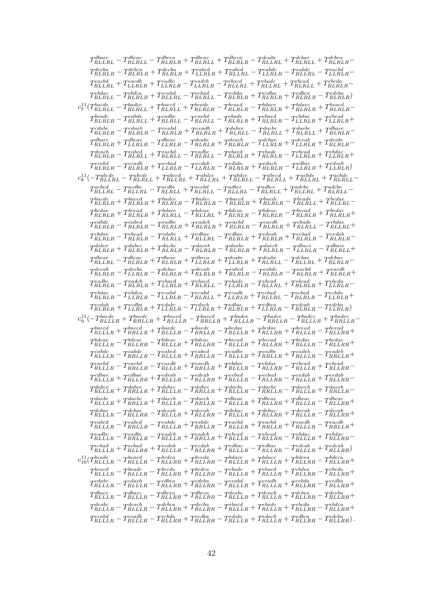<span id="page-43-0"></span>

| $T_{RLLRL}^{dbace} - T_{RLRLL}^{dbcae} - T_{RLRLR}^{dbeae} + T_{RLRLL}^{dbeae} + T_{RLRLR}^{dcabee} - T_{RLRLL}^{dcabee} + T_{RLRLL}^{dcbea} + T_{RLRLR}^{dcbea} \label{eq:RLLRL}$                                                                                                                                                                                                                                      |
|-------------------------------------------------------------------------------------------------------------------------------------------------------------------------------------------------------------------------------------------------------------------------------------------------------------------------------------------------------------------------------------------------------------------------|
| $T_{RLRLR}^{deba} - T_{RLRLR}^{deba} + T_{RLRLR}^{deba} + T_{LLRLR}^{eabcd} + T_{RLLRL}^{eabcd} - T_{LLRLR}^{eabdc} - T_{RLLRL}^{eabdc} - T_{LLRLR}^{eacbd} -$                                                                                                                                                                                                                                                          |
| $T^{each}_{RLLRL}+T^{each}_{LLRLR}+T^{eadbc}_{LLRLR}-T^{eadcb}_{LLRLR}-T^{ebacd}_{RLLRL}+T^{ebade}_{RLLRL}+T^{ebcad}_{RLRLL}+T^{ebcda}_{RLRLR}-$                                                                                                                                                                                                                                                                        |
| $T_{RLRLL}^{ebdac} - T_{RLRLR}^{ebdca} + T_{RLLRL}^{ecabad} - T_{RLRLL}^{ecbda} - T_{RLRLR}^{ecbda} + T_{RLRLR}^{ecbda} + T_{RLRLR}^{edbca} - T_{RLRLR}^{edbda} \label{eq:4}$                                                                                                                                                                                                                                           |
|                                                                                                                                                                                                                                                                                                                                                                                                                         |
|                                                                                                                                                                                                                                                                                                                                                                                                                         |
| $T_{RLRLR}^{beadc} - T_{RLRLL}^{cable} + T_{RLRLL}^{cadeb} - T_{RLRLL}^{caebd} - T_{RLRLR}^{cbade} + T_{RLRLR}^{cbade} - T_{LLRLR}^{cbade} + T_{LLRLR}^{cbead} + \nonumber$<br>$T^{cdabe}_{r}$                                                                                                                                                                                                                          |
| $\label{eq:scale} \begin{aligned} & \textit{ncdabe} & \textit{r\_T} & \textit{c} & \textit{c} & \textit{c} & \textit{t\_T} & \textit{c} & \textit{c} & \textit{c} \\ & \textit{RLRLR} & \textit{R\_RLRLR} & \textit{r\_T} & \textit{RLRLR} & \textit{r\_T} & \textit{RLRRL} & \textit{r\_T} & \textit{R} & \textit{LRLRL} & \textit{r\_T} & \textit{RLRLR} & \textit{r\_T} & \textit{R} & \textit{LRLRL} \end{aligned}$ |
| $T_{RLRLR}^{dbace}+T_{LLRLR}^{dbcae}-T_{LLRLR}^{dbeac}-T_{RLRLR}^{dcabe}+T_{RLRLR}^{dcabee}-T_{LLRLR}^{dcabee}+T_{LLRLR}^{deabc}+T_{RLRLR}^{deabc} \label{eq:R}$                                                                                                                                                                                                                                                        |
| $T_{RLRLR}^{deacb} - T_{RLRLL}^{eabcd} + T_{RLRLL}^{eachd} - T_{RLRLL}^{eadbc} - T_{RLRLR}^{ebacd} + T_{RLRLR}^{ebade} - T_{LLRLR}^{ebdad} + T_{LLRLR}^{ebdac} + \nonumber$                                                                                                                                                                                                                                             |
| $T^{ecabd}_{RLRLR} - T^{ecabd}_{RLRLR} + T^{ecbad}_{LLRLR} - T^{ecdab}_{LLRLR} - T^{edabc}_{RLRLR} + T^{edac}_{RLRLR} - T^{edbac}_{LLRLR} + T^{edcab}_{LLRLR} \label{eq:2}$                                                                                                                                                                                                                                             |
| $c_8^{11} \bigl(-T_{RLLRL}^{abcde} - T_{RLRLL}^{abcde} + T_{RLLRL}^{abcde} + T_{RLRLL}^{abcde} - T_{RLRLL}^{abcde} + T_{RLLRL}^{acbde} + T_{RLRLL}^{acbde} - T_{RLRLL}^{acbde} + T_{RLRLL}^{acbde} + T_{RLRLL}^{acbde} + T_{RLRLL}^{acbde} + T_{RLRLL}^{acbde} + T_{RLRLL}^{acbde} + T_{RLRLL}^{acbde} + T_{RLRLL}^{acbde} + T_{RLRLL}^{acbde} + T_{RLRLL}^{acbde} + T_{RLRLL}^{acbde$                                  |
| $T_{RLLRL}^{acbed} - T_{RLLRL}^{acdbe} - T_{RLRLL}^{acdbd} + T_{RLRLL}^{acebd} - T_{RLRLL}^{adbce} - T_{RLRLL}^{adbce} + T_{RLLRL}^{adcbe} + T_{RLRLL}^{adcbe}$                                                                                                                                                                                                                                                         |
| $T_{RLRLR}^{bacde}+T_{RLRLR}^{baced}+T_{RLRLR}-T_{RLRLR}^{badec}-T_{RLRLR}^{baced}+T_{RLRLR}^{baede}-T_{RLRLL}^{bcade}+T_{RLLRL}-T_{RLRLRL}^{bcde}$                                                                                                                                                                                                                                                                     |
| $T_{RLRLR}^{bcdae}+T_{RLRLR}^{bcead}+T_{RLRRLL}^{bdace}-T_{RLLRL}^{bdcae}+T_{RLRLR}^{bdacc}-T_{RLRLR}^{bcaad}-T_{RLRLR}^{bcadac}+T_{RLRLR}^{bcdac} \label{eq:R}$                                                                                                                                                                                                                                                        |
| $T^{cable}_{RLRLR} - T^{cabel}_{RLRLR} - T^{cable}_{RLRLR} + T^{cadeb}_{RLRLR} + T^{caedd}_{RLRLR} - T^{caedb}_{RLRLR} + T^{cbade}_{RLRLL} - T^{cbdae}_{RLLRL} +$                                                                                                                                                                                                                                                       |
| $T_{RLRLR}^{cbdae}-T_{RLRLR}-T_{RLRRL}^{cdabe}+T_{RLLRL}^{cdbae}-T_{RLRLR}^{cdbae}+T_{RLRLR}^{cdeab}+T_{RLRLR}-T_{RLRLR}-T_{RLRLR}-T_{RLRLR}-T_{RLRLR}-T_{RLRLR}-T_{RLRLR}-T_{RLRLR}-T_{RLRLR}-T_{RLRLR}-T_{RLRLR}-T_{RLRLR}-T_{RLRLR}-T_{RLRLR}-T_{RLRLR}-T_{RLRLR}-T_{RLRLR}-T_{RLRLR}-T_{RLRLR}-T_{RLRLR}-T_{RLRLR}-T_{RLRLR}-T_{RLRLR}-T_{RLRLR}-T_{RLRLR}-T_{RLRLR}-T_{$                                           |
| $T_{RLRLR}^{dabce}+T_{RLRLR}^{dabec}+T_{RLRLR}^{dacebe}-T_{RLRLR}^{daceb}-T_{RLRLR}^{daebc}+T_{RLRLR}^{dacee}-T_{LLRLR}^{dbace}-T_{RLRLL}^{dbacee}+$                                                                                                                                                                                                                                                                    |
| $T_{RLLRL}^{dbcae} - T_{RLRLR}^{dbcac} + T_{RLRLR}^{dbeca} + T_{LLRLR}^{dcabe} + T_{RLRLL}^{dcabe} - T_{RLLRL}^{dcbae} + T_{RLRLR}^{dcbae} - T_{RLRLR}^{dcbae} + T_{RLRLR}^{dcbae} + T_{RLRLR}^{dcbae} + T_{RLRLR}^{dcbae} + T_{RLRLR}^{dcbae} + T_{RLRLR}^{dcbae} + T_{RLRLR}^{dcbae} + T_{RLRLR}^{dcbae} + T_{RLRLR}^{dcbae} + T_{RLRLR}^{dcbae} + T_{RLRLR}^{dcbae} + T_{RLRLR}^{dcba$                               |
| $T_{RLRLR}^{dceab} - T_{LLRLR}^{dceba} - T_{RLRLR}^{debac} + T_{RLRLR}^{decab} + T_{RLRLR}^{eabcd} - T_{RLRLR}^{eabdc} - T_{RLRLR}^{eacbd} + T_{RLRLR}^{eacdb} +$                                                                                                                                                                                                                                                       |
| $T_{RLRLR}^{eadbc} - T_{RLRLR}^{eadcb} + T_{LLRLR}^{ebacd} + T_{RLRLL}^{ebacd} - T_{LLRLR}^{ebcad} - T_{RLLRL}^{ebcad} + T_{RLRLR}^{ebcad} + T_{LLRLR}^{ebcda} - T_{RLRLRLR}^{ebcda} + T_{LLRLRRR}^{ebcda} + T_{LLRLRRR}^{ebcda} + T_{LLRRRR}^{ebcda} + T_{LLRRRR}^{ebcda} + T_{LLRRRR}^{ebcda} + T_{LLRRRR}^{ebcda} + T_{LLRRRR}^{ebcda} + T_{LLRRRR}^{ebcda} + T_{LLRRRR}^{ebcda} + T_{LLRRRR}^{eb$                   |
| $T_{RLRLR}^{ebdac} - T_{LLRLR}^{ebdca} - T_{LLRLR}^{ecabd} - T_{RLRLL}^{ecabd} + T_{LLRLR}^{ecbad} + T_{RLRLR}^{ecbad} - T_{RLRLR}^{ecbad} - T_{LLRLR}^{ecbda} +$                                                                                                                                                                                                                                                       |
| $T_{RLRLR}^{ecdab}+T_{LLRLR}^{ecdba}+T_{LLRLR}^{edabc}-T_{LLRLR}^{edacb}+T_{RLRLR}^{edbac}+T_{LLRLR}^{edbca}-T_{RLRLR}^{edcab}-T_{LLRLR}^{edbac}) \label{eq:2}$                                                                                                                                                                                                                                                         |
| $c_9^{11}(-T_{RLLLR}^{bacde}+T_{RRLLR}^{bacde}+T_{RRLLR}^{baced}-T_{RRLLR}^{bacde}+T_{RRLLR}^{badce}-T_{RRLLR}^{badec}-T_{RRLLR}^{badec}+T_{RRLLR}^{badec}-T_{RRLLR}^{badec}$                                                                                                                                                                                                                                           |
| $T^{baecd}_{RLLLR}+T^{baeed}_{RRLLR}+T^{baedc}_{RRLLR}-T^{baedc}_{RRLLR}-T^{bcdae}_{RLLLR}+T^{bcdae}_{RLLLR}+T^{bcead}_{RLLLR} -T^{bcead}_{RLLRR}+\nonumber$                                                                                                                                                                                                                                                            |
|                                                                                                                                                                                                                                                                                                                                                                                                                         |
| $T_{RLLLR}^{cable}-T_{RRLLR}^{cabled}-T_{RLLLR}^{cabel}+T_{RRLLR}^{cabled}-T_{RRLLR}^{cabled}+T_{RRLLR}^{cadeb}+T_{RRLLR}^{cadeb}-T_{RRLLR}^{cadeb}+\nonumber$                                                                                                                                                                                                                                                          |
| $T_{RLLLR}^{caebd} - T_{RRLLR}^{caebd} - T_{RLLLR}^{caedb} + T_{RRLLR}^{caedb} + T_{RLLLR}^{cbdae} - T_{RLLRR}^{cbdae} - T_{RLLLR}^{cbead} + T_{RLLRR}^{cbead} - T_{RLLRR}^{cbedde} + T_{RLLRR}^{cbedde} + T_{RLLRR}^{cbedde} + T_{RLLRR}^{cbedde} + T_{RLLRR}^{cbedde} + T_{RLLRR}^{cbedde} + T_{RLLRR}^{cbedde} + T_{RLLRR}^{cbedde} + T_{RLLRR}^{cbedde} + T_{RLLRR}^{cbedde} + T_{RLLRR}^{cb$                       |
| $T_{RLLLR}^{cdbae}+T_{RLLRR}^{cdbae}+T_{RLLLR}^{cdeab}-T_{RLLRR}^{cdeab}+T_{RLLLR}^{cebad}-T_{RLLRR}^{cebab}-T_{RLLLR}^{cedab}+T_{RLLRR}^{cedab}-$                                                                                                                                                                                                                                                                      |
| $T_{RLLLR}^{dabce}+T_{RRLLR}^{dabce}+T_{RLLLR}^{dabce}-T_{RRLLR}^{dabee}+T_{RRLLR}^{dacee}-T_{RRLLR}^{daceb}-T_{RRLLR}^{daceb}+T_{RRLLR}^{daceb}-T_{RRLLR}^{daceb}-T_{RRLLR}^{daceb}-T_{RRLLR}^{daceb}-T_{RRLLR}^{daceb}-T_{RRLLR}^{daceb}-T_{RRLLR}^{daceb}-T_{RRLLR}^{daceb}-T_{RRLLR}^{daceb}-T_{RRLLR}^{daceb}-T_{RRLLR}^{daceb}-T_{RRLLR}^{daceb}-T_{RRLLR}^{$                                                     |
| $T_{RLLLR}^{daebc}+T_{RRLLR}^{daebc}+T_{RLLLR}^{daecb}-T_{RRLLR}^{dacec}-T_{RLLLR}^{dbcae}+T_{RLLLR}^{dbeac}+T_{RLLLR}^{dbeac}-T_{RLLRR}^{dbeac}+\nonumber$                                                                                                                                                                                                                                                             |
| $T_{RLLLR}^{dcbae}-T_{RLLRR}^{dcbae}-T_{RLLLR}^{dceab}+T_{RLLLR}^{debac}-T_{RLLLR}^{debac}+T_{RLLLR}^{decab}+T_{RLLLR}^{decab}-T_{RLLRR}^{decab}+ \nonumber$                                                                                                                                                                                                                                                            |
| $T_{RLLLR}^{eabcd} - T_{RRLLR}^{eabcd} - T_{RLLLR}^{eabdc} + T_{RRLLR}^{eabdc} - T_{RRLLR}^{eacbd} + T_{RRLLR}^{eacdb} + T_{RRLLR}^{eacdb} - T_{RRLLR}^{eacdb} + \nonumber$                                                                                                                                                                                                                                             |
| $T_{RLLLR}^{eadbc} - T_{RRLLR}^{eadbc} - T_{RLLLR}^{eadcb} + T_{RRLLR}^{eadb} + T_{RLLLR}^{ebcad} - T_{RLLLR}^{ebdad} - T_{RLLLR}^{ebdac} + T_{RLLRR}^{ebdac} - T_{RLLLRRL}^{ebc}$                                                                                                                                                                                                                                      |
| $T^{ecbad}_{RLLLR}+T^{ecbad}_{RLLLR}+T^{ecdab}_{RLLLR}-T^{ecdab}_{RLLRR}+T^{edbac}_{RLLLR}-T^{edbac}_{RLLLR}-T^{edcab}_{RLLLR}+T^{edcab}_{RLLRR})$                                                                                                                                                                                                                                                                      |
| $c_{10}^{11} (T^{bcade}_{RLLLR}-T^{bc aed}_{RLLLR}-T^{bc dea}_{RLLRR}+T^{bc e da}_{RLLLR}-T^{bdace}_{RLLLR}+T^{bd aec}_{RLLLR}+T^{bd e c}_{RLLRR}-T^{bd e c}_{RLLRR}+$                                                                                                                                                                                                                                                  |
| $T^{beacd}_{RLLLR}-T^{beade}_{RLLLR}-T^{beeda}_{RLLRR}+T^{bedea}_{RLLLR}-T^{cbade}_{RLLLR}+T^{cbaed}_{RLLLR}+T^{cbdea}_{RLLRR}-T^{cbeda}_{RLLRR}+\qquad \qquad$                                                                                                                                                                                                                                                         |
| $T_{RLLLR}^{cdabe}-T_{RLLLR}^{cdaeb}-T_{RLLRR}^{cdbea}+T_{RLLRR}^{cdeba}-T_{RLLLR}^{ceadb}+T_{RLLLR}^{ceadb}+T_{RLLRR}^{cebda}-T_{RLLRR}^{cedba}+\nonumber$                                                                                                                                                                                                                                                             |
| $T_{RLLLR}^{dbace} - T_{RLLLR}^{dbace} - T_{RLLRR}^{dbeca} + T_{RLLLR}^{deabe} - T_{RLLLR}^{dcabe} + T_{RLLLR}^{dceeb} + T_{RLLRR}^{dcdea} - T_{RLLRR}^{dceba} + \nonumber$                                                                                                                                                                                                                                             |
| $T_{RLLLR}^{deabc} - T_{RLLLR}^{deacb} - T_{RLLRR}^{debaa} + T_{RLLRR}^{decaa} - T_{RLLLR}^{ebacd} + T_{RLLLR}^{ebade} + T_{RLLRR}^{ebdaa} - T_{RLLRR}^{ebdaa} + T_{RLLRR}^{ebbcaa} + T_{RLLRR}^{ebbcaa} + T_{RLLRR}^{ebbcaa} + T_{RLLRR}^{ebbcaa} + T_{RLLRR}^{ebbcaa} + T_{RLLRR}^{ebbcaa} + T_{RLLRR}^{ebbcaa} + T_{RLLRR}^{ebbcaa} + T_{RLLRR}^{ebbcaa} + T_{RLLRR}^{ebbca$                                         |
| $T_{RLLLR}^{ecabd} - T_{RLLLR}^{ecabd} - T_{RLLRR}^{ecbda} + T_{RLLRR}^{ecdba} - T_{RLLLR}^{edabc} + T_{RLLLR}^{edacb} + T_{RLLRR}^{edbca} - T_{RLLRR}^{edcba})\,.$                                                                                                                                                                                                                                                     |
|                                                                                                                                                                                                                                                                                                                                                                                                                         |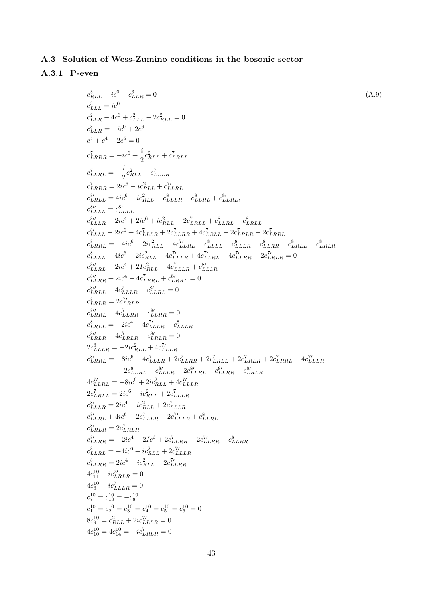# A.3 Solution of Wess-Zumino conditions in the bosonic sector

# <span id="page-44-0"></span>A.3.1 P-even

$$
c_{LLL}^{3} = i e^{0} \t C_{LLR}^{3} = 0 \t (A.9)
$$
\n
$$
c_{LLL}^{3} = i e^{0} \t C_{LLR}^{3} = 0 \t C_{LLR}^{3} = 0 \t C_{LLR}^{3} = 0 \t C_{LRRR}^{3} = -i e^{0} + 2e^{0} = 0
$$
\n
$$
c_{LRRR}^{3} = -i e^{0} + 2e^{0} = 0
$$
\n
$$
c_{LRRR}^{5} = -i e^{0} + 2e^{0} = 0
$$
\n
$$
c_{LRRR}^{7} = -i e^{0} + 2e^{0} = 0
$$
\n
$$
c_{LRRR}^{8} = -i e^{0} - i e^{0} = 1.2e^{0} = 1.2e^{0} = 1.2e^{0} = 1.2e^{0} = 1.2e^{0} = 1.2e^{0} = 1.2e^{0} = 1.2e^{0} = 1.2e^{0} = 1.2e^{0} = 1.2e^{0} = 1.2e^{0} = 1.2e^{0} = 1.2e^{0} = 1.2e^{0} = 1.2e^{0} = 1.2e^{0} = 1.2e^{0} = 1.2e^{0} = 1.2e^{0} = 1.2e^{0} = 1.2e^{0} = 1.2e^{0} = 1.2e^{0} = 1.2e^{0} = 1.2e^{0} = 1.2e^{0} = 1.2e^{0} = 1.2e^{0} = 1.2e^{0} = 1.2e^{0} = 1.2e^{0} = 1.2e^{0} = 1.2e^{0} = 1.2e^{0} = 1.2e^{0} = 1.2e^{0} = 1.2e^{0} = 1.2e^{0} = 1.2e^{0} = 1.2e^{0} = 1.2e^{0} = 1.2e^{0} = 1.2e^{0} = 1.2e^{0} = 1.2e^{0} = 1.2e^{0} = 1.2e^{0} = 1.2e^{0} = 1.2e^{0} = 1.2e^{0} = 1.2e^{0} = 1.2e^{0} = 1.2e^{0} = 1.2e^{0}
$$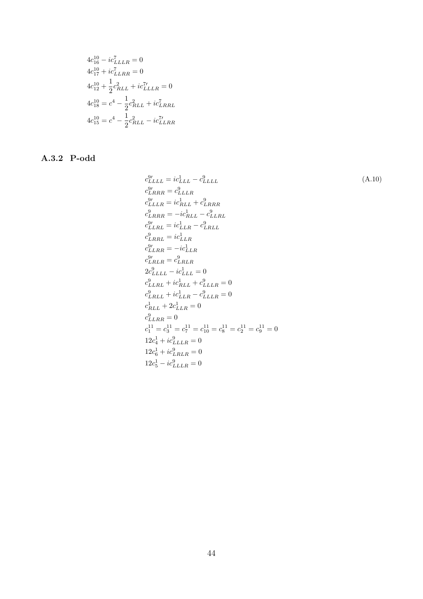$$
4c_{16}^{10} - ic_{LLLR}^{7} = 0
$$
  
\n
$$
4c_{17}^{10} + ic_{LLRR}^{7} = 0
$$
  
\n
$$
4c_{12}^{10} + \frac{1}{2}c_{RLL}^{2} + ic_{LLLR}^{7} = 0
$$
  
\n
$$
4c_{18}^{10} = c^{4} - \frac{1}{2}c_{RLL}^{2} + ic_{LRRL}^{7}
$$
  
\n
$$
4c_{15}^{10} = c^{4} - \frac{1}{2}c_{RLL}^{2} - ic_{LLRR}^{7}
$$

# <span id="page-45-0"></span>A.3.2 P-odd

$$
c_{LLLL}^{2l} = ic_{LLL}^{1} - c_{LLLL}^{2l}
$$
\n
$$
c_{LRRR}^{2l} = c_{LLLR}^{1}
$$
\n
$$
c_{LLLR}^{9} = ic_{RLL}^{1} + c_{LRRR}^{9}
$$
\n
$$
c_{LRRR}^{9} = -ic_{RLL}^{1} - c_{LLR}^{9}
$$
\n
$$
c_{LRRL}^{9} = ic_{LLR}^{1} - c_{LRRL}^{9}
$$
\n
$$
c_{LLRR}^{9} = ic_{LLR}^{1}
$$
\n
$$
c_{LLRR}^{9} = -ic_{LLR}^{1}
$$
\n
$$
c_{LLRR}^{9} = -ic_{LLR}^{1}
$$
\n
$$
c_{LLRR}^{9} = c_{RRR}^{1}
$$
\n
$$
c_{LRLL}^{9} + ic_{LLLL}^{1} + c_{LLLR}^{1} = 0
$$
\n
$$
c_{LRLL}^{9} + ic_{LLR}^{1} - c_{LLLR}^{9} = 0
$$
\n
$$
c_{RLL}^{1} + 2c_{LLR}^{1} = 0
$$
\n
$$
c_{RLR}^{11} = c_{2}^{11} = c_{1}^{11} = c_{1}^{11} = c_{2}^{11} = c_{2}^{11} = 0
$$
\n
$$
12c_{4}^{1} + ic_{LLLR}^{9} = 0
$$
\n
$$
12c_{5}^{1} + ic_{LLLR}^{9} = 0
$$
\n
$$
12c_{5}^{1} - ic_{LLLR}^{9} = 0
$$
\n
$$
12c_{5}^{1} - ic_{LLR}^{9} = 0
$$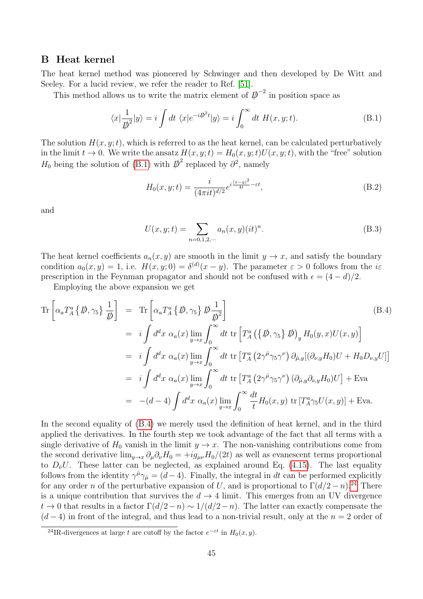### <span id="page-46-0"></span>B Heat kernel

The heat kernel method was pioneered by Schwinger and then developed by De Witt and Seeley. For a lucid review, we refer the reader to Ref. [\[51\]](#page-50-6).

This method allows us to write the matrix element of  $\vec{p}^{-2}$  in position space as

<span id="page-46-1"></span>
$$
\langle x|\frac{1}{\psi^2}|y\rangle = i\int dt \ \langle x|e^{-i\psi^2t}|y\rangle = i\int_0^\infty dt \ H(x,y;t). \tag{B.1}
$$

The solution  $H(x, y; t)$ , which is referred to as the heat kernel, can be calculated perturbatively in the limit  $t \to 0$ . We write the ansatz  $H(x, y; t) = H_0(x, y; t)U(x, y; t)$ , with the "free" solution  $H_0$  being the solution of [\(B.1\)](#page-46-1) with  $\overline{\psi}^2$  replaced by  $\partial^2$ , namely

$$
H_0(x, y; t) = \frac{i}{(4\pi i t)^{d/2}} e^{i\frac{(x-y)^2}{4t} - \varepsilon t},
$$
\n(B.2)

and

<span id="page-46-4"></span>
$$
U(x, y; t) = \sum_{n=0,1,2,\dots} a_n(x, y) (it)^n.
$$
 (B.3)

The heat kernel coefficients  $a_n(x, y)$  are smooth in the limit  $y \to x$ , and satisfy the boundary condition  $a_0(x, y) = 1$ , i.e.  $H(x, y; 0) = \delta^{(d)}(x - y)$ . The parameter  $\varepsilon > 0$  follows from the is prescription in the Feynman propagator and should not be confused with  $\epsilon = (4 - d)/2$ .

Employing the above expansion we get

<span id="page-46-2"></span>
$$
\begin{split}\n\operatorname{Tr}\left[\alpha_{a}T_{A}^{a}\left\{\not{D},\gamma_{5}\right\}\frac{1}{\not{D}}\right] &= \operatorname{Tr}\left[\alpha_{a}T_{A}^{a}\left\{\not{D},\gamma_{5}\right\}\not{D}\frac{1}{\not{D}^{2}}\right] \\
&= i \int d^{d}x \ \alpha_{a}(x) \lim_{y \to x} \int_{0}^{\infty} dt \ \operatorname{tr}\left[T_{A}^{a}\left(\left\{\not{D},\gamma_{5}\right\}\not{D}\right)_{y} H_{0}(y,x)U(x,y)\right] \\
&= i \int d^{d}x \ \alpha_{a}(x) \lim_{y \to x} \int_{0}^{\infty} dt \ \operatorname{tr}\left[T_{A}^{a}\left(2\gamma^{\hat{\mu}}\gamma_{5}\gamma^{\nu}\right)\partial_{\hat{\mu},y}[(\partial_{\nu,y}H_{0})U + H_{0}D_{\nu,y}U]\right] \\
&= i \int d^{d}x \ \alpha_{a}(x) \lim_{y \to x} \int_{0}^{\infty} dt \ \operatorname{tr}\left[T_{A}^{a}\left(2\gamma^{\hat{\mu}}\gamma_{5}\gamma^{\nu}\right)(\partial_{\hat{\mu},y}\partial_{\nu,y}H_{0})U\right] + \operatorname{Eva} \\
&= -(d-4) \int d^{d}x \ \alpha_{a}(x) \lim_{y \to x} \int_{0}^{\infty} \frac{dt}{t} H_{0}(x,y) \ \operatorname{tr}\left[T_{A}^{a}\gamma_{5}U(x,y)\right] + \operatorname{Eva}.\n\end{split}
$$

In the second equality of [\(B.4\)](#page-46-2) we merely used the definition of heat kernel, and in the third applied the derivatives. In the fourth step we took advantage of the fact that all terms with a single derivative of  $H_0$  vanish in the limit  $y \to x$ . The non-vanishing contributions come from the second derivative  $\lim_{y\to x}\partial_\mu\partial_\nu H_0 = +ig_{\mu\nu}H_0/(2t)$  as well as evanescent terms proportional to  $D_{\hat{\nu}}U$ . These latter can be neglected, as explained around Eq. [\(4.15\)](#page-24-2). The last equality follows from the identity  $\gamma^{\hat{\mu}}\gamma_{\hat{\mu}} = (d-4)$ . Finally, the integral in dt can be performed explicitly for any order n of the perturbative expansion of U, and is proportional to  $\Gamma(d/2-n)$ .<sup>[24](#page-46-3)</sup> There is a unique contribution that survives the  $d \to 4$  limit. This emerges from an UV divergence  $t \to 0$  that results in a factor  $\Gamma(d/2-n) \sim 1/(d/2-n)$ . The latter can exactly compensate the  $(d-4)$  in front of the integral, and thus lead to a non-trivial result, only at the  $n=2$  order of

<span id="page-46-3"></span><sup>&</sup>lt;sup>24</sup>IR-divergences at large t are cutoff by the factor  $e^{-\varepsilon t}$  in  $H_0(x, y)$ .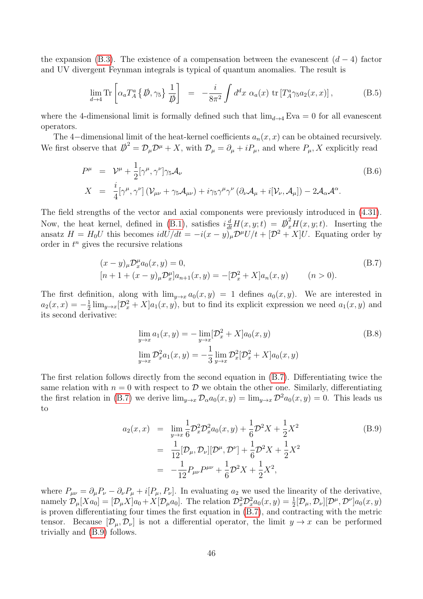the expansion [\(B.3\)](#page-46-4). The existence of a compensation between the evanescent  $(d-4)$  factor and UV divergent Feynman integrals is typical of quantum anomalies. The result is

<span id="page-47-0"></span>
$$
\lim_{d \to 4} \text{Tr} \left[ \alpha_a T_A^a \left\{ \not{D}, \gamma_5 \right\} \frac{1}{\not{D}} \right] = -\frac{i}{8\pi^2} \int d^d x \; \alpha_a(x) \; \text{tr} \left[ T_A^a \gamma_5 a_2(x, x) \right], \tag{B.5}
$$

where the 4-dimensional limit is formally defined such that  $\lim_{d\to 4} Eva = 0$  for all evanescent operators.

The 4-dimensional limit of the heat-kernel coefficients  $a_n(x, x)$  can be obtained recursively. We first observe that  $\overline{D}^2 = \mathcal{D}_{\mu} \mathcal{D}^{\mu} + X$ , with  $\mathcal{D}_{\mu} = \partial_{\mu} + i P_{\mu}$ , and where  $P_{\mu}$ , X explicitly read

$$
P^{\mu} = \mathcal{V}^{\mu} + \frac{1}{2} [\gamma^{\mu}, \gamma^{\nu}] \gamma_5 \mathcal{A}_{\nu}
$$
  
\n
$$
X = \frac{i}{4} [\gamma^{\mu}, \gamma^{\nu}] (\mathcal{V}_{\mu\nu} + \gamma_5 \mathcal{A}_{\mu\nu}) + i \gamma_5 \gamma^{\mu} \gamma^{\nu} (\partial_{\nu} \mathcal{A}_{\mu} + i [\mathcal{V}_{\nu}, \mathcal{A}_{\mu}]) - 2 \mathcal{A}_{\alpha} \mathcal{A}^{\alpha}.
$$
\n(B.6)

The field strengths of the vector and axial components were previously introduced in [\(4.31\)](#page-27-3). Now, the heat kernel, defined in [\(B.1\)](#page-46-1), satisfies  $i\frac{d}{dt}H(x, y; t) = \beta_x^2 H(x, y; t)$ . Inserting the ansatz  $H = H_0 U$  this becomes  $i dU/dt = -i(x - y)$ <sub>µ</sub> $\mathcal{D}^{\mu}U/t + [\mathcal{D}^2 + X]U$ . Equating order by order in  $t^n$  gives the recursive relations

<span id="page-47-2"></span>
$$
(x - y)_{\mu} \mathcal{D}_x^{\mu} a_0(x, y) = 0,
$$
  
\n
$$
[n + 1 + (x - y)_{\mu} \mathcal{D}_x^{\mu}] a_{n+1}(x, y) = -[\mathcal{D}_x^2 + X] a_n(x, y) \qquad (n > 0).
$$
\n(B.7)

The first definition, along with  $\lim_{y\to x} a_0(x, y) = 1$  defines  $a_0(x, y)$ . We are interested in  $a_2(x,x) = -\frac{1}{2}$  $\frac{1}{2} \lim_{y \to x} [\mathcal{D}_x^2 + X] a_1(x, y)$ , but to find its explicit expression we need  $a_1(x, y)$  and its second derivative:

$$
\lim_{y \to x} a_1(x, y) = -\lim_{y \to x} [\mathcal{D}_x^2 + X] a_0(x, y)
$$
\n
$$
\lim_{y \to x} \mathcal{D}_x^2 a_1(x, y) = -\frac{1}{3} \lim_{y \to x} \mathcal{D}_x^2 [\mathcal{D}_x^2 + X] a_0(x, y)
$$
\n(B.8)

The first relation follows directly from the second equation in [\(B.7\)](#page-47-2). Differentiating twice the same relation with  $n = 0$  with respect to  $\mathcal D$  we obtain the other one. Similarly, differentiating the first relation in [\(B.7\)](#page-47-2) we derive  $\lim_{y\to x}\mathcal{D}_{\alpha}a_0(x,y) = \lim_{y\to x}\mathcal{D}^2a_0(x,y) = 0$ . This leads us to

<span id="page-47-1"></span>
$$
a_2(x,x) = \lim_{y \to x} \frac{1}{6} \mathcal{D}_x^2 \mathcal{D}_x^2 a_0(x,y) + \frac{1}{6} \mathcal{D}^2 X + \frac{1}{2} X^2
$$
  
\n
$$
= \frac{1}{12} [\mathcal{D}_\mu, \mathcal{D}_\nu] [\mathcal{D}^\mu, \mathcal{D}^\nu] + \frac{1}{6} \mathcal{D}^2 X + \frac{1}{2} X^2
$$
  
\n
$$
= -\frac{1}{12} P_{\mu\nu} P^{\mu\nu} + \frac{1}{6} \mathcal{D}^2 X + \frac{1}{2} X^2,
$$
\n(B.9)

where  $P_{\mu\nu} = \partial_{\mu}P_{\nu} - \partial_{\nu}P_{\mu} + i[P_{\mu}, P_{\nu}]$ . In evaluating  $a_2$  we used the linearity of the derivative, namely  $\mathcal{D}_{\mu}[Xa_0] = [\mathcal{D}_{\mu}X]a_0 + X[\mathcal{D}_{\mu}a_0]$ . The relation  $\mathcal{D}_x^2 \mathcal{D}_x^2 a_0(x, y) = \frac{1}{2} [\mathcal{D}_{\mu}, \mathcal{D}_{\nu}][\mathcal{D}^{\mu}, \mathcal{D}^{\nu}]a_0(x, y)$ is proven differentiating four times the first equation in [\(B.7\)](#page-47-2), and contracting with the metric tensor. Because  $[\mathcal{D}_{\mu}, \mathcal{D}_{\nu}]$  is not a differential operator, the limit  $y \to x$  can be performed trivially and [\(B.9\)](#page-47-1) follows.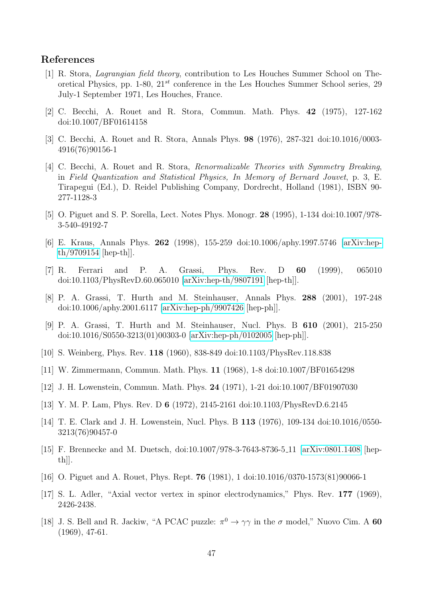### References

- <span id="page-48-0"></span>[1] R. Stora, Lagrangian field theory, contribution to Les Houches Summer School on Theoretical Physics, pp. 1-80,  $21^{st}$  conference in the Les Houches Summer School series, 29 July-1 September 1971, Les Houches, France.
- [2] C. Becchi, A. Rouet and R. Stora, Commun. Math. Phys. 42 (1975), 127-162 doi:10.1007/BF01614158
- [3] C. Becchi, A. Rouet and R. Stora, Annals Phys. 98 (1976), 287-321 doi:10.1016/0003- 4916(76)90156-1
- [4] C. Becchi, A. Rouet and R. Stora, Renormalizable Theories with Symmetry Breaking, in Field Quantization and Statistical Physics, In Memory of Bernard Jouvet, p. 3, E. Tirapegui (Ed.), D. Reidel Publishing Company, Dordrecht, Holland (1981), ISBN 90- 277-1128-3
- <span id="page-48-9"></span>[5] O. Piguet and S. P. Sorella, Lect. Notes Phys. Monogr. 28 (1995), 1-134 doi:10.1007/978- 3-540-49192-7
- [6] E. Kraus, Annals Phys. 262 (1998), 155-259 doi:10.1006/aphy.1997.5746 [\[arXiv:hep](http://arxiv.org/abs/hep-th/9709154)[th/9709154](http://arxiv.org/abs/hep-th/9709154) [hep-th]].
- [7] R. Ferrari and P. A. Grassi, Phys. Rev. D 60 (1999), 065010 doi:10.1103/PhysRevD.60.065010 [\[arXiv:hep-th/9807191](http://arxiv.org/abs/hep-th/9807191) [hep-th]].
- <span id="page-48-6"></span>[8] P. A. Grassi, T. Hurth and M. Steinhauser, Annals Phys. 288 (2001), 197-248 doi:10.1006/aphy.2001.6117 [\[arXiv:hep-ph/9907426](http://arxiv.org/abs/hep-ph/9907426) [hep-ph]].
- <span id="page-48-1"></span>[9] P. A. Grassi, T. Hurth and M. Steinhauser, Nucl. Phys. B 610 (2001), 215-250 doi:10.1016/S0550-3213(01)00303-0 [\[arXiv:hep-ph/0102005](http://arxiv.org/abs/hep-ph/0102005) [hep-ph]].
- <span id="page-48-2"></span>[10] S. Weinberg, Phys. Rev. 118 (1960), 838-849 doi:10.1103/PhysRev.118.838
- <span id="page-48-3"></span>[11] W. Zimmermann, Commun. Math. Phys. 11 (1968), 1-8 doi:10.1007/BF01654298
- <span id="page-48-4"></span>[12] J. H. Lowenstein, Commun. Math. Phys. 24 (1971), 1-21 doi:10.1007/BF01907030
- <span id="page-48-10"></span>[13] Y. M. P. Lam, Phys. Rev. D 6 (1972), 2145-2161 doi:10.1103/PhysRevD.6.2145
- [14] T. E. Clark and J. H. Lowenstein, Nucl. Phys. B 113 (1976), 109-134 doi:10.1016/0550- 3213(76)90457-0
- <span id="page-48-5"></span>[15] F. Brennecke and M. Duetsch, doi:10.1007/978-3-7643-8736-5 11 [\[arXiv:0801.1408](http://arxiv.org/abs/0801.1408) [hepth]].
- <span id="page-48-11"></span>[16] O. Piguet and A. Rouet, Phys. Rept. 76 (1981), 1 doi:10.1016/0370-1573(81)90066-1
- <span id="page-48-7"></span>[17] S. L. Adler, "Axial vector vertex in spinor electrodynamics," Phys. Rev. 177 (1969), 2426-2438.
- <span id="page-48-8"></span>[18] J. S. Bell and R. Jackiw, "A PCAC puzzle:  $\pi^0 \to \gamma \gamma$  in the  $\sigma$  model," Nuovo Cim. A 60 (1969), 47-61.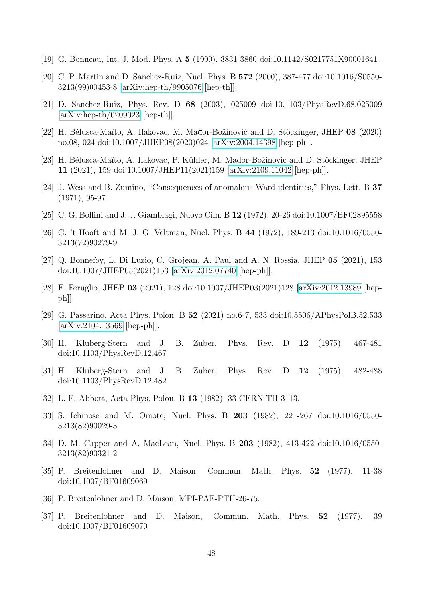- <span id="page-49-0"></span>[19] G. Bonneau, Int. J. Mod. Phys. A 5 (1990), 3831-3860 doi:10.1142/S0217751X90001641
- <span id="page-49-5"></span>[20] C. P. Martin and D. Sanchez-Ruiz, Nucl. Phys. B 572 (2000), 387-477 doi:10.1016/S0550- 3213(99)00453-8 [\[arXiv:hep-th/9905076](http://arxiv.org/abs/hep-th/9905076) [hep-th]].
- [21] D. Sanchez-Ruiz, Phys. Rev. D 68 (2003), 025009 doi:10.1103/PhysRevD.68.025009 [\[arXiv:hep-th/0209023](http://arxiv.org/abs/hep-th/0209023) [hep-th]].
- <span id="page-49-11"></span>[22] H. Bélusca-Maïto, A. Ilakovac, M. Mađor-Božinović and D. Stöckinger, JHEP 08 (2020) no.08, 024 doi:10.1007/JHEP08(2020)024 [\[arXiv:2004.14398](http://arxiv.org/abs/2004.14398) [hep-ph]].
- <span id="page-49-1"></span>[23] H. Bélusca-Maïto, A. Ilakovac, P. Kühler, M. Mađor-Božinović and D. Stöckinger, JHEP 11 (2021), 159 doi:10.1007/JHEP11(2021)159 [\[arXiv:2109.11042](http://arxiv.org/abs/2109.11042) [hep-ph]].
- <span id="page-49-2"></span>[24] J. Wess and B. Zumino, "Consequences of anomalous Ward identities," Phys. Lett. B 37 (1971), 95-97.
- <span id="page-49-3"></span>[25] C. G. Bollini and J. J. Giambiagi, Nuovo Cim. B 12 (1972), 20-26 doi:10.1007/BF02895558
- <span id="page-49-4"></span>[26] G. 't Hooft and M. J. G. Veltman, Nucl. Phys. B 44 (1972), 189-213 doi:10.1016/0550- 3213(72)90279-9
- <span id="page-49-6"></span>[27] Q. Bonnefoy, L. Di Luzio, C. Grojean, A. Paul and A. N. Rossia, JHEP 05 (2021), 153 doi:10.1007/JHEP05(2021)153 [\[arXiv:2012.07740](http://arxiv.org/abs/2012.07740) [hep-ph]].
- [28] F. Feruglio, JHEP 03 (2021), 128 doi:10.1007/JHEP03(2021)128 [\[arXiv:2012.13989](http://arxiv.org/abs/2012.13989) [hep $ph$ .
- <span id="page-49-7"></span>[29] G. Passarino, Acta Phys. Polon. B 52 (2021) no.6-7, 533 doi:10.5506/APhysPolB.52.533 [\[arXiv:2104.13569](http://arxiv.org/abs/2104.13569) [hep-ph]].
- <span id="page-49-8"></span>[30] H. Kluberg-Stern and J. B. Zuber, Phys. Rev. D 12 (1975), 467-481 doi:10.1103/PhysRevD.12.467
- [31] H. Kluberg-Stern and J. B. Zuber, Phys. Rev. D 12 (1975), 482-488 doi:10.1103/PhysRevD.12.482
- [32] L. F. Abbott, Acta Phys. Polon. B 13 (1982), 33 CERN-TH-3113.
- [33] S. Ichinose and M. Omote, Nucl. Phys. B 203 (1982), 221-267 doi:10.1016/0550- 3213(82)90029-3
- <span id="page-49-9"></span>[34] D. M. Capper and A. MacLean, Nucl. Phys. B 203 (1982), 413-422 doi:10.1016/0550-3213(82)90321-2
- <span id="page-49-10"></span>[35] P. Breitenlohner and D. Maison, Commun. Math. Phys. 52 (1977), 11-38 doi:10.1007/BF01609069
- [36] P. Breitenlohner and D. Maison, MPI-PAE-PTH-26-75.
- [37] P. Breitenlohner and D. Maison, Commun. Math. Phys. 52 (1977), 39 doi:10.1007/BF01609070